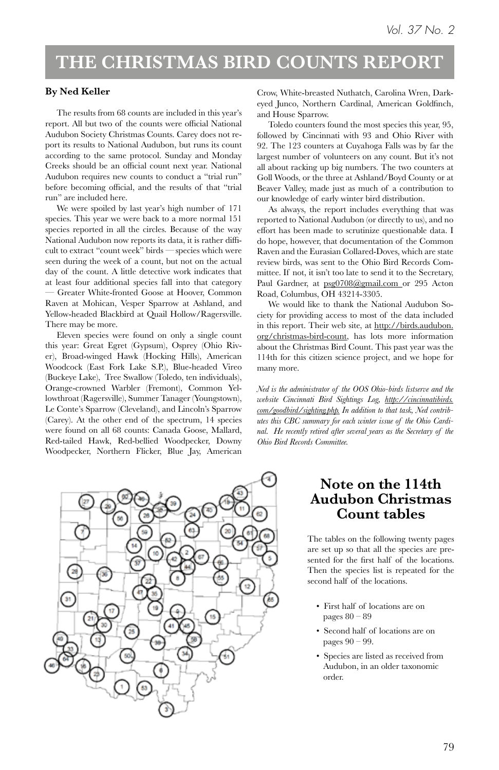#### **THE CHRISTMAS BIRD COUNTS REPORT**

#### **By Ned Keller**

The results from 68 counts are included in this year's report. All but two of the counts were official National Audubon Society Christmas Counts. Carey does not report its results to National Audubon, but runs its count according to the same protocol. Sunday and Monday Creeks should be an official count next year. National Audubon requires new counts to conduct a "trial run" before becoming official, and the results of that "trial run" are included here.

We were spoiled by last year's high number of 171 species. This year we were back to a more normal 151 species reported in all the circles. Because of the way National Audubon now reports its data, it is rather difficult to extract "count week" birds — species which were seen during the week of a count, but not on the actual day of the count. A little detective work indicates that at least four additional species fall into that category — Greater White-fronted Goose at Hoover, Common Raven at Mohican, Vesper Sparrow at Ashland, and Yellow-headed Blackbird at Quail Hollow/Ragersville. There may be more.

Eleven species were found on only a single count this year: Great Egret (Gypsum), Osprey (Ohio River), Broad-winged Hawk (Hocking Hills), American Woodcock (East Fork Lake S.P.), Blue-headed Vireo (Buckeye Lake), Tree Swallow (Toledo, ten individuals), Orange-crowned Warbler (Fremont), Common Yellowthroat (Ragersville), Summer Tanager (Youngstown), Le Conte's Sparrow (Cleveland), and Lincoln's Sparrow (Carey). At the other end of the spectrum, 14 species were found on all 68 counts: Canada Goose, Mallard, Red-tailed Hawk, Red-bellied Woodpecker, Downy Woodpecker, Northern Flicker, Blue Jay, American Crow, White-breasted Nuthatch, Carolina Wren, Darkeyed Junco, Northern Cardinal, American Goldfinch, and House Sparrow.

Toledo counters found the most species this year, 95, followed by Cincinnati with 93 and Ohio River with 92. The 123 counters at Cuyahoga Falls was by far the largest number of volunteers on any count. But it's not all about racking up big numbers. The two counters at Goll Woods, or the three at Ashland/Boyd County or at Beaver Valley, made just as much of a contribution to our knowledge of early winter bird distribution.

As always, the report includes everything that was reported to National Audubon (or directly to us), and no effort has been made to scrutinize questionable data. I do hope, however, that documentation of the Common Raven and the Eurasian Collared-Doves, which are state review birds, was sent to the Ohio Bird Records Committee. If not, it isn't too late to send it to the Secretary, Paul Gardner, at psg0708@gmail.com or 295 Acton Road, Columbus, OH 43214-3305.

We would like to thank the National Audubon Society for providing access to most of the data included in this report. Their web site, at http://birds.audubon. org/christmas-bird-count, has lots more information about the Christmas Bird Count. This past year was the 114th for this citizen science project, and we hope for many more.

*Ned is the administrator of the OOS Ohio-birds listserve and the website Cincinnati Bird Sightings Log, http://cincinnatibirds. com/goodbird/sighting.php. In addition to that task, Ned contributes this CBC summary for each winter issue of the Ohio Cardinal. He recently retired after several years as the Secretary of the Ohio Bird Records Committee.*



#### **Note on the 114th Audubon Christmas Count tables**

The tables on the following twenty pages are set up so that all the species are presented for the first half of the locations. Then the species list is repeated for the second half of the locations.

- First half of locations are on pages 80 – 89
- Second half of locations are on pages 90 – 99.
- Species are listed as received from Audubon, in an older taxonomic order.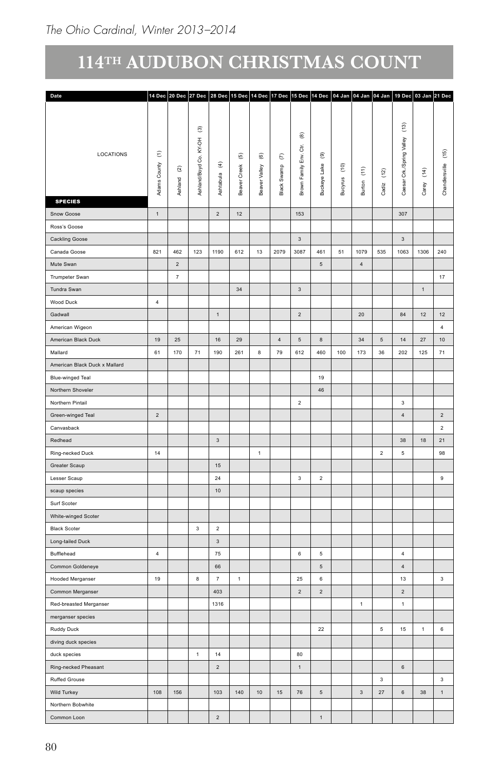| Date                          |                |                    |                          |                          |                          |                          |                | 14 Dec 20 Dec 27 Dec 28 Dec 15 Dec 14 Dec 17 Dec 15 Dec 14 Dec 04 Jan 04 Jan 04 Jan 19 Dec 03 Jan 21 Dec |                  |                        |                                   |                    |                 |                          |                    |
|-------------------------------|----------------|--------------------|--------------------------|--------------------------|--------------------------|--------------------------|----------------|----------------------------------------------------------------------------------------------------------|------------------|------------------------|-----------------------------------|--------------------|-----------------|--------------------------|--------------------|
|                               |                |                    |                          |                          |                          |                          |                |                                                                                                          |                  |                        |                                   |                    |                 |                          |                    |
|                               |                |                    |                          |                          |                          |                          |                |                                                                                                          |                  |                        |                                   |                    |                 |                          |                    |
|                               |                |                    | $\widehat{\mathfrak{S}}$ |                          |                          |                          |                | $_{\circledR}$                                                                                           |                  |                        |                                   |                    | $\widehat{\Xi}$ |                          |                    |
|                               |                |                    | KY-OH                    |                          |                          |                          |                | ਠੱ                                                                                                       |                  |                        |                                   |                    | Valley          |                          |                    |
| LOCATIONS                     | $\in$          |                    | Š                        |                          | $\widehat{\mathfrak{G}}$ | $\widehat{\mathfrak{G}}$ | $\epsilon$     | $\mathsf{Env}$                                                                                           | $^\circledR$     |                        |                                   |                    | $\mathbf{F}$    |                          | $\left( 15\right)$ |
|                               |                | $\widehat{\alpha}$ |                          | $\widehat{\mathfrak{T}}$ | Creek                    |                          |                |                                                                                                          |                  | $\widehat{\mathsf{e}}$ | $\widehat{\boldsymbol{\epsilon}}$ |                    | Crk./Spri       |                          |                    |
|                               |                |                    |                          |                          |                          |                          |                |                                                                                                          |                  | g                      |                                   | $\left( 12\right)$ |                 | $\widehat{\mathfrak{t}}$ |                    |
|                               | Adams County   | Ashland            | Ashland/Boyd             | Ashtabu la               | Beaver                   | Beaver Valley            | Black Swamp    | Brown Family                                                                                             | Buckeye Lake     | Bucy                   | Burton                            | Cadiz              | Caesar          | Carey                    | Chandlersville     |
| <b>SPECIES</b>                |                |                    |                          |                          |                          |                          |                |                                                                                                          |                  |                        |                                   |                    |                 |                          |                    |
| Snow Goose                    | $\mathbf{1}$   |                    |                          | $\overline{2}$           | 12                       |                          |                | 153                                                                                                      |                  |                        |                                   |                    | 307             |                          |                    |
| Ross's Goose                  |                |                    |                          |                          |                          |                          |                |                                                                                                          |                  |                        |                                   |                    |                 |                          |                    |
| Cackling Goose                |                |                    |                          |                          |                          |                          |                | $\ensuremath{\mathsf{3}}$                                                                                |                  |                        |                                   |                    | $_{3}$          |                          |                    |
| Canada Goose                  | 821            | 462                | 123                      | 1190                     | 612                      | 13                       | 2079           | 3087                                                                                                     | 461              | 51                     | 1079                              | 535                | 1063            | 1306                     | 240                |
| Mute Swan                     |                | $\sqrt{2}$         |                          |                          |                          |                          |                |                                                                                                          | $\,$ 5 $\,$      |                        | $\overline{4}$                    |                    |                 |                          |                    |
|                               |                | 7                  |                          |                          |                          |                          |                |                                                                                                          |                  |                        |                                   |                    |                 |                          |                    |
| Trumpeter Swan                |                |                    |                          |                          |                          |                          |                |                                                                                                          |                  |                        |                                   |                    |                 |                          | 17                 |
| Tundra Swan                   |                |                    |                          |                          | 34                       |                          |                | $\mathbf{3}$                                                                                             |                  |                        |                                   |                    |                 | $\,$ 1 $\,$              |                    |
| Wood Duck                     | $\overline{4}$ |                    |                          |                          |                          |                          |                |                                                                                                          |                  |                        |                                   |                    |                 |                          |                    |
| Gadwall                       |                |                    |                          | $\overline{1}$           |                          |                          |                | $\overline{2}$                                                                                           |                  |                        | $20\,$                            |                    | 84              | 12                       | $12\,$             |
| American Wigeon               |                |                    |                          |                          |                          |                          |                |                                                                                                          |                  |                        |                                   |                    |                 |                          | $\overline{4}$     |
| American Black Duck           | 19             | 25                 |                          | 16                       | 29                       |                          | $\overline{4}$ | $5\overline{5}$                                                                                          | $\boldsymbol{8}$ |                        | 34                                | $5\overline{5}$    | 14              | 27                       | 10 <sup>10</sup>   |
| Mallard                       | 61             | 170                | 71                       | 190                      | 261                      | $_{\rm 8}$               | 79             | 612                                                                                                      | 460              | 100                    | 173                               | 36                 | 202             | 125                      | 71                 |
| American Black Duck x Mallard |                |                    |                          |                          |                          |                          |                |                                                                                                          |                  |                        |                                   |                    |                 |                          |                    |
| Blue-winged Teal              |                |                    |                          |                          |                          |                          |                |                                                                                                          | 19               |                        |                                   |                    |                 |                          |                    |
| Northern Shoveler             |                |                    |                          |                          |                          |                          |                |                                                                                                          | 46               |                        |                                   |                    |                 |                          |                    |
| Northern Pintail              |                |                    |                          |                          |                          |                          |                | $\sqrt{2}$                                                                                               |                  |                        |                                   |                    | $\mathbf{3}$    |                          |                    |
| Green-winged Teal             | $\overline{2}$ |                    |                          |                          |                          |                          |                |                                                                                                          |                  |                        |                                   |                    | $\overline{4}$  |                          | $\overline{2}$     |
| Canvasback                    |                |                    |                          |                          |                          |                          |                |                                                                                                          |                  |                        |                                   |                    |                 |                          | $\overline{2}$     |
|                               |                |                    |                          |                          |                          |                          |                |                                                                                                          |                  |                        |                                   |                    |                 |                          |                    |
| Redhead                       |                |                    |                          | $\mathbf{3}$             |                          |                          |                |                                                                                                          |                  |                        |                                   |                    | $38\,$          | 18                       | 21                 |
| Ring-necked Duck              | 14             |                    |                          |                          |                          | $\overline{1}$           |                |                                                                                                          |                  |                        |                                   | $\overline{2}$     | $\overline{5}$  |                          | 98                 |
| Greater Scaup                 |                |                    |                          | 15                       |                          |                          |                |                                                                                                          |                  |                        |                                   |                    |                 |                          |                    |
| Lesser Scaup                  |                |                    |                          | $24\,$                   |                          |                          |                | $\mathbf 3$                                                                                              | $\overline{2}$   |                        |                                   |                    |                 |                          | 9                  |
| scaup species                 |                |                    |                          | 10                       |                          |                          |                |                                                                                                          |                  |                        |                                   |                    |                 |                          |                    |
| Surf Scoter                   |                |                    |                          |                          |                          |                          |                |                                                                                                          |                  |                        |                                   |                    |                 |                          |                    |
| White-winged Scoter           |                |                    |                          |                          |                          |                          |                |                                                                                                          |                  |                        |                                   |                    |                 |                          |                    |
| <b>Black Scoter</b>           |                |                    | $\mathbf{3}$             | $\overline{2}$           |                          |                          |                |                                                                                                          |                  |                        |                                   |                    |                 |                          |                    |
| Long-tailed Duck              |                |                    |                          | $\mathbf{3}$             |                          |                          |                |                                                                                                          |                  |                        |                                   |                    |                 |                          |                    |
| Bufflehead                    | $\sqrt{4}$     |                    |                          | 75                       |                          |                          |                | 6                                                                                                        | $5\phantom{.0}$  |                        |                                   |                    | $\overline{4}$  |                          |                    |
| Common Goldeneye              |                |                    |                          | 66                       |                          |                          |                |                                                                                                          | $\sqrt{5}$       |                        |                                   |                    | $\sqrt{4}$      |                          |                    |
| Hooded Merganser              | 19             |                    | $\bf{8}$                 | $\overline{7}$           | $\mathbf{1}$             |                          |                | 25                                                                                                       | $6\overline{6}$  |                        |                                   |                    | $13\,$          |                          | 3 <sup>1</sup>     |
| Common Merganser              |                |                    |                          | 403                      |                          |                          |                | $\overline{2}$                                                                                           | $\overline{2}$   |                        |                                   |                    | $\sqrt{2}$      |                          |                    |
|                               |                |                    |                          |                          |                          |                          |                |                                                                                                          |                  |                        | $\overline{1}$                    |                    |                 |                          |                    |
| Red-breasted Merganser        |                |                    |                          | 1316                     |                          |                          |                |                                                                                                          |                  |                        |                                   |                    | $\overline{1}$  |                          |                    |
| merganser species             |                |                    |                          |                          |                          |                          |                |                                                                                                          |                  |                        |                                   |                    |                 |                          |                    |
| Ruddy Duck                    |                |                    |                          |                          |                          |                          |                |                                                                                                          | 22               |                        |                                   | $5\phantom{.0}$    | 15              | $\overline{1}$           | $\,$ 6 $\,$        |
| diving duck species           |                |                    |                          |                          |                          |                          |                |                                                                                                          |                  |                        |                                   |                    |                 |                          |                    |
| duck species                  |                |                    | $\mathbf{1}$             | 14                       |                          |                          |                | 80                                                                                                       |                  |                        |                                   |                    |                 |                          |                    |
| Ring-necked Pheasant          |                |                    |                          | $\overline{2}$           |                          |                          |                | $\mathbf{1}$                                                                                             |                  |                        |                                   |                    | $6\phantom{.0}$ |                          |                    |
| Ruffed Grouse                 |                |                    |                          |                          |                          |                          |                |                                                                                                          |                  |                        |                                   | $\mathbf{3}$       |                 |                          | $\overline{3}$     |
| Wild Turkey                   | 108            | 156                |                          | 103                      | $140$                    | 10                       | 15             | 76                                                                                                       | $5\overline{5}$  |                        | $_{\rm 3}$                        | 27                 | $\,$ 6 $\,$     | 38                       | $\mathbf{1}$       |
| Northern Bobwhite             |                |                    |                          |                          |                          |                          |                |                                                                                                          |                  |                        |                                   |                    |                 |                          |                    |
| Common Loon                   |                |                    |                          | $\sqrt{2}$               |                          |                          |                |                                                                                                          | $\mathbf{1}$     |                        |                                   |                    |                 |                          |                    |
|                               |                |                    |                          |                          |                          |                          |                |                                                                                                          |                  |                        |                                   |                    |                 |                          |                    |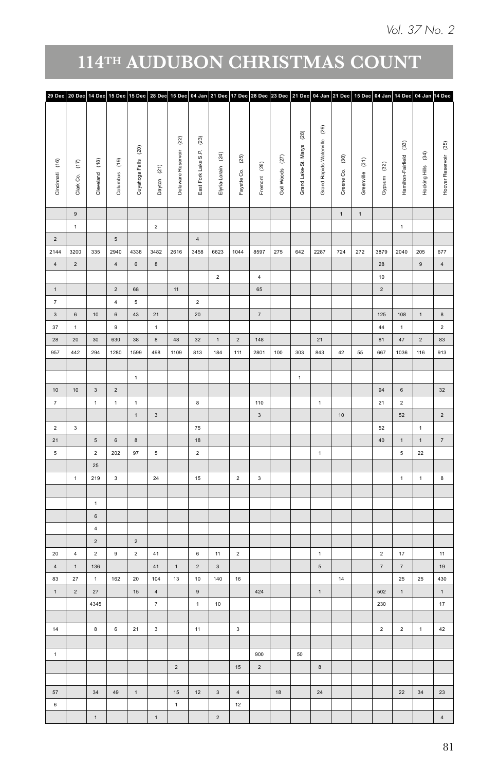|                         |                         |                                   |                               |                                 |                 |                    | 29 Dec 20 Dec 14 Dec 15 Dec 15 Dec 28 Dec 15 Dec 04 Jan 21 Dec 17 Dec 28 Dec 23 Dec 21 Dec 04 Jan 21 Dec 15 Dec 04 Jan 14 Dec 04 Jan 14 Dec 04 Jan |                         |                         |                 |                      |                         |             |                 |                         |                        |                    |                       |
|-------------------------|-------------------------|-----------------------------------|-------------------------------|---------------------------------|-----------------|--------------------|----------------------------------------------------------------------------------------------------------------------------------------------------|-------------------------|-------------------------|-----------------|----------------------|-------------------------|-------------|-----------------|-------------------------|------------------------|--------------------|-----------------------|
|                         |                         |                                   |                               |                                 |                 |                    |                                                                                                                                                    |                         |                         |                 |                      |                         |             |                 |                         |                        |                    |                       |
|                         |                         |                                   |                               |                                 |                 |                    |                                                                                                                                                    |                         |                         |                 |                      | (29)                    |             |                 |                         |                        |                    |                       |
|                         |                         |                                   |                               |                                 |                 | $\left( 22\right)$ | $\left( 23\right)$                                                                                                                                 |                         |                         |                 | $^{(28)}$            |                         |             |                 |                         | $\widehat{\mathbb{E}}$ |                    |                       |
|                         |                         |                                   |                               | $\rm ^{(20)}$                   |                 |                    | $(24)$                                                                                                                                             |                         | $^{(25)}$               |                 | Grand Lake-St. Marys | Grand Rapids-Waterville | $^{(30)}$   |                 |                         |                        |                    | Hoover Reservoir (35) |
| Cincinnati (16)         | $\epsilon$              |                                   | Cleveland (18)                | Columbus (19)<br>Cuyahoga Falls |                 | Delaware Reservoir | East Fork Lake S.P.                                                                                                                                |                         | Fremont (26)            | Goll Woods (27) |                      |                         |             | Greenville (31) | Gypsum (32)             | Hamilton-Fairfield     | Hocking Hills (34) |                       |
|                         | Clark Co.               |                                   |                               |                                 | Dayton (21)     |                    | Elyria-Lorain                                                                                                                                      |                         | Fayette Co.             |                 |                      |                         | Greene Co.  |                 |                         |                        |                    |                       |
|                         |                         |                                   |                               |                                 |                 |                    |                                                                                                                                                    |                         |                         |                 |                      |                         |             |                 |                         |                        |                    |                       |
|                         | $\,$ 9 $\,$             |                                   |                               |                                 |                 |                    |                                                                                                                                                    |                         |                         |                 |                      |                         | $\mathbf 1$ |                 |                         |                        |                    |                       |
|                         | $\blacktriangleleft$    |                                   |                               |                                 | $\overline{2}$  |                    |                                                                                                                                                    |                         |                         |                 |                      |                         |             | $\,$ 1 $\,$     |                         | $\mathbf 1$            |                    |                       |
| $\sqrt{2}$              |                         |                                   | $\sqrt{5}$                    |                                 |                 |                    | $\,$ 4 $\,$                                                                                                                                        |                         |                         |                 |                      |                         |             |                 |                         |                        |                    |                       |
| 2144                    | 3200                    | 335                               | 2940                          | 4338                            | 3482            | 2616               | 3458<br>6623                                                                                                                                       | 1044                    | 8597                    | 275             | 642                  | 2287                    |             | 724 272         | 3879 2040               |                        | 205                | 677                   |
| $\,$ 4 $\,$             | $\sqrt{2}$              |                                   | $\sqrt{4}$                    | $_{\rm 6}$                      | $\,$ 8 $\,$     |                    |                                                                                                                                                    |                         |                         |                 |                      |                         |             |                 | 28                      |                        | $\overline{9}$     | $\sqrt{4}$            |
|                         |                         |                                   |                               |                                 |                 |                    | $\overline{2}$                                                                                                                                     |                         | $\overline{4}$          |                 |                      |                         |             |                 | $10$                    |                        |                    |                       |
| $\,$ 1 $\,$             |                         |                                   | $\overline{2}$                | 68                              |                 | $11 -$             |                                                                                                                                                    |                         | 65                      |                 |                      |                         |             |                 | $\overline{2}$          |                        |                    |                       |
| $\tau$                  |                         |                                   | $\overline{4}$                | $\sqrt{5}$                      |                 |                    | $\overline{2}$                                                                                                                                     |                         |                         |                 |                      |                         |             |                 |                         |                        |                    |                       |
| $\overline{\mathbf{3}}$ | $6\phantom{.0}$         | $10\,$                            | $_{\rm 6}$                    | 43                              | 21              |                    | $20\,$                                                                                                                                             |                         | $\scriptstyle{7}$       |                 |                      |                         |             |                 | 125                     | 108                    | 1                  | $\bf8$                |
| 37                      | $\overline{1}$          |                                   | 9                             |                                 | 1               |                    |                                                                                                                                                    |                         |                         |                 |                      |                         |             |                 | 44                      | 1                      |                    | $\overline{2}$        |
| ${\bf 28}$              | $20\,$                  | 30 <sub>o</sub>                   | 630                           | $38\,$                          | $\bf 8$         | $\bf 48$           | $32\,$<br>1                                                                                                                                        | $\overline{2}$          | 148                     |                 |                      | 21                      |             |                 | 81                      | $47\,$                 | $\overline{2}$     | 83                    |
| 957                     | 442                     | 294                               | 1280                          | 1599                            | 498             | 1109               | 184<br>813                                                                                                                                         | 111                     | 2801                    | $100\,$         | 303                  | 843                     | 42          | 55              | 667                     | 1036                   | 116                | 913                   |
|                         |                         |                                   |                               | $\,$ 1 $\,$                     |                 |                    |                                                                                                                                                    |                         |                         |                 | $\mathbf 1$          |                         |             |                 |                         |                        |                    |                       |
| $10\,$                  | 10                      | 3 <sup>7</sup>                    | $\sqrt{2}$                    |                                 |                 |                    |                                                                                                                                                    |                         |                         |                 |                      |                         |             |                 | 94                      | $\,$ 6 $\,$            |                    | 32                    |
| $\scriptstyle{7}$       |                         | $\mathbf 1$                       | $\mathbf 1$                   | $\,$ 1 $\,$                     |                 |                    | $\bf 8$                                                                                                                                            |                         | 110                     |                 |                      | $\mathbf 1$             |             |                 | 21                      | $\overline{2}$         |                    |                       |
|                         |                         |                                   |                               | $\mathbf 1$                     | $\mathbf{3}$    |                    |                                                                                                                                                    |                         | $\mathbf{3}$            |                 |                      |                         | $10\,$      |                 |                         | $52\,$                 |                    | $\overline{2}$        |
| $\overline{2}$          | $\overline{\mathbf{3}}$ |                                   |                               |                                 |                 |                    | ${\bf 75}$                                                                                                                                         |                         |                         |                 |                      |                         |             |                 | 52                      |                        | $\mathbf 1$        |                       |
| 21                      |                         |                                   | 5 <sub>5</sub><br>$\,$ 6 $\,$ | $^{\rm 8}$                      |                 |                    | $18\,$                                                                                                                                             |                         |                         |                 |                      |                         |             |                 | $40\,$                  | $\,1\,$                | $\mathbf 1$        | $\,$ 7 $\,$           |
| $\overline{5}$          |                         |                                   | 202<br>$2^{\circ}$            | 97                              | $\mathsf{s}\,$  |                    | $\overline{2}$                                                                                                                                     |                         |                         |                 |                      | 1                       |             |                 |                         | $\,$ 5 $\,$            | $22\,$             |                       |
|                         |                         | $\bf 25$                          |                               |                                 |                 |                    |                                                                                                                                                    |                         |                         |                 |                      |                         |             |                 |                         |                        |                    |                       |
|                         | $\overline{1}$          | 219                               | $\overline{\mathbf{3}}$       |                                 | 24              |                    | $15\,$                                                                                                                                             | $\overline{2}$          | $\overline{\mathbf{3}}$ |                 |                      |                         |             |                 |                         | $\mathbf{1}$           | $\mathbf 1$        | $\bf 8$               |
|                         |                         |                                   |                               |                                 |                 |                    |                                                                                                                                                    |                         |                         |                 |                      |                         |             |                 |                         |                        |                    |                       |
|                         |                         | 1                                 |                               |                                 |                 |                    |                                                                                                                                                    |                         |                         |                 |                      |                         |             |                 |                         |                        |                    |                       |
|                         |                         | $6\overline{6}$<br>$\overline{4}$ |                               |                                 |                 |                    |                                                                                                                                                    |                         |                         |                 |                      |                         |             |                 |                         |                        |                    |                       |
|                         |                         | $\overline{2}$                    |                               | $\overline{2}$                  |                 |                    |                                                                                                                                                    |                         |                         |                 |                      |                         |             |                 |                         |                        |                    |                       |
| $20\,$                  | $\overline{4}$          | $\overline{2}$                    | 9                             | $\overline{2}$                  | 41              |                    | $11\,$<br>$\,6\,$                                                                                                                                  | $\overline{2}$          |                         |                 |                      | $\mathbf{1}$            |             |                 | $\overline{2}$          | $17\,$                 |                    | 11                    |
| $\sqrt{4}$              | $\,$ 1 $\,$             | 136                               |                               |                                 | 41              | 1                  | $\,$ 2 $\,$<br>$_{\rm 3}$                                                                                                                          |                         |                         |                 |                      | $\sqrt{5}$              |             |                 | $\scriptstyle{7}$       | $\scriptstyle{7}$      |                    | 19                    |
| 83                      | $\bf 27$                | $\,$ 1 $\,$                       | 162                           | $20\,$                          | $104\,$         | 13                 | $10\,$<br>$140\,$                                                                                                                                  | 16                      |                         |                 |                      |                         | $14\,$      |                 |                         | 25                     | 25                 | 430                   |
| $\mathbf 1$             | $\sqrt{2}$              | $27\,$                            |                               | 15                              | $\,$ 4 $\,$     |                    | $\mathsf{9}$                                                                                                                                       |                         | 424                     |                 |                      | $\mathbf 1$             |             |                 | 502                     | $\,$ 1 $\,$            |                    | $\mathbf{1}$          |
|                         |                         | 4345                              |                               |                                 | $7\overline{ }$ |                    | $10$<br>$\mathbf{1}$                                                                                                                               |                         |                         |                 |                      |                         |             |                 | 230                     |                        |                    | $17\,$                |
|                         |                         |                                   |                               |                                 |                 |                    |                                                                                                                                                    |                         |                         |                 |                      |                         |             |                 |                         |                        |                    |                       |
| 14                      |                         | $\bf 8$                           | $\,$ 6 $\,$                   | 21                              | $_{3}$          |                    | 11                                                                                                                                                 | $\overline{\mathbf{3}}$ |                         |                 |                      |                         |             |                 | $\overline{\mathbf{2}}$ | $\sqrt{2}$             | $\mathbf 1$        | $42\,$                |
| $\mathbf 1$             |                         |                                   |                               |                                 |                 |                    |                                                                                                                                                    |                         | 900                     |                 | $50\,$               |                         |             |                 |                         |                        |                    |                       |
|                         |                         |                                   |                               |                                 |                 | $\overline{2}$     |                                                                                                                                                    | 15                      | $\sqrt{2}$              |                 |                      | $\,$ 8 $\,$             |             |                 |                         |                        |                    |                       |
|                         |                         |                                   |                               |                                 |                 |                    |                                                                                                                                                    |                         |                         |                 |                      |                         |             |                 |                         |                        |                    |                       |
| $57\,$                  |                         | 34                                | $49\,$                        | $\,$ 1 $\,$                     |                 | 15                 | 12<br>$\mathbf{3}$                                                                                                                                 | $\overline{4}$          |                         | $18$            |                      | 24                      |             |                 |                         | $22\,$                 | 34                 | $\bf{23}$             |
| $_{\rm 6}$              |                         |                                   |                               |                                 |                 | $\mathbf{1}$       |                                                                                                                                                    | 12                      |                         |                 |                      |                         |             |                 |                         |                        |                    |                       |
|                         |                         | $\mathbf{1}$                      |                               |                                 | $\,$ 1 $\,$     |                    | $\overline{2}$                                                                                                                                     |                         |                         |                 |                      |                         |             |                 |                         |                        |                    | 4                     |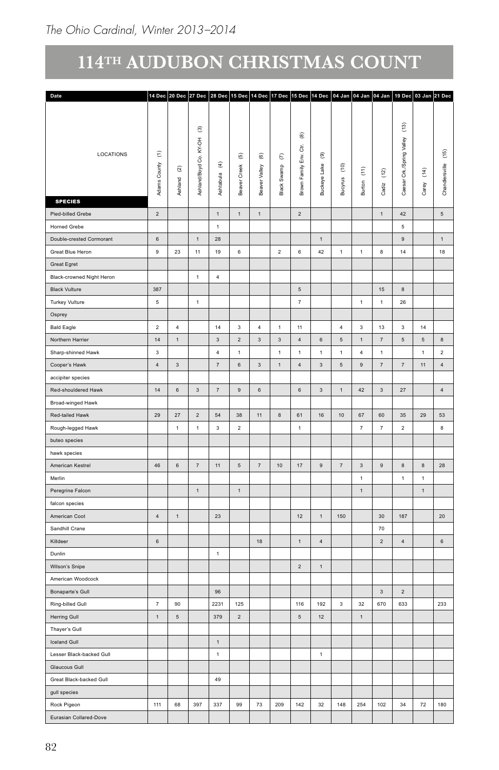| Date                      |                                         |                               |                                   |                                        |                                             |                                           |                           |                                           |                              |                                 |                                             |                             |                          | 14 Dec 20 Dec 27 Dec 28 Dec 15 Dec 14 Dec 17 Dec 15 Dec 14 Dec 04 Jan 04 Jan 04 Jan 19 Dec 03 Jan 21 Dec |                          |
|---------------------------|-----------------------------------------|-------------------------------|-----------------------------------|----------------------------------------|---------------------------------------------|-------------------------------------------|---------------------------|-------------------------------------------|------------------------------|---------------------------------|---------------------------------------------|-----------------------------|--------------------------|----------------------------------------------------------------------------------------------------------|--------------------------|
|                           |                                         |                               |                                   |                                        |                                             |                                           |                           |                                           |                              |                                 |                                             |                             |                          |                                                                                                          |                          |
|                           |                                         |                               | $\widehat{\mathfrak{S}}$<br>KY-OH |                                        |                                             |                                           |                           | $_{\circledR}$<br>$\ddot{\tilde{\sigma}}$ |                              |                                 |                                             |                             | $\binom{3}{2}$<br>Valley |                                                                                                          |                          |
| LOCATIONS                 | $\boldsymbol{\epsilon}$<br>Adams County | $\widehat{\alpha}$<br>Ashland | Ashland/Boyd Co.                  | $\widehat{\mathfrak{T}}$<br>Ashtabu la | $\widehat{\mathfrak{G}}$<br>Creek<br>Beaver | $\widehat{\mathfrak{G}}$<br>Beaver Valley | $\epsilon$<br>Black Swamp | $\mathsf{Env}$<br>Brown Family            | $^\circledR$<br>Buckeye Lake | $\widehat{\epsilon}$<br>Bucyrus | $\widehat{\boldsymbol{\epsilon}}$<br>Burton | $\left( 12\right)$<br>Cadiz | Crk./Spring<br>Caesar    | $\widehat{\mathfrak{t}}$<br>Carey                                                                        | $(15)$<br>Chandlersville |
| <b>SPECIES</b>            |                                         |                               |                                   |                                        |                                             |                                           |                           |                                           |                              |                                 |                                             |                             |                          |                                                                                                          |                          |
| Pied-billed Grebe         | $\overline{2}$                          |                               |                                   | 1                                      | $\mathbf{1}$                                | $\overline{1}$                            |                           | $\overline{2}$                            |                              |                                 |                                             | $\mathbf{1}$                | $42\,$                   |                                                                                                          | $5\overline{5}$          |
| Horned Grebe              |                                         |                               |                                   | $\mathbf 1$                            |                                             |                                           |                           |                                           |                              |                                 |                                             |                             | $\,$ 5 $\,$              |                                                                                                          |                          |
| Double-crested Cormorant  | $\,$ 6 $\,$                             |                               | $\,1\,$                           | $28\,$                                 |                                             |                                           |                           |                                           | $\mathbf{1}$                 |                                 |                                             |                             | $\boldsymbol{9}$         |                                                                                                          | $\mathbf{1}$             |
| Great Blue Heron          | $\boldsymbol{9}$                        | $23\,$                        | 11                                | 19                                     | $\mathbf 6$                                 |                                           | $\overline{2}$            | $\,6\,$                                   | 42                           | $\mathbf{1}$                    | $\mathbf{1}$                                | $\bf8$                      | $14\,$                   |                                                                                                          | 18                       |
| Great Egret               |                                         |                               |                                   |                                        |                                             |                                           |                           |                                           |                              |                                 |                                             |                             |                          |                                                                                                          |                          |
| Black-crowned Night Heron |                                         |                               | $\mathbf{1}$                      | $\overline{4}$                         |                                             |                                           |                           |                                           |                              |                                 |                                             |                             |                          |                                                                                                          |                          |
| <b>Black Vulture</b>      | 387                                     |                               |                                   |                                        |                                             |                                           |                           | $\,$ 5 $\,$                               |                              |                                 |                                             | $15\,$                      | $\bf8$                   |                                                                                                          |                          |
| Turkey Vulture            | 5                                       |                               | $\mathbf{1}$                      |                                        |                                             |                                           |                           | 7                                         |                              |                                 | $\overline{1}$                              | 1                           | ${\bf 26}$               |                                                                                                          |                          |
| Osprey                    |                                         |                               |                                   |                                        |                                             |                                           |                           |                                           |                              |                                 |                                             |                             |                          |                                                                                                          |                          |
| <b>Bald Eagle</b>         | $\overline{2}$                          | $\overline{4}$                |                                   | 14                                     | $\overline{\mathbf{3}}$                     | $\overline{4}$                            | $\overline{1}$            | 11                                        |                              | $\overline{4}$                  | $\mathbf{3}$                                | 13                          | $\overline{\mathbf{3}}$  | 14                                                                                                       |                          |
| Northern Harrier          | 14                                      | $\overline{1}$                |                                   | $\overline{\mathbf{3}}$                | $\overline{2}$                              | $\mathbf{3}$                              | $\overline{3}$            | $\overline{4}$                            | $6\overline{6}$              | $\sqrt{5}$                      | $\overline{1}$                              | $\overline{7}$              | $5\overline{5}$          | $5\overline{5}$                                                                                          | $\mathbf{8}$             |
| Sharp-shinned Hawk        | $\overline{\mathbf{3}}$                 |                               |                                   | $\overline{4}$                         | $\mathbf{1}$                                |                                           | $\overline{1}$            | $\mathbf{1}$                              | 1                            | $\overline{1}$                  | $\overline{4}$                              | 1                           |                          | $\overline{1}$                                                                                           | $\overline{2}$           |
| Cooper's Hawk             | $\overline{4}$                          | $\mathbf{3}$                  |                                   | $\overline{7}$                         | $6\overline{6}$                             | $\overline{\mathbf{3}}$                   | 1                         | $\overline{4}$                            | $\overline{\mathbf{3}}$      | $5\phantom{.0}$                 | 9                                           | $\scriptstyle{7}$           | 7                        | 11                                                                                                       | $\overline{4}$           |
| accipiter species         |                                         |                               |                                   |                                        |                                             |                                           |                           |                                           |                              |                                 |                                             |                             |                          |                                                                                                          |                          |
| Red-shouldered Hawk       | 14                                      | $_{\rm 6}$                    | $\overline{\mathbf{3}}$           | $\scriptstyle{7}$                      | 9                                           | $_{\rm 6}$                                |                           | $_{\rm 6}$                                | $\mathbf{3}$                 | $\overline{1}$                  | 42                                          | $\mathbf{3}$                | 27                       |                                                                                                          | $\overline{4}$           |
| Broad-winged Hawk         |                                         |                               |                                   |                                        |                                             |                                           |                           |                                           |                              |                                 |                                             |                             |                          |                                                                                                          |                          |
| Red-tailed Hawk           | 29                                      | $27\,$                        | $\overline{2}$                    | 54                                     | 38                                          | 11                                        | $^{\rm 8}$                | 61                                        | $16\,$                       | $10$                            | 67                                          | 60                          | $35\,$                   | 29                                                                                                       | 53                       |
| Rough-legged Hawk         |                                         | $\mathbf{1}$                  | $\mathbf 1$                       | $_{\rm 3}$                             | $\overline{2}$                              |                                           |                           | $\mathbf 1$                               |                              |                                 | $\scriptstyle{7}$                           | $\scriptstyle\rm 7$         | $\overline{2}$           |                                                                                                          | $\bf8$                   |
| buteo species             |                                         |                               |                                   |                                        |                                             |                                           |                           |                                           |                              |                                 |                                             |                             |                          |                                                                                                          |                          |
| hawk species              |                                         |                               |                                   |                                        |                                             |                                           |                           |                                           |                              |                                 |                                             |                             |                          |                                                                                                          |                          |
| American Kestrel          | 46                                      | $\,$ 6 $\,$                   | $7\overline{ }$                   | 11                                     | $5\phantom{.0}$                             | 7                                         | $10$                      | 17                                        | $\mathsf{9}$                 | $\scriptstyle{7}$               | $_{3}$                                      | $9\,$                       | 8                        | $\,$ 8 $\,$                                                                                              | 28                       |
| Merlin                    |                                         |                               |                                   |                                        |                                             |                                           |                           |                                           |                              |                                 | $\overline{1}$                              |                             | 1                        | $\overline{1}$                                                                                           |                          |
| Peregrine Falcon          |                                         |                               | 1                                 |                                        | $\mathbf{1}$                                |                                           |                           |                                           |                              |                                 | $\overline{1}$                              |                             |                          | $\mathbf{1}$                                                                                             |                          |
| falcon species            |                                         |                               |                                   |                                        |                                             |                                           |                           |                                           |                              |                                 |                                             |                             |                          |                                                                                                          |                          |
| American Coot             | 4                                       | $\overline{1}$                |                                   | 23                                     |                                             |                                           |                           | 12                                        | 1                            | 150                             |                                             | 30                          | 187                      |                                                                                                          | $20\degree$              |
| Sandhill Crane            |                                         |                               |                                   |                                        |                                             |                                           |                           |                                           |                              |                                 |                                             | 70                          |                          |                                                                                                          |                          |
| Killdeer                  | $_{\rm 6}$                              |                               |                                   |                                        |                                             | 18                                        |                           | 1                                         | $\overline{4}$               |                                 |                                             | $\overline{2}$              | $\sqrt{4}$               |                                                                                                          | $\,$ 6 $\,$              |
| Dunlin                    |                                         |                               |                                   | 1                                      |                                             |                                           |                           |                                           |                              |                                 |                                             |                             |                          |                                                                                                          |                          |
| Wilson's Snipe            |                                         |                               |                                   |                                        |                                             |                                           |                           | $\overline{2}$                            | $\,1\,$                      |                                 |                                             |                             |                          |                                                                                                          |                          |
| American Woodcock         |                                         |                               |                                   |                                        |                                             |                                           |                           |                                           |                              |                                 |                                             |                             |                          |                                                                                                          |                          |
| Bonaparte's Gull          |                                         |                               |                                   | 96                                     |                                             |                                           |                           |                                           |                              |                                 |                                             | $\mathbf{3}$                | $\sqrt{2}$               |                                                                                                          |                          |
| Ring-billed Gull          | $\scriptstyle{7}$                       | $90\,$                        |                                   | 2231                                   | 125                                         |                                           |                           | 116                                       | 192                          | $\overline{\mathbf{3}}$         | $32\,$                                      | 670                         | 633                      |                                                                                                          | 233                      |
| Herring Gull              | $\mathbf 1$                             | $\sqrt{5}$                    |                                   | 379                                    | $\overline{2}$                              |                                           |                           | $\mathbf 5$                               | $12\,$                       |                                 | $\overline{1}$                              |                             |                          |                                                                                                          |                          |
| Thayer's Gull             |                                         |                               |                                   |                                        |                                             |                                           |                           |                                           |                              |                                 |                                             |                             |                          |                                                                                                          |                          |
| Iceland Gull              |                                         |                               |                                   | $\mathbf{1}$                           |                                             |                                           |                           |                                           |                              |                                 |                                             |                             |                          |                                                                                                          |                          |
| Lesser Black-backed Gull  |                                         |                               |                                   | $\overline{1}$                         |                                             |                                           |                           |                                           | $\mathbf{1}$                 |                                 |                                             |                             |                          |                                                                                                          |                          |
| Glaucous Gull             |                                         |                               |                                   |                                        |                                             |                                           |                           |                                           |                              |                                 |                                             |                             |                          |                                                                                                          |                          |
| Great Black-backed Gull   |                                         |                               |                                   | 49                                     |                                             |                                           |                           |                                           |                              |                                 |                                             |                             |                          |                                                                                                          |                          |
| gull species              |                                         |                               |                                   |                                        |                                             |                                           |                           |                                           |                              |                                 |                                             |                             |                          |                                                                                                          |                          |
| Rock Pigeon               | 111                                     | 68                            | 397                               | 337                                    | 99                                          | 73                                        | 209                       | $142\,$                                   | 32                           | 148                             | 254                                         | 102                         | 34                       | 72                                                                                                       | 180                      |
| Eurasian Collared-Dove    |                                         |                               |                                   |                                        |                                             |                                           |                           |                                           |                              |                                 |                                             |                             |                          |                                                                                                          |                          |
|                           |                                         |                               |                                   |                                        |                                             |                                           |                           |                                           |                              |                                 |                                             |                             |                          |                                                                                                          |                          |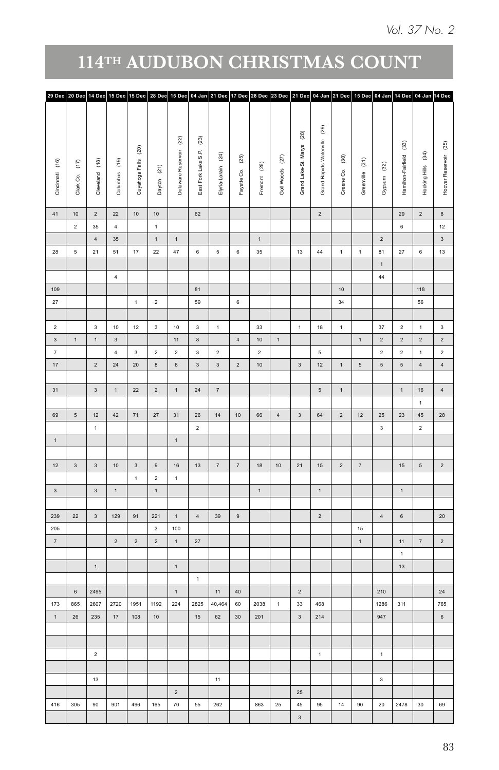| 29 Dec 20 Dec 14 Dec 15 Dec 15 Dec 28 Dec 15 Dec 04 Jan 21 Dec 17 Dec 28 Dec 23 Dec 21 Dec 04 Jan 21 Dec 15 Dec 04 Jan 14 Dec 04 Jan 14 Dec |            |                                  |                                           |                         |                    |                                |                   |                          |                |                 |                         |                         |                |                  |                         |                          |                         |                       |
|---------------------------------------------------------------------------------------------------------------------------------------------|------------|----------------------------------|-------------------------------------------|-------------------------|--------------------|--------------------------------|-------------------|--------------------------|----------------|-----------------|-------------------------|-------------------------|----------------|------------------|-------------------------|--------------------------|-------------------------|-----------------------|
|                                                                                                                                             |            |                                  |                                           |                         |                    |                                |                   |                          |                |                 |                         |                         |                |                  |                         |                          |                         |                       |
|                                                                                                                                             |            |                                  |                                           |                         |                    |                                |                   |                          |                |                 |                         |                         |                |                  |                         |                          |                         |                       |
|                                                                                                                                             |            |                                  |                                           |                         |                    |                                |                   |                          |                |                 | $^{(28)}$               | $^{(29)}$               |                |                  |                         |                          |                         |                       |
|                                                                                                                                             |            |                                  | $\widehat{\mathbb{S}}$                    |                         | $(22)$             | $(\overline{\boldsymbol{23}})$ |                   |                          |                |                 |                         | Grand Rapids-Waterville |                |                  |                         | $\widehat{\mathfrak{B}}$ |                         |                       |
|                                                                                                                                             |            |                                  |                                           |                         | Delaware Reservoir | East Fork Lake S.P.            | (24)              | $(25)$                   |                |                 | Grand Lake-St. Marys    |                         | $_{(30)}$      |                  |                         |                          | Hocking Hills (34)      | Hoover Reservoir (35) |
| Cincinnati (16)                                                                                                                             | $\epsilon$ | $\widehat{\mathsf{f}}$           | Columbus (19)<br>Cuyahoga Falls           | Dayton (21)             |                    |                                |                   |                          | Fremont (26)   | Goll Woods (27) |                         |                         |                | Greenville (31)  | $^{(32)}$               | Hamilton-Fairfield       |                         |                       |
|                                                                                                                                             |            |                                  |                                           |                         |                    |                                | Elyria-Lorain     |                          |                |                 |                         |                         | Greene Co.     |                  |                         |                          |                         |                       |
|                                                                                                                                             | Clark Co.  | Cleveland                        |                                           |                         |                    |                                |                   | Fayette Co.              |                |                 |                         |                         |                |                  | Gypsum                  |                          |                         |                       |
|                                                                                                                                             |            |                                  |                                           |                         |                    |                                |                   |                          |                |                 |                         |                         |                |                  |                         |                          |                         |                       |
| 41<br>$10\,$                                                                                                                                |            | $\overline{2}$<br>22             | 10                                        | 10                      |                    | 62                             |                   |                          |                |                 |                         | $\overline{2}$          |                |                  |                         | 29                       | $\overline{2}$          | $^{\rm 8}$            |
| $\overline{2}$                                                                                                                              |            | $35\,$                           | 4                                         | 1                       |                    |                                |                   |                          |                |                 |                         |                         |                |                  |                         | $\,6\,$                  |                         | 12                    |
|                                                                                                                                             |            | $\sqrt{4}$<br>$35\,$             |                                           | 1                       | 1                  |                                |                   |                          | 1              |                 |                         |                         |                |                  | $\overline{2}$          |                          |                         | 3 <sup>1</sup>        |
| 28<br>$\overline{5}$                                                                                                                        |            | 21<br>51                         | 17                                        | $22\,$                  | 47                 | $6\,$                          | $5\overline{5}$   | $6\overline{6}$          | $35\,$         |                 | 13                      | 44                      | $\mathbf{1}$   | $\mathbf{1}$     | 81                      | $27\,$                   | $6\,$                   | 13                    |
|                                                                                                                                             |            |                                  |                                           |                         |                    |                                |                   |                          |                |                 |                         |                         |                |                  | $\mathbf{1}$            |                          |                         |                       |
|                                                                                                                                             |            |                                  | 4                                         |                         |                    |                                |                   |                          |                |                 |                         |                         |                |                  | 44                      |                          |                         |                       |
| 109                                                                                                                                         |            |                                  |                                           |                         |                    | 81                             |                   |                          |                |                 |                         |                         | 10             |                  |                         |                          | 118                     |                       |
| $27\,$                                                                                                                                      |            |                                  | $\mathbf 1$                               | $\,$ 2 $\,$             |                    | 59                             |                   | $\,$ 6 $\,$              |                |                 |                         |                         | $34\,$         |                  |                         |                          | 56                      |                       |
|                                                                                                                                             |            |                                  |                                           |                         |                    |                                |                   |                          |                |                 |                         |                         |                |                  |                         |                          |                         |                       |
| $\overline{2}$                                                                                                                              |            | 3 <sup>1</sup>                   | $10$<br>12                                | $\mathbf{3}$            | $10$               | $3^{\circ}$                    | $\mathbf{1}$      |                          | $_{33}$        |                 | $1 -$                   | 18                      | $\mathbf 1$    |                  | 37                      | $\overline{2}$           | $\mathbf 1$             | $_{\rm 3}$            |
| $_{\rm 3}$<br>$\,$ 1 $\,$                                                                                                                   |            | $\overline{\mathbf{3}}$<br>$1$ . |                                           |                         | 11                 | $\bf8$                         |                   | 4                        | $10\,$         | 1               |                         |                         |                | $1$ .            | $\overline{2}$          | $\mathbf{2}^-$           | $\overline{\mathbf{2}}$ | $\overline{2}$        |
| $\scriptstyle{7}$                                                                                                                           |            |                                  | $\overline{4}$<br>$\overline{\mathbf{3}}$ | $\overline{2}$          | $\overline{2}$     | $^{\rm 3}$                     | $\overline{2}$    |                          | $\overline{2}$ |                 |                         | $5\phantom{.0}$         |                |                  | $\overline{2}$          | $\overline{\mathbf{2}}$  | $\mathbf{1}$            | $\overline{2}$        |
| $17\,$                                                                                                                                      |            | $2^{\circ}$<br>$24\,$            | $20\,$                                    | $^{\rm 8}$              | $\,$ 8 $\,$        | $\overline{\mathbf{3}}$        | $_{\rm 3}$        | $\overline{\phantom{a}}$ | $10\,$         |                 | $3^{\circ}$             | $12$                    | $\mathbf 1$    | $\sqrt{5}$       | $\sqrt{5}$              | $\mathbf 5$              | $\overline{4}$          | $\overline{4}$        |
|                                                                                                                                             |            |                                  |                                           |                         |                    |                                |                   |                          |                |                 |                         |                         |                |                  |                         |                          |                         |                       |
| 31                                                                                                                                          |            | $3^{\circ}$                      | 22<br>1                                   | $\overline{2}$          | 1                  | 24                             | $\scriptstyle{7}$ |                          |                |                 |                         | $5\overline{)}$         | $\,$ 1 $\,$    |                  |                         | $1 -$                    | $16\,$                  |                       |
|                                                                                                                                             |            |                                  |                                           |                         |                    |                                |                   |                          |                |                 |                         |                         |                |                  |                         |                          | $\mathbf{1}$            |                       |
| 69<br>$\sqrt{5}$                                                                                                                            |            | 12                               | 42<br>71                                  | 27                      | 31                 | $26\,$                         | 14                | $10\,$                   | $66\,$         | $\overline{4}$  | $\overline{\mathbf{3}}$ | $64\,$                  | $\overline{2}$ | 12               | $25\,$                  | $23\,$                   | 45 <sup>°</sup>         | 28                    |
|                                                                                                                                             |            | $\mathbf{1}$                     |                                           |                         |                    | $\overline{2}$                 |                   |                          |                |                 |                         |                         |                |                  | $\overline{\mathbf{3}}$ |                          | $\overline{2}$          |                       |
| $\mathbf 1$                                                                                                                                 |            |                                  |                                           |                         | 1                  |                                |                   |                          |                |                 |                         |                         |                |                  |                         |                          |                         |                       |
|                                                                                                                                             |            |                                  |                                           |                         |                    |                                |                   |                          |                |                 |                         |                         |                |                  |                         |                          |                         |                       |
| $\overline{\mathbf{3}}$<br>12                                                                                                               |            | 3 <sup>7</sup>                   | 10<br>$\mathbf{3}$                        | 9                       | $16\,$             | 13                             | 7                 | $\scriptstyle{7}$        | 18             | 10              | 21                      | 15                      | $\overline{2}$ | 7                |                         | 15                       | $5\overline{)}$         | $\overline{2}$        |
|                                                                                                                                             |            |                                  | $\mathbf{1}$                              | $\overline{2}$          | 1                  |                                |                   |                          |                |                 |                         |                         |                |                  |                         |                          |                         |                       |
| 3                                                                                                                                           |            | $\overline{\mathbf{3}}$          | 1                                         | $\mathbf{1}$            |                    |                                |                   |                          | 1              |                 |                         | $\mathbf{1}$            |                |                  |                         | $\mathbf{1}$             |                         |                       |
|                                                                                                                                             |            |                                  |                                           |                         |                    |                                |                   |                          |                |                 |                         |                         |                |                  |                         |                          |                         |                       |
| 22<br>239                                                                                                                                   |            | $\mathbf{3}$                     | 91<br>129                                 | 221                     | $\mathbf{1}$       | $\sqrt{4}$                     | 39                | $\,$ 9 $\,$              |                |                 |                         | $\overline{2}$          |                |                  | $\sqrt{4}$              | $\,$ 6 $\,$              |                         | $20\degree$           |
| 205                                                                                                                                         |            |                                  |                                           | $_{3}$                  | $100\,$            |                                |                   |                          |                |                 |                         |                         |                | 15 <sub>15</sub> |                         |                          |                         |                       |
| $\scriptstyle\rm 7$                                                                                                                         |            |                                  | $\overline{2}$<br>$\overline{2}$          | $\overline{\mathbf{2}}$ | $1$ .              | $27\,$                         |                   |                          |                |                 |                         |                         |                | $\,$ 1 $\,$      |                         | 11                       | $\scriptstyle{7}$       | $\overline{2}$        |
|                                                                                                                                             |            |                                  |                                           |                         |                    |                                |                   |                          |                |                 |                         |                         |                |                  |                         | $\mathbf 1$              |                         |                       |
|                                                                                                                                             |            | $\,$ 1 $\,$                      |                                           |                         | $\mathbf{1}$       |                                |                   |                          |                |                 |                         |                         |                |                  |                         | 13                       |                         |                       |
|                                                                                                                                             |            |                                  |                                           |                         |                    | $\,1\,$                        |                   |                          |                |                 |                         |                         |                |                  |                         |                          |                         |                       |
| $\,$ 6 $\,$                                                                                                                                 | 2495       |                                  |                                           |                         | $\mathbf{1}$       |                                | 11                | 40                       |                |                 | $\overline{\mathbf{2}}$ |                         |                |                  | $210\,$                 |                          |                         | $_{\rm 24}$           |
| 173<br>865                                                                                                                                  |            | 2720<br>2607                     | 1951                                      | 1192                    | 224                | 2825                           | 40,464            | $60\,$                   | 2038           | $\mathbf{1}$    | $33\,$                  | 468                     |                |                  | 1286                    | 311                      |                         | 765                   |
| $\,$ 1 $\,$<br>$26\,$                                                                                                                       | 235        |                                  | 17<br>108                                 | $10$                    |                    | $15\,$                         | $62\,$            | $30\,$                   | $201$          |                 | $\overline{\mathbf{3}}$ | 214                     |                |                  | 947                     |                          |                         | $\,$ 6 $\,$           |
|                                                                                                                                             |            |                                  |                                           |                         |                    |                                |                   |                          |                |                 |                         |                         |                |                  |                         |                          |                         |                       |
|                                                                                                                                             |            |                                  |                                           |                         |                    |                                |                   |                          |                |                 |                         |                         |                |                  |                         |                          |                         |                       |
|                                                                                                                                             |            | $\overline{2}$                   |                                           |                         |                    |                                |                   |                          |                |                 |                         | 1                       |                |                  | 1                       |                          |                         |                       |
|                                                                                                                                             |            |                                  |                                           |                         |                    |                                |                   |                          |                |                 |                         |                         |                |                  |                         |                          |                         |                       |
|                                                                                                                                             |            | 13                               |                                           |                         |                    |                                | 11                |                          |                |                 |                         |                         |                |                  | $\overline{3}$          |                          |                         |                       |
|                                                                                                                                             |            |                                  |                                           |                         | $\overline{2}$     |                                |                   |                          |                |                 | $25\,$                  |                         |                |                  |                         |                          |                         |                       |
|                                                                                                                                             |            |                                  |                                           |                         |                    |                                |                   |                          |                |                 |                         |                         |                |                  |                         |                          |                         | 69                    |
| 416<br>305                                                                                                                                  |            | 90                               | 901<br>496                                | 165                     | 70                 | 55                             | 262               |                          | 863            | 25              | 45                      | $95\,$                  | 14             | 90               | $20\,$                  | 2478                     | 30                      |                       |
|                                                                                                                                             |            |                                  |                                           |                         |                    |                                |                   |                          |                |                 | $\mathbf{3}$            |                         |                |                  |                         |                          |                         |                       |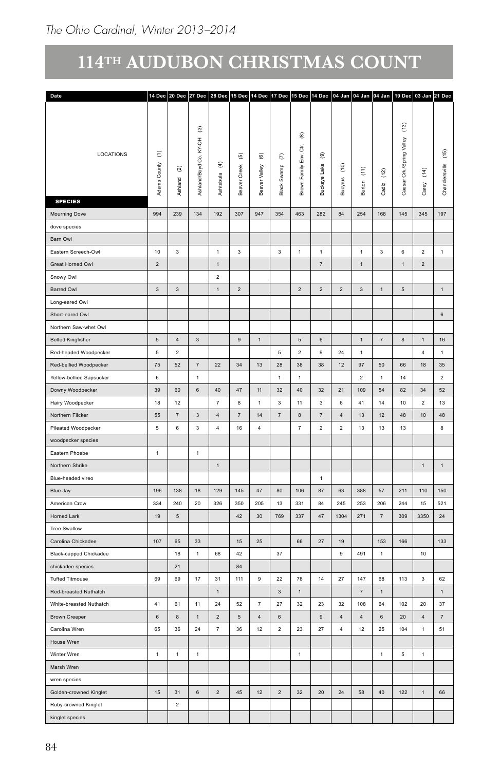| Date                                 |                                |                               |                                        |                          |                          |                         |                                |                         |                          |                                              |                           |                                     |                                  | 14 Dec 20 Dec 27 Dec 28 Dec 15 Dec 14 Dec 17 Dec 15 Dec 14 Dec 04 Jan 04 Jan 04 Jan 19 Dec 03 Jan 21 Dec |                 |
|--------------------------------------|--------------------------------|-------------------------------|----------------------------------------|--------------------------|--------------------------|-------------------------|--------------------------------|-------------------------|--------------------------|----------------------------------------------|---------------------------|-------------------------------------|----------------------------------|----------------------------------------------------------------------------------------------------------|-----------------|
|                                      |                                |                               |                                        |                          |                          |                         |                                |                         |                          |                                              |                           |                                     |                                  |                                                                                                          |                 |
| LOCATIONS                            | $\widehat{\Xi}$                |                               | $\widehat{\mathfrak{S}}$<br>KY-OH<br>8 | $\widehat{\mathfrak{T}}$ | $\widehat{\mathfrak{G}}$ | $\widehat{\circledast}$ | $\epsilon$                     | ම<br>ਰ<br>$\tilde{\Xi}$ | $^\circledR$             |                                              |                           |                                     | $\left(13\right)$<br>Valley<br>g |                                                                                                          | $(15)$          |
| <b>SPECIES</b>                       | È<br>$\overline{c}$<br>Γ£<br>ę | $\widehat{\omega}$<br>Ashland | Ashland/Boyd                           | Ashtabula                | Creek<br>উ<br>å          | Beaver Valley           | Black Swamp                    | Brown Family            | teye Lake<br><b>Buck</b> | $\widehat{\epsilon}$<br>$\mathbf{S}$<br>Bucy | $\widehat{\Xi}$<br>Burton | $\widetilde{\mathfrak{L}}$<br>Cadiz | ិ៍<br>ౙ<br>ෂී                    | $\widehat{\mathfrak{L}}$<br>Carey                                                                        | Chandlersville  |
|                                      |                                |                               |                                        |                          |                          |                         |                                |                         |                          |                                              |                           |                                     |                                  |                                                                                                          |                 |
| Mourning Dove                        | 994                            | 239                           | 134                                    | 192                      | 307                      | 947                     | 354                            | 463                     | 282                      | 84                                           | 254                       | 168                                 | 145                              | 345                                                                                                      | 197             |
| dove species                         |                                |                               |                                        |                          |                          |                         |                                |                         |                          |                                              |                           |                                     |                                  |                                                                                                          |                 |
| Barn Owl                             |                                |                               |                                        |                          |                          |                         |                                |                         |                          |                                              |                           |                                     |                                  |                                                                                                          |                 |
| Eastern Screech-Owl                  | 10                             | $\mathbf{3}$                  |                                        | $\overline{1}$           | $\mathbf{3}$             |                         | $\mathbf{3}$                   | $\mathbf{1}$            | 1                        |                                              | $\overline{1}$            | $\mathbf{3}$                        | 6                                | $\overline{2}$                                                                                           | $\overline{1}$  |
| Great Horned Owl                     | $\overline{2}$                 |                               |                                        | $\overline{1}$           |                          |                         |                                |                         | $\overline{7}$           |                                              | $\overline{1}$            |                                     | $\overline{1}$                   | $\overline{2}$                                                                                           |                 |
| Snowy Owl                            |                                |                               |                                        | $\overline{2}$           |                          |                         |                                |                         |                          |                                              |                           |                                     |                                  |                                                                                                          |                 |
| Barred Owl                           | $\overline{\mathbf{3}}$        | $\mathbf{3}$                  |                                        | $\overline{1}$           | $\overline{2}$           |                         |                                | $\overline{2}$          | $\overline{2}$           | $\overline{2}$                               | $\overline{\mathbf{3}}$   | 1                                   | $5\overline{5}$                  |                                                                                                          | 1               |
| Long-eared Owl                       |                                |                               |                                        |                          |                          |                         |                                |                         |                          |                                              |                           |                                     |                                  |                                                                                                          |                 |
| Short-eared Owl                      |                                |                               |                                        |                          |                          |                         |                                |                         |                          |                                              |                           |                                     |                                  |                                                                                                          | $6\overline{6}$ |
| Northern Saw-whet Owl                |                                |                               |                                        |                          |                          |                         |                                |                         |                          |                                              |                           |                                     |                                  |                                                                                                          |                 |
| <b>Belted Kingfisher</b>             | $5\overline{5}$                | $\sqrt{4}$                    | $\mathbf{3}$                           |                          | 9                        | $\overline{1}$          |                                | $\,$ 5 $\,$             | $\,6\,$                  |                                              | $\overline{1}$            | $\scriptstyle{7}$                   | $\bf8$                           | $\overline{1}$                                                                                           | 16              |
| Red-headed Woodpecker                | $\sqrt{5}$                     | $\overline{2}$                |                                        |                          |                          |                         | $\sqrt{5}$                     | $\overline{2}$          | 9                        | 24                                           | $\overline{1}$            |                                     |                                  | $\overline{4}$                                                                                           | $\mathbf{1}$    |
| Red-bellied Woodpecker               | 75<br>$\,6\,$                  | $52\,$                        | $7\overline{ }$<br>$\mathbf{1}$        | 22                       | 34                       | 13                      | 28<br>$\overline{1}$           | 38                      | 38                       | 12                                           | 97                        | 50                                  | 66                               | 18                                                                                                       | 35              |
| Yellow-bellied Sapsucker             |                                |                               |                                        |                          |                          |                         |                                | $\mathbf{1}$            |                          |                                              | $\overline{2}$            | $\mathbf{1}$                        | $14\,$                           |                                                                                                          | $\overline{2}$  |
| Downy Woodpecker                     | 39                             | 60                            | $\,$ 6 $\,$                            | 40                       | 47                       | 11                      | $32\,$                         | 40                      | 32                       | 21                                           | 109                       | 54                                  | 82                               | 34                                                                                                       | 52              |
| Hairy Woodpecker                     | 18<br>$^{\rm 55}$              | 12<br>$\overline{7}$          |                                        | $\overline{7}$           | 8                        | $\overline{1}$          | $\mathbf{3}$<br>$\overline{7}$ | 11                      | $\mathbf{3}$             | $6\phantom{.0}$                              | 41                        | 14                                  | $10\,$                           | $\overline{a}$<br>$10$                                                                                   | 13              |
| Northern Flicker                     |                                |                               | $\mathbf{3}$                           | $\sqrt{4}$               | $7^{\circ}$<br>16        | 14                      |                                | $\bf8$                  | 7                        | $\overline{4}$                               | 13                        | 12                                  | $\bf 48$                         |                                                                                                          | 48              |
| Pileated Woodpecker                  | $5\phantom{.0}$                | 6                             | $\mathbf{3}$                           | $\overline{4}$           |                          | $\overline{4}$          |                                | 7                       | $\overline{2}$           | $\sqrt{2}$                                   | $13\,$                    | 13                                  | $13\,$                           |                                                                                                          | 8               |
| woodpecker species<br>Eastern Phoebe | $\overline{1}$                 |                               |                                        |                          |                          |                         |                                |                         |                          |                                              |                           |                                     |                                  |                                                                                                          |                 |
|                                      |                                |                               | $\overline{1}$                         |                          |                          |                         |                                |                         |                          |                                              |                           |                                     |                                  |                                                                                                          |                 |
| Northern Shrike                      |                                |                               |                                        | $\mathbf{1}$             |                          |                         |                                |                         |                          |                                              |                           |                                     |                                  | $\mathbf{1}$                                                                                             | 1               |
| Blue-headed vireo                    |                                |                               |                                        |                          |                          |                         |                                |                         | $\overline{1}$           |                                              |                           |                                     |                                  |                                                                                                          |                 |
| Blue Jay                             | 196                            | 138                           | 18                                     | 129                      | 145                      | $47\,$                  | 80                             | 106                     | 87                       | 63                                           | 388                       | 57                                  | 211                              | 110                                                                                                      | 150             |
| American Crow                        | 334                            | 240                           | $20\,$                                 | 326                      | 350                      | 205                     | 13                             | 331                     | 84                       | 245                                          | 253                       | 206                                 | 244                              | 15                                                                                                       | 521             |
| Horned Lark                          | 19                             | $\sqrt{5}$                    |                                        |                          | 42                       | 30                      | 769                            | 337                     | 47                       | 1304                                         | 271                       | $\scriptstyle{7}$                   | 309                              | 3350                                                                                                     | 24              |
| <b>Tree Swallow</b>                  |                                |                               |                                        |                          |                          |                         |                                |                         |                          |                                              |                           |                                     |                                  |                                                                                                          |                 |
| Carolina Chickadee                   | $107\,$                        | 65                            | $33\,$                                 |                          | $15\,$                   | $25\,$                  |                                | 66                      | $27\,$                   | 19                                           |                           | 153                                 | 166                              |                                                                                                          | 133             |
| Black-capped Chickadee               |                                | $18\,$                        | $\mathbf{1}$                           | 68                       | $42\,$                   |                         | $37\,$                         |                         |                          | $\boldsymbol{9}$                             | 491                       | $\overline{1}$                      |                                  | 10                                                                                                       |                 |
| chickadee species                    |                                | $21\,$                        |                                        |                          | 84                       |                         |                                |                         |                          |                                              |                           |                                     |                                  |                                                                                                          |                 |
| <b>Tufted Titmouse</b>               | 69                             | 69                            | $17\,$                                 | 31                       | 111                      | 9                       | 22                             | 78                      | 14                       | $\bf 27$                                     | 147                       | 68                                  | 113                              | $\overline{\mathbf{3}}$                                                                                  | 62              |
| Red-breasted Nuthatch                |                                |                               |                                        | $\overline{1}$           |                          |                         | $\mathbf{3}$                   | $\overline{1}$          |                          |                                              | $\overline{7}$            | $\overline{1}$                      |                                  |                                                                                                          | 1               |
| White-breasted Nuthatch              | 41                             | 61                            | $11 -$                                 | 24                       | 52                       | $\overline{7}$          | 27                             | 32                      | 23                       | 32                                           | 108                       | 64                                  | 102                              | 20                                                                                                       | 37              |
| Brown Creeper                        | $_{\rm 6}$                     | $\mathbf{a}$                  | $\overline{1}$                         | $\overline{2}$           | 5 <sup>5</sup>           | $\overline{4}$          | 6                              |                         | $\overline{9}$           | $\overline{4}$                               | $\overline{4}$            | $\,$ 6 $\,$                         | $20\degree$                      | $\overline{4}$                                                                                           | $\overline{7}$  |
| Carolina Wren                        | 65                             | $36\,$                        | 24                                     | $\overline{7}$           | 36                       | $12\,$                  | $\overline{2}$                 | 23                      | $27\,$                   | $\overline{4}$                               | $12\,$                    | 25                                  | 104                              | $\blacksquare$                                                                                           | 51              |
| House Wren                           |                                |                               |                                        |                          |                          |                         |                                |                         |                          |                                              |                           |                                     |                                  |                                                                                                          |                 |
| Winter Wren                          | 1                              | $\mathbf{1}$                  | $\mathbf 1$                            |                          |                          |                         |                                | $\mathbf 1$             |                          |                                              |                           | $\,1\,$                             | $\,$ 5 $\,$                      | $\overline{1}$                                                                                           |                 |
| Marsh Wren                           |                                |                               |                                        |                          |                          |                         |                                |                         |                          |                                              |                           |                                     |                                  |                                                                                                          |                 |
| wren species                         |                                |                               |                                        |                          |                          |                         |                                |                         |                          |                                              |                           |                                     |                                  |                                                                                                          |                 |
| Golden-crowned Kinglet               | 15                             | 31                            | $\,$ 6 $\,$                            | $\sqrt{2}$               | $45\,$                   | 12                      | $\overline{2}$                 | 32                      | $20\,$                   | 24                                           | 58                        | 40                                  | 122                              | 1                                                                                                        | 66              |
| Ruby-crowned Kinglet                 |                                | $\overline{2}$                |                                        |                          |                          |                         |                                |                         |                          |                                              |                           |                                     |                                  |                                                                                                          |                 |
| kinglet species                      |                                |                               |                                        |                          |                          |                         |                                |                         |                          |                                              |                           |                                     |                                  |                                                                                                          |                 |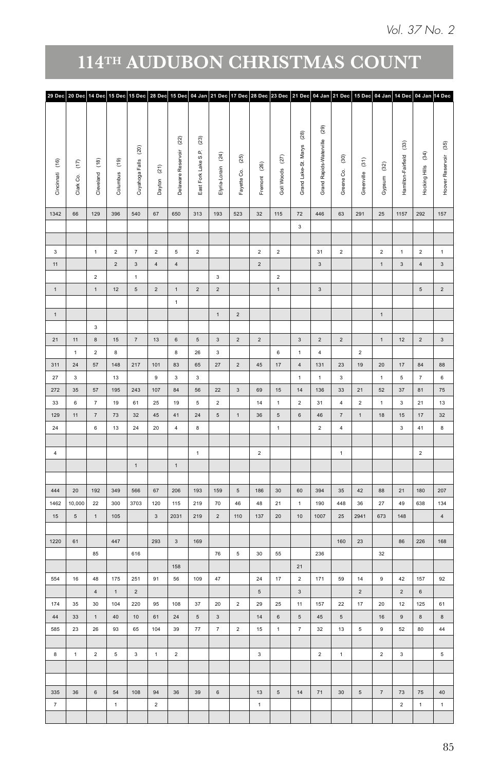| 29 Dec 20 Dec 14 Dec 15 Dec 15 Dec 28 Dec 15 Dec 04 Jan 21 Dec 17 Dec 28 Dec 23 Dec 21 Dec 04 Jan 21 Dec 15 Dec 04 Jan 14 Dec 04 Jan 14 Dec |                   |                         |                              |                           |                                  |                               |                          |                                   |                         |                              |                |                 |                               |                                  |                         |                         |                     |                          |                              |                                         |
|---------------------------------------------------------------------------------------------------------------------------------------------|-------------------|-------------------------|------------------------------|---------------------------|----------------------------------|-------------------------------|--------------------------|-----------------------------------|-------------------------|------------------------------|----------------|-----------------|-------------------------------|----------------------------------|-------------------------|-------------------------|---------------------|--------------------------|------------------------------|-----------------------------------------|
|                                                                                                                                             |                   |                         |                              |                           |                                  |                               |                          |                                   |                         |                              |                |                 |                               |                                  |                         |                         |                     |                          |                              |                                         |
|                                                                                                                                             |                   |                         |                              |                           |                                  |                               | $^{(23)}$                |                                   |                         |                              |                |                 | $^{(28)}$                     | $^{(29)}$                        |                         |                         |                     |                          |                              |                                         |
|                                                                                                                                             |                   |                         |                              | $\left( 20\right)$        |                                  | $\left( 22\right)$            |                          |                                   |                         |                              |                |                 |                               | Grand Rapids-Waterville          |                         |                         |                     | $\widehat{\mathfrak{B}}$ |                              | Hoover Reservoir (35)                   |
| $\widehat{\epsilon}$                                                                                                                        | Cincinnati (16)   | $\widehat{\mathsf{f}}$  | Columbus (19)                | Cuyahoga Falls            |                                  | Delaware Reservoir            | East Fork Lake S.P.      | $\widehat{\mathbf{C}}$            | $^{(25)}$               | $^{(26)}$                    |                | Goll Woods (27) | Grand Lake-St. Marys          |                                  | $^{(30)}$               | Greenville (31)         | $^{(32)}$           | Hamilton-Fairfield       | Hocking Hills (34)           |                                         |
| Clark Co.                                                                                                                                   |                   | Cleveland               |                              |                           | Dayton (21)                      |                               |                          | Elyria-Lorain                     | Fayette Co.             | Fremont                      |                |                 |                               |                                  | Greene Co.              |                         | Gypsum              |                          |                              |                                         |
|                                                                                                                                             |                   |                         |                              |                           |                                  |                               |                          |                                   |                         |                              |                |                 |                               |                                  |                         |                         |                     |                          |                              |                                         |
| 66                                                                                                                                          | 1342              | 129                     | 396                          | 540                       | 67                               | 650                           | 313                      | 193                               | 523                     | 32                           |                | 115             | 72                            | 446                              | 63                      | 291                     | 25                  | 1157                     | 292                          | 157                                     |
|                                                                                                                                             |                   |                         |                              |                           |                                  |                               |                          |                                   |                         |                              |                |                 | $\mathbf{3}$                  |                                  |                         |                         |                     |                          |                              |                                         |
|                                                                                                                                             |                   |                         |                              |                           |                                  |                               |                          |                                   |                         |                              |                |                 |                               |                                  |                         |                         |                     |                          |                              |                                         |
|                                                                                                                                             | 3<br>$11 -$       | 1                       | $\overline{2}$<br>$\sqrt{2}$ | 7                         | $\overline{2}$<br>$\overline{4}$ | $5\overline{5}$<br>$\sqrt{4}$ | $\overline{2}$           |                                   |                         | $\overline{2}$<br>$\sqrt{2}$ | $\overline{2}$ |                 |                               | 31<br>$\mathbf{3}$               | $\overline{2}$          |                         | $\overline{2}$      | $\mathbf{1}$<br>$_{3}$   | $\overline{2}$<br>$\sqrt{4}$ | $\mathbf{1}$<br>$\overline{\mathbf{3}}$ |
|                                                                                                                                             |                   | $\mathbf{2}$            |                              | $_{\rm 3}$<br>$\,$ 1 $\,$ |                                  |                               |                          | $_{3}$                            |                         |                              |                | $\overline{2}$  |                               |                                  |                         |                         | $\,1\,$             |                          |                              |                                         |
|                                                                                                                                             | 1                 | 1                       | 12                           | $\sqrt{5}$                | $\overline{2}$                   | 1                             | $\overline{2}$           | $\overline{2}$                    |                         |                              |                | 1               |                               | $\overline{\mathbf{3}}$          |                         |                         |                     |                          | $5^{\circ}$                  | $\overline{2}$                          |
|                                                                                                                                             |                   |                         |                              |                           |                                  | $\mathbf{1}$                  |                          |                                   |                         |                              |                |                 |                               |                                  |                         |                         |                     |                          |                              |                                         |
|                                                                                                                                             | $\mathbf 1$       |                         |                              |                           |                                  |                               |                          | 1                                 | $\overline{2}$          |                              |                |                 |                               |                                  |                         |                         | 1                   |                          |                              |                                         |
|                                                                                                                                             |                   | $\overline{\mathbf{3}}$ |                              |                           |                                  |                               |                          |                                   |                         |                              |                |                 |                               |                                  |                         |                         |                     |                          |                              |                                         |
| $11$<br>$\blacktriangleleft$                                                                                                                | 21                | $\bf 8$<br>$\,$ 2 $\,$  | 15<br>$\bf 8$                | 7                         | 13                               | $\,$ 6 $\,$<br>$\bf 8$        | $\sqrt{5}$<br>${\bf 26}$ | $\overline{\mathbf{3}}$<br>$_{3}$ | $\overline{2}$          | $\overline{2}$               |                | $\,$ 6 $\,$     | $3^{\circ}$<br>$\mathbf 1$    | $\overline{2}$<br>$\overline{4}$ | $\overline{2}$          | $\overline{\mathbf{2}}$ | $1$ .               | 12                       | $\overline{2}$               | $\overline{\mathbf{3}}$                 |
| $24\,$                                                                                                                                      | 311               | 57                      | 148                          | 217                       | $101$                            | 83                            | 65                       | $27\,$                            | $\overline{2}$          | $\bf 45$                     |                | $17$            | 4                             | 131                              | $23\,$                  | 19                      | $20\,$              | $17$                     | $^{\rm 84}$                  | 88                                      |
| $_{3}$                                                                                                                                      | $27\,$            |                         | 13                           |                           | 9                                | $\mathbf{3}$                  | $_{3}$                   |                                   |                         |                              |                |                 | $1 -$                         | 1                                | $\overline{\mathbf{3}}$ |                         | $\mathbf{1}$        | $\mathbf 5$              | 7                            | $\,$ 6 $\,$                             |
| $35\,$                                                                                                                                      | 272               | 57                      | 195                          | 243                       | 107                              | 84                            | 56                       | 22                                | $\overline{\mathbf{3}}$ | 69                           |                | 15              | 14                            | 136                              | $33\,$                  | 21                      | $52\,$              | $37\,$                   | 81                           | $75\,$                                  |
| $_{\rm 6}$                                                                                                                                  | 33                | $\boldsymbol{7}$        | $19\,$                       | 61                        | $25\,$                           | $19$                          | $\mathbf 5$              | $\overline{2}$                    |                         | $14\,$                       |                | $\mathbf 1$     | $\,$ 2 $\,$                   | 31                               | $\sqrt{4}$              | $\mathbf{2}$            | $\mathbf 1$         | $\mathbf 3$              | 21                           | 13                                      |
| 11                                                                                                                                          | 129               | $\scriptstyle{7}$       | 73                           | 32                        | $45\,$                           | 41                            | $24\,$                   | $5\overline{)}$                   | $\,1\,$                 | $36\,$                       |                | $\sqrt{5}$      | $\,$ 6 $\,$                   | $46\,$                           | $\scriptstyle\rm 7$     | $\,1\,$                 | 18                  | $15\,$                   | $17\,$                       | 32                                      |
|                                                                                                                                             | 24                | $\,$ 6 $\,$             | 13                           | 24                        | $20\,$                           | $\overline{4}$                | $\bf8$                   |                                   |                         |                              |                | 1               |                               | $\overline{2}$                   | $\overline{4}$          |                         |                     | $\overline{\mathbf{3}}$  | 41                           | $\bf 8$                                 |
|                                                                                                                                             | $\overline{4}$    |                         |                              |                           |                                  |                               | 1                        |                                   |                         | $\overline{2}$               |                |                 |                               |                                  | 1                       |                         |                     |                          | $\overline{2}$               |                                         |
|                                                                                                                                             |                   |                         |                              | $\mathbf{1}$              |                                  | 1                             |                          |                                   |                         |                              |                |                 |                               |                                  |                         |                         |                     |                          |                              |                                         |
|                                                                                                                                             |                   |                         |                              |                           |                                  |                               |                          |                                   |                         |                              |                |                 |                               |                                  |                         |                         |                     |                          |                              |                                         |
| $20\degree$                                                                                                                                 | 444               | 192                     | 349                          | 566                       | 67                               | 206                           | 193                      | 159                               | $5\overline{)}$         | 186                          |                | 30              | 60                            | 394                              | $35\,$                  | 42                      | 88                  | 21                       | 180                          | 207                                     |
| 10,000                                                                                                                                      | 1462              | $22\,$                  | 300                          | 3703                      | 120                              | 115                           | 219                      | 70                                | $46\,$                  | 48                           | 21             |                 | $\mathbf{1}$                  | 190                              | 448                     | $36\,$                  | $27\,$              | 49                       | 638                          | 134                                     |
| $\sqrt{5}$                                                                                                                                  | $15\,$            | $\mathbf{1}$            | 105                          |                           | $\mathbf{3}$                     | 2031                          | 219                      | $\overline{2}$                    | 110                     | 137                          | 20             |                 | 10                            | 1007                             | $25\,$                  | 2941                    | 673                 | 148                      |                              | 4                                       |
| 61                                                                                                                                          | 1220              |                         | 447                          |                           | 293                              | $\mathbf{3}$                  | 169                      |                                   |                         |                              |                |                 |                               |                                  | 160                     | 23                      |                     | 86                       | $\vert$ 226                  | 168                                     |
|                                                                                                                                             |                   | 85                      |                              | 616                       |                                  |                               |                          | 76                                | $5\overline{5}$         | 30 <sup>°</sup>              | 55             |                 |                               | 236                              |                         |                         | 32                  |                          |                              |                                         |
|                                                                                                                                             |                   |                         |                              |                           |                                  | 158                           |                          |                                   |                         |                              |                |                 | $21\,$                        |                                  |                         |                         |                     |                          |                              |                                         |
| 16                                                                                                                                          | 554               | $\bf 48$                | 175                          | 251                       | 91                               | 56                            | 109                      | 47                                |                         | 24                           | $17$           |                 | $\overline{2}$                | 171                              | 59                      | $14\,$                  | $\,$ 9              | $42\,$                   | 157                          | 92                                      |
|                                                                                                                                             |                   | $\overline{4}$          | $\mathbf{1}$                 | $\sqrt{2}$                |                                  |                               |                          |                                   |                         | $\,$ 5 $\,$                  |                |                 | $\overline{\mathbf{3}}$       |                                  |                         | $\overline{\mathbf{2}}$ |                     | $\mathbf{2}$             | $\,$ 6 $\,$                  |                                         |
| $35\,$<br>$33\,$                                                                                                                            | 174<br>$44\,$     | $30\,$<br>$\,1\,$       | $104\,$<br>$40\,$            | 220<br>$10$               | 95<br>$61\,$                     | 108<br>$24\,$                 | 37<br>$\sqrt{5}$         | $20\,$<br>$_{3}$                  | $\overline{2}$          | 29<br>14                     | $\bf 25$       | $\,$ 6 $\,$     | 11 <sub>1</sub><br>$\sqrt{5}$ | ${\bf 157}$<br>$\bf 45$          | $22\,$<br>$\mathbf 5$   | 17                      | $20\,$<br>16        | $12\,$<br>$\mathsf{9}$   | $125$<br>$\bf8$              | 61<br>$\bf8$                            |
| $\bf 23$                                                                                                                                    | 585               | ${\bf 26}$              | 93                           | 65                        | 104                              | 39                            | $77\,$                   | $\tau$                            | $\overline{2}$          | 15                           |                | 1               | $\scriptstyle{7}$             | 32                               | $13\,$                  | $5\phantom{a}$          | $9\,$               | $52\,$                   | 80                           | $44\,$                                  |
|                                                                                                                                             |                   |                         |                              |                           |                                  |                               |                          |                                   |                         |                              |                |                 |                               |                                  |                         |                         |                     |                          |                              |                                         |
| $\blacktriangleleft$                                                                                                                        | $\bf8$            | $\mathbf{2}$            | $5\phantom{.0}$              | $\overline{\mathbf{3}}$   | $\uparrow$                       | $\overline{2}$                |                          |                                   |                         | $\overline{\mathbf{3}}$      |                |                 |                               | $\sqrt{2}$                       | $\,$ 1 $\,$             |                         | $\overline{2}$      | $_{\rm 3}$               |                              | $\sqrt{5}$                              |
|                                                                                                                                             |                   |                         |                              |                           |                                  |                               |                          |                                   |                         |                              |                |                 |                               |                                  |                         |                         |                     |                          |                              |                                         |
|                                                                                                                                             |                   |                         |                              |                           |                                  |                               |                          |                                   |                         |                              |                |                 |                               |                                  |                         |                         |                     |                          |                              |                                         |
| $36\,$                                                                                                                                      | 335               | $\,$ 6 $\,$             | $54\,$                       | 108                       | 94                               | $36\,$                        | 39                       | $_{\rm 6}$                        |                         | $13\,$                       |                | $\,$ 5 $\,$     | $14$                          | 71                               | 30                      | $\,$ 5 $\,$             | $\scriptstyle\rm 7$ | $73\,$                   | $75\,$                       | 40                                      |
|                                                                                                                                             | $\scriptstyle{7}$ |                         | $\mathbf{1}$                 |                           | $\overline{2}$                   |                               |                          |                                   |                         | $\mathbf{1}$                 |                |                 |                               |                                  |                         |                         |                     | $\mathbf{2}^-$           | $\mathbf{1}$                 | $\mathbf 1$                             |
|                                                                                                                                             |                   |                         |                              |                           |                                  |                               |                          |                                   |                         |                              |                |                 |                               |                                  |                         |                         |                     |                          |                              |                                         |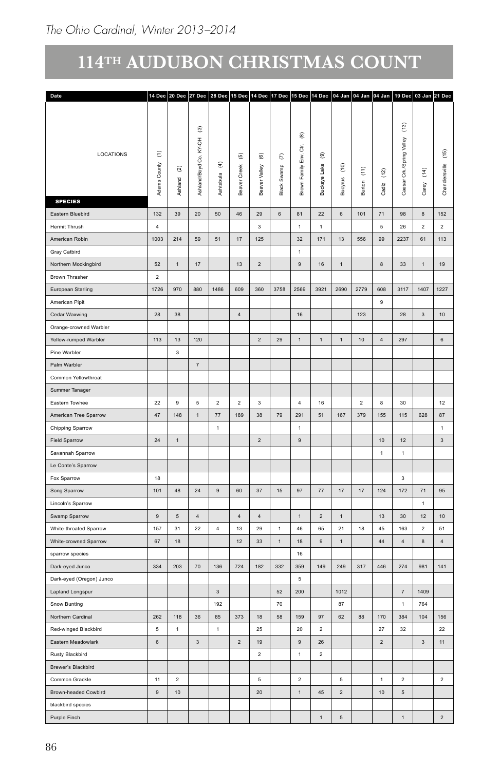| Date                                  |                                   |                |                                        |                                       |                          |                          |                | 14 Dec   20 Dec   27 Dec   28 Dec   15 Dec   14 Dec   17 Dec   15 Dec   14 Dec   04 Jan   04 Jan   04 Jan   19 Dec   03 Jan   21 Dec |                          |                                      |                           |                                     |                                      |                          |                |
|---------------------------------------|-----------------------------------|----------------|----------------------------------------|---------------------------------------|--------------------------|--------------------------|----------------|--------------------------------------------------------------------------------------------------------------------------------------|--------------------------|--------------------------------------|---------------------------|-------------------------------------|--------------------------------------|--------------------------|----------------|
|                                       |                                   |                |                                        |                                       |                          |                          |                |                                                                                                                                      |                          |                                      |                           |                                     |                                      |                          |                |
| LOCATIONS                             | $\widehat{\boldsymbol{\epsilon}}$ |                | $\widehat{\mathfrak{S}}$<br>KY-OH<br>් |                                       | $\widehat{\mathfrak{G}}$ | $\widehat{\mathfrak{G}}$ | $\epsilon$     | $^\circledR$<br>ਠੱ<br>$\tilde{\Xi}$                                                                                                  | $^\circledR$             |                                      |                           |                                     | $\widehat{\Xi}$<br>Valley<br>/Spring |                          | $(15)$         |
|                                       | $\geq$<br>Cour<br>Έ               | ତ୍ର<br>Ashland | Ashland/Boyd                           | $\widehat{\mathfrak{T}}$<br>Ashtabula | Creek<br>ह<br>Bea        | Valley<br>Beaver         | Black Swamp    | Brown Family                                                                                                                         | teye Lake<br><b>Buck</b> | $\widehat{\varepsilon}$<br>g<br>Bucy | $\widehat{\Xi}$<br>Burton | $\widetilde{\mathfrak{L}}$<br>Cadiz | ិ៍<br>ड<br>පී                        | $\widehat{\Xi}$<br>Carey | Chandlersville |
| <b>SPECIES</b>                        |                                   |                |                                        |                                       |                          |                          |                |                                                                                                                                      |                          |                                      |                           |                                     |                                      |                          |                |
| Eastern Bluebird                      | 132                               | 39             | 20                                     | 50                                    | 46                       | 29                       | $_{\rm 6}$     | 81                                                                                                                                   | 22                       | $_{\rm 6}$                           | 101                       | 71                                  | 98                                   | $\bf{8}$                 | 152            |
| Hermit Thrush                         | $\sqrt{4}$                        |                |                                        |                                       |                          | $\sqrt{3}$               |                | $\mathbf{1}$                                                                                                                         | $\,$ 1 $\,$              |                                      |                           | $\,$ 5 $\,$                         | ${\bf 26}$                           | $\overline{2}$           | $\overline{2}$ |
| American Robin                        | 1003                              | 214            | 59                                     | 51                                    | $17\,$                   | $125\,$                  |                | 32                                                                                                                                   | 171                      | 13                                   | 556                       | 99                                  | 2237                                 | 61                       | 113            |
| Gray Catbird                          |                                   |                |                                        |                                       |                          |                          |                | $\overline{1}$                                                                                                                       |                          |                                      |                           |                                     |                                      |                          |                |
| Northern Mockingbird                  | 52                                | $\overline{1}$ | $17\,$                                 |                                       | $13$                     | $\overline{2}$           |                | $\mathsf{9}$                                                                                                                         | $16\,$                   | $\,$ 1 $\,$                          |                           | $^{\rm 8}$                          | $33\,$                               | $\,$ 1 $\,$              | 19             |
| Brown Thrasher                        | $\overline{2}$                    |                |                                        |                                       |                          |                          |                |                                                                                                                                      |                          |                                      |                           |                                     |                                      |                          |                |
| European Starling                     | 1726                              | 970            | 880                                    | 1486                                  | 609                      | 360                      | 3758           | 2569                                                                                                                                 | 3921                     | 2690                                 | 2779                      | 608                                 | 3117                                 | 1407                     | 1227           |
| American Pipit                        |                                   |                |                                        |                                       |                          |                          |                |                                                                                                                                      |                          |                                      |                           | $\mathbf{q}$                        |                                      |                          |                |
| Cedar Waxwing                         | 28                                | $38\,$         |                                        |                                       | $\overline{4}$           |                          |                | 16                                                                                                                                   |                          |                                      | 123                       |                                     | 28                                   | $\mathbf{3}$             | $10\,$         |
| Orange-crowned Warbler                |                                   |                |                                        |                                       |                          |                          |                |                                                                                                                                      |                          |                                      |                           |                                     |                                      |                          |                |
| Yellow-rumped Warbler<br>Pine Warbler | 113                               | 13             | 120                                    |                                       |                          | $\overline{2}$           | 29             | 1                                                                                                                                    | $\mathbf{1}$             | $\,$ 1 $\,$                          | $10$                      | $\overline{4}$                      | 297                                  |                          | $\,$ 6 $\,$    |
| Palm Warbler                          |                                   | $\mathbf{3}$   | $\scriptstyle{7}$                      |                                       |                          |                          |                |                                                                                                                                      |                          |                                      |                           |                                     |                                      |                          |                |
| Common Yellowthroat                   |                                   |                |                                        |                                       |                          |                          |                |                                                                                                                                      |                          |                                      |                           |                                     |                                      |                          |                |
| Summer Tanager                        |                                   |                |                                        |                                       |                          |                          |                |                                                                                                                                      |                          |                                      |                           |                                     |                                      |                          |                |
| Eastern Towhee                        | ${\bf 22}$                        | 9              | $\,$ 5 $\,$                            | $\overline{2}$                        | $\overline{2}$           | $\overline{\mathbf{3}}$  |                | $\overline{4}$                                                                                                                       | $16\,$                   |                                      | $\overline{2}$            | $\boldsymbol{8}$                    | $30\,$                               |                          | 12             |
| American Tree Sparrow                 | $47\,$                            | 148            | 1                                      | 77                                    | 189                      | $38\,$                   | 79             | 291                                                                                                                                  | 51                       | 167                                  | 379                       | 155                                 | 115                                  | 628                      | $_{\rm 87}$    |
|                                       |                                   |                |                                        | $\overline{1}$                        |                          |                          |                | 1                                                                                                                                    |                          |                                      |                           |                                     |                                      |                          | $\sim$         |
| Chipping Sparrow                      |                                   | $\overline{1}$ |                                        |                                       |                          |                          |                |                                                                                                                                      |                          |                                      |                           |                                     |                                      |                          |                |
| Field Sparrow<br>Savannah Sparrow     | $24\,$                            |                |                                        |                                       |                          | $\overline{2}$           |                | 9                                                                                                                                    |                          |                                      |                           | 10<br>$\overline{1}$                | $12\,$<br>$\overline{1}$             |                          | $\mathbf{3}$   |
| Le Conte's Sparrow                    |                                   |                |                                        |                                       |                          |                          |                |                                                                                                                                      |                          |                                      |                           |                                     |                                      |                          |                |
| Fox Sparrow                           | 18                                |                |                                        |                                       |                          |                          |                |                                                                                                                                      |                          |                                      |                           |                                     | $\mathbf{3}$                         |                          |                |
| Song Sparrow                          | $101$                             | 48             | 24                                     | $9\,$                                 | 60                       | 37                       | $15\,$         | 97                                                                                                                                   | 77                       | 17                                   | 17                        | 124                                 | 172                                  | 71                       | 95             |
| Lincoln's Sparrow                     |                                   |                |                                        |                                       |                          |                          |                |                                                                                                                                      |                          |                                      |                           |                                     |                                      | $\mathbf{1}$             |                |
| Swamp Sparrow                         | $9\,$                             | 5              | $\sqrt{4}$                             |                                       | $\overline{4}$           | $\sqrt{4}$               |                | $\mathbf{1}$                                                                                                                         | $\overline{2}$           | $\overline{1}$                       |                           | 13                                  | $30\,$                               | 12                       | $10$           |
| White-throated Sparrow                | $157\,$                           | 31             | ${\bf 22}$                             | $\sqrt{4}$                            | $13\,$                   | 29                       | $\overline{1}$ | $\bf 46$                                                                                                                             | 65                       | 21                                   | $18\,$                    | 45                                  | 163                                  | $\overline{\mathbf{c}}$  | 51             |
| White-crowned Sparrow                 | 67                                | $18\,$         |                                        |                                       | $12\,$                   | 33                       | $\mathbf{1}$   | $18\,$                                                                                                                               | $\mathsf g$              | $\,$ 1 $\,$                          |                           | 44                                  | $\sqrt{4}$                           | $\bf8$                   | $\overline{4}$ |
| sparrow species                       |                                   |                |                                        |                                       |                          |                          |                | 16                                                                                                                                   |                          |                                      |                           |                                     |                                      |                          |                |
| Dark-eyed Junco                       | $334\,$                           | 203            | $70\,$                                 | 136                                   | 724                      | 182                      | 332            | 359                                                                                                                                  | 149                      | 249                                  | $317$                     | 446                                 | 274                                  | 981                      | 141            |
| Dark-eyed (Oregon) Junco              |                                   |                |                                        |                                       |                          |                          |                | $\overline{5}$                                                                                                                       |                          |                                      |                           |                                     |                                      |                          |                |
| Lapland Longspur                      |                                   |                |                                        | $\mathbf{3}$                          |                          |                          | $52\,$         | 200                                                                                                                                  |                          | 1012                                 |                           |                                     | $\scriptstyle{7}$                    | 1409                     |                |
| Snow Bunting                          |                                   |                |                                        | 192                                   |                          |                          | 70             |                                                                                                                                      |                          | 87                                   |                           |                                     | $\overline{1}$                       | 764                      |                |
| Northern Cardinal                     | 262                               | 118            | $36\,$                                 | 85                                    | 373                      | 18                       | 58             | 159                                                                                                                                  | 97                       | 62                                   | 88                        | 170                                 | 384                                  | 104                      | 156            |
| Red-winged Blackbird                  | 5                                 | $\overline{1}$ |                                        | $\overline{1}$                        |                          | 25                       |                | 20                                                                                                                                   | $\overline{2}$           |                                      |                           | 27                                  | $32\,$                               |                          | $22\,$         |
| Eastern Meadowlark                    | $_{\rm 6}$                        |                | $\mathbf{3}$                           |                                       | $\overline{2}$           | 19                       |                | $\mathsf g$                                                                                                                          | 26                       |                                      |                           | $\overline{2}$                      |                                      | $\mathbf{3}$             | 11             |
| Rusty Blackbird                       |                                   |                |                                        |                                       |                          | $\overline{2}$           |                | $\mathbf{1}$                                                                                                                         | $\overline{2}$           |                                      |                           |                                     |                                      |                          |                |
| Brewer's Blackbird                    |                                   |                |                                        |                                       |                          |                          |                |                                                                                                                                      |                          |                                      |                           |                                     |                                      |                          |                |
| Common Grackle                        | 11                                | $\overline{a}$ |                                        |                                       |                          | $\,$ 5 $\,$              |                | $\overline{2}$                                                                                                                       |                          | $\mathfrak s$                        |                           | $\overline{1}$                      | $\overline{2}$                       |                          | $\overline{2}$ |
| Brown-headed Cowbird                  | 9                                 | 10             |                                        |                                       |                          | $20\,$                   |                | $1$ .                                                                                                                                | 45                       | $\overline{2}$                       |                           | 10                                  | $\,$ 5 $\,$                          |                          |                |
| blackbird species                     |                                   |                |                                        |                                       |                          |                          |                |                                                                                                                                      |                          |                                      |                           |                                     |                                      |                          |                |
| Purple Finch                          |                                   |                |                                        |                                       |                          |                          |                |                                                                                                                                      | $\,1\,$                  | $\sqrt{5}$                           |                           |                                     | $\overline{1}$                       |                          | $\overline{2}$ |
|                                       |                                   |                |                                        |                                       |                          |                          |                |                                                                                                                                      |                          |                                      |                           |                                     |                                      |                          |                |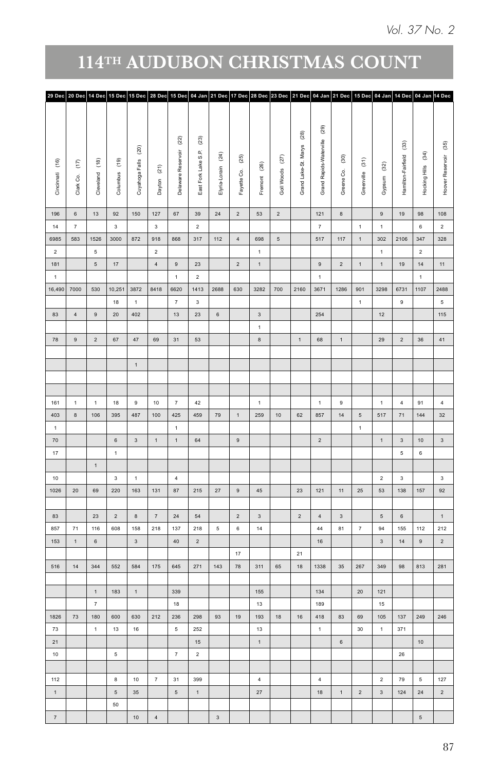| (29)<br>$^{(28)}$<br>$\left( 23\right)$<br>$\left( 22\right)$<br>Grand Rapids-Waterville<br>$\widehat{\mathcal{C}}$<br>$\left( 20\right)$<br>Grand Lake-St. Marys<br>Delaware Reservoir<br>East Fork Lake S.P.<br>Hocking Hills (34)<br>(24)<br>$^{(25)}$<br>Goll Woods (27)<br>$^{(30)}$<br>Hamilton-Fairfield<br>Greenville (31)<br>Cuyahoga Falls<br>$^{(26)}$<br>$^{(32)}$<br>Dayton (21)<br>Elyria-Lorain<br>Fayette Co.<br>Greene Co.<br>Fremont<br>Gypsum<br>127<br>67<br>$39\,$<br>24<br>$\overline{2}$<br>53<br>$121$<br>$19$<br>98<br>$\overline{2}$<br>8<br>9<br>$_{\rm 3}$<br>$\scriptstyle{7}$<br>$\,$ 6 $\,$<br>$\mathbf{2}$<br>$\mathbf 1$<br>$\mathbf 1$<br>918<br>317<br>698<br>517<br>2106<br>$347\,$<br>868<br>112<br>$\overline{4}$<br>$\,$ 5 $\,$<br>117<br>$\,$ 1 $\,$<br>302<br>$\overline{2}$<br>$\overline{2}$<br>$\overline{1}$<br>$\mathbf{1}$<br>$\overline{4}$<br>$\mathbf 1$<br>$19$<br>$14$<br>23<br>$\overline{2}$<br>$\,9$<br>$\overline{2}$<br>$\,$ 1 $\,$<br>$\,1\,$<br>$9\,$<br>$\overline{2}$<br>$\overline{1}$<br>$\mathbf 1$<br>1<br>8418<br>1413 2688<br>630<br>3282<br>3298 6731<br>1107<br>6620<br>700<br>$2160$ 3671<br>1286<br>901<br>$\scriptstyle{7}$<br>$\mathbf 3$<br>$\,$ 1 $\,$<br>$\,9$<br>$\,$ 1 $\,$<br>23<br>13<br>$_{\rm 6}$<br>$\overline{\mathbf{3}}$<br>254<br>12<br>$\,$ 1 $\,$<br>69<br>31<br>53<br>$\,$ 8 $\,$<br>$1 -$<br>68<br>$\,$ 1 $\,$<br>29<br>$\overline{2}$<br>$36\,$<br>10<br>$42\,$<br>91<br>$\overline{7}$<br>1<br>$\overline{1}$<br>$\,9$<br>$\overline{4}$<br>1<br>487<br>100<br>459<br>79<br>259<br>857<br>$14\,$<br>517<br>$\bf 71$<br>$144$<br>425<br>$\,1\,$<br>$10$<br>$62\,$<br>$\,$ 5 $\,$<br>$\,$ 1 $\,$<br>$\mathbf{1}$<br>$_{\rm 3}$<br>9<br>$\overline{2}$<br>$10$<br>$\mathbf 1$<br>1<br>64<br>$\overline{3}$<br>1<br>$_{\rm 6}$<br>$\mathbf 5$<br>$\overline{4}$<br>$\overline{2}$<br>$\mathbf{3}$<br>87<br>$27\,$<br>53<br>138<br>131<br>215<br>$\,9$<br>45<br>$23\,$<br>$121$<br>11<br>25<br>157<br>$\scriptstyle\rm 7$<br>$\sqrt{2}$<br>$_{\rm 3}$<br>$\overline{2}$<br>$\,$ 6 $\,$<br>24<br>$54\,$<br>$\,$ 4 $\,$<br>$\mathbf{3}$<br>$\sqrt{5}$<br>218<br>14<br>$\overline{7}$<br>$\mathsf{94}$<br>137<br>$218\,$<br>$5\phantom{.0}$<br>$\,$ 6 $\,$<br>44<br>81<br>155<br>$112$<br>$_{\rm 3}$<br>$_{\rm 3}$<br>$\mathbf{2}$<br>$16\,$<br>14<br>$\,9$<br>$40\,$<br>21<br>17<br>175<br>271<br>$143\,$<br>78<br>311<br>$18\,$<br>267<br>813<br>645<br>65<br>1338<br>$35\,$<br>349<br>98<br>155<br>339<br>134<br>$20\,$<br>121<br>18<br>13<br>189<br>15<br>212<br>236<br>298<br>93<br>$19$<br>193<br>$18\,$<br>$16\,$<br>$\bf 418$<br>83<br>69<br>105<br>137<br>$\frac{249}{ }$<br>13<br>252<br>$\overline{1}$<br>$30\,$<br>371<br>$\,$ 5 $\,$<br>$\mathbf{1}$<br>1<br>10 <sup>10</sup><br>$15\,$<br>$6\overline{6}$<br>7<br>$\overline{2}$<br>26<br>10<br>7<br>31<br>399<br>4<br>$\overline{4}$<br>$\overline{2}$<br>79<br>$5\phantom{.0}$<br>27<br>$24\,$<br>35<br>$\sqrt{5}$<br>18<br>$\mathbf{1}$<br>$\overline{2}$<br>$\mathbf{3}$<br>124<br>$\mathbf{1}$<br>$_{\rm 3}$<br>$\overline{4}$<br>$\sqrt{5}$ | 29 Dec 20 Dec 14 Dec 15 Dec 15 Dec 28 Dec 15 Dec 04 Jan 21 Dec 17 Dec 28 Dec 23 Dec 21 Dec 04 Jan 21 Dec 15 Dec 04 Jan 14 Dec 04 Jan 14 Dec |  |                                                                   |                      |              |  |  |  |  |  |  |  |  |                         |
|------------------------------------------------------------------------------------------------------------------------------------------------------------------------------------------------------------------------------------------------------------------------------------------------------------------------------------------------------------------------------------------------------------------------------------------------------------------------------------------------------------------------------------------------------------------------------------------------------------------------------------------------------------------------------------------------------------------------------------------------------------------------------------------------------------------------------------------------------------------------------------------------------------------------------------------------------------------------------------------------------------------------------------------------------------------------------------------------------------------------------------------------------------------------------------------------------------------------------------------------------------------------------------------------------------------------------------------------------------------------------------------------------------------------------------------------------------------------------------------------------------------------------------------------------------------------------------------------------------------------------------------------------------------------------------------------------------------------------------------------------------------------------------------------------------------------------------------------------------------------------------------------------------------------------------------------------------------------------------------------------------------------------------------------------------------------------------------------------------------------------------------------------------------------------------------------------------------------------------------------------------------------------------------------------------------------------------------------------------------------------------------------------------------------------------------------------------------------------------------------------------------------------------------------------------------------------------------------------------------------------------------------------------------------------------------------------------------------------------------------------------------------------------------------------------------------------------------------------------------------------------------------------------------------------------------------------------------------------------------------------------------------------------------------------------------------------------------------------|---------------------------------------------------------------------------------------------------------------------------------------------|--|-------------------------------------------------------------------|----------------------|--------------|--|--|--|--|--|--|--|--|-------------------------|
|                                                                                                                                                                                                                                                                                                                                                                                                                                                                                                                                                                                                                                                                                                                                                                                                                                                                                                                                                                                                                                                                                                                                                                                                                                                                                                                                                                                                                                                                                                                                                                                                                                                                                                                                                                                                                                                                                                                                                                                                                                                                                                                                                                                                                                                                                                                                                                                                                                                                                                                                                                                                                                                                                                                                                                                                                                                                                                                                                                                                                                                                                                      |                                                                                                                                             |  |                                                                   |                      |              |  |  |  |  |  |  |  |  |                         |
|                                                                                                                                                                                                                                                                                                                                                                                                                                                                                                                                                                                                                                                                                                                                                                                                                                                                                                                                                                                                                                                                                                                                                                                                                                                                                                                                                                                                                                                                                                                                                                                                                                                                                                                                                                                                                                                                                                                                                                                                                                                                                                                                                                                                                                                                                                                                                                                                                                                                                                                                                                                                                                                                                                                                                                                                                                                                                                                                                                                                                                                                                                      | Cincinnati (16)<br>$\widehat{\epsilon}$<br>Clark Co.                                                                                        |  | $\begin{array}{c} (18) \\ \underline{0} \end{array}$<br>Cleveland | Columbus (19)        |              |  |  |  |  |  |  |  |  | Hoover Reservoir (35)   |
|                                                                                                                                                                                                                                                                                                                                                                                                                                                                                                                                                                                                                                                                                                                                                                                                                                                                                                                                                                                                                                                                                                                                                                                                                                                                                                                                                                                                                                                                                                                                                                                                                                                                                                                                                                                                                                                                                                                                                                                                                                                                                                                                                                                                                                                                                                                                                                                                                                                                                                                                                                                                                                                                                                                                                                                                                                                                                                                                                                                                                                                                                                      | 196<br>$_{\rm 6}$                                                                                                                           |  | 13                                                                | 92                   | 150          |  |  |  |  |  |  |  |  | 108                     |
|                                                                                                                                                                                                                                                                                                                                                                                                                                                                                                                                                                                                                                                                                                                                                                                                                                                                                                                                                                                                                                                                                                                                                                                                                                                                                                                                                                                                                                                                                                                                                                                                                                                                                                                                                                                                                                                                                                                                                                                                                                                                                                                                                                                                                                                                                                                                                                                                                                                                                                                                                                                                                                                                                                                                                                                                                                                                                                                                                                                                                                                                                                      | $\scriptstyle{7}$<br>$14$                                                                                                                   |  |                                                                   | $_{\rm 3}$           |              |  |  |  |  |  |  |  |  | $\sqrt{2}$              |
|                                                                                                                                                                                                                                                                                                                                                                                                                                                                                                                                                                                                                                                                                                                                                                                                                                                                                                                                                                                                                                                                                                                                                                                                                                                                                                                                                                                                                                                                                                                                                                                                                                                                                                                                                                                                                                                                                                                                                                                                                                                                                                                                                                                                                                                                                                                                                                                                                                                                                                                                                                                                                                                                                                                                                                                                                                                                                                                                                                                                                                                                                                      | 583<br>6985                                                                                                                                 |  | 1526                                                              | 3000                 | 872          |  |  |  |  |  |  |  |  | 328                     |
|                                                                                                                                                                                                                                                                                                                                                                                                                                                                                                                                                                                                                                                                                                                                                                                                                                                                                                                                                                                                                                                                                                                                                                                                                                                                                                                                                                                                                                                                                                                                                                                                                                                                                                                                                                                                                                                                                                                                                                                                                                                                                                                                                                                                                                                                                                                                                                                                                                                                                                                                                                                                                                                                                                                                                                                                                                                                                                                                                                                                                                                                                                      | $\overline{2}$                                                                                                                              |  | $5\overline{5}$                                                   |                      |              |  |  |  |  |  |  |  |  |                         |
|                                                                                                                                                                                                                                                                                                                                                                                                                                                                                                                                                                                                                                                                                                                                                                                                                                                                                                                                                                                                                                                                                                                                                                                                                                                                                                                                                                                                                                                                                                                                                                                                                                                                                                                                                                                                                                                                                                                                                                                                                                                                                                                                                                                                                                                                                                                                                                                                                                                                                                                                                                                                                                                                                                                                                                                                                                                                                                                                                                                                                                                                                                      | 181                                                                                                                                         |  | 5 <sub>5</sub>                                                    | 17                   |              |  |  |  |  |  |  |  |  | $11 -$                  |
|                                                                                                                                                                                                                                                                                                                                                                                                                                                                                                                                                                                                                                                                                                                                                                                                                                                                                                                                                                                                                                                                                                                                                                                                                                                                                                                                                                                                                                                                                                                                                                                                                                                                                                                                                                                                                                                                                                                                                                                                                                                                                                                                                                                                                                                                                                                                                                                                                                                                                                                                                                                                                                                                                                                                                                                                                                                                                                                                                                                                                                                                                                      | $\mathbf{1}$                                                                                                                                |  |                                                                   |                      |              |  |  |  |  |  |  |  |  | 2488                    |
|                                                                                                                                                                                                                                                                                                                                                                                                                                                                                                                                                                                                                                                                                                                                                                                                                                                                                                                                                                                                                                                                                                                                                                                                                                                                                                                                                                                                                                                                                                                                                                                                                                                                                                                                                                                                                                                                                                                                                                                                                                                                                                                                                                                                                                                                                                                                                                                                                                                                                                                                                                                                                                                                                                                                                                                                                                                                                                                                                                                                                                                                                                      | 16,490 7000                                                                                                                                 |  | 530                                                               | $18\,$               | 10,251 3872  |  |  |  |  |  |  |  |  | $\,$ 5 $\,$             |
|                                                                                                                                                                                                                                                                                                                                                                                                                                                                                                                                                                                                                                                                                                                                                                                                                                                                                                                                                                                                                                                                                                                                                                                                                                                                                                                                                                                                                                                                                                                                                                                                                                                                                                                                                                                                                                                                                                                                                                                                                                                                                                                                                                                                                                                                                                                                                                                                                                                                                                                                                                                                                                                                                                                                                                                                                                                                                                                                                                                                                                                                                                      | 83<br>$\overline{4}$                                                                                                                        |  | $9\,$                                                             | $20\degree$          | 402          |  |  |  |  |  |  |  |  | 115                     |
|                                                                                                                                                                                                                                                                                                                                                                                                                                                                                                                                                                                                                                                                                                                                                                                                                                                                                                                                                                                                                                                                                                                                                                                                                                                                                                                                                                                                                                                                                                                                                                                                                                                                                                                                                                                                                                                                                                                                                                                                                                                                                                                                                                                                                                                                                                                                                                                                                                                                                                                                                                                                                                                                                                                                                                                                                                                                                                                                                                                                                                                                                                      |                                                                                                                                             |  |                                                                   |                      |              |  |  |  |  |  |  |  |  |                         |
|                                                                                                                                                                                                                                                                                                                                                                                                                                                                                                                                                                                                                                                                                                                                                                                                                                                                                                                                                                                                                                                                                                                                                                                                                                                                                                                                                                                                                                                                                                                                                                                                                                                                                                                                                                                                                                                                                                                                                                                                                                                                                                                                                                                                                                                                                                                                                                                                                                                                                                                                                                                                                                                                                                                                                                                                                                                                                                                                                                                                                                                                                                      | 78<br>$\,$ 9 $\,$                                                                                                                           |  | $2^{\circ}$                                                       | 67                   | 47           |  |  |  |  |  |  |  |  | 41                      |
|                                                                                                                                                                                                                                                                                                                                                                                                                                                                                                                                                                                                                                                                                                                                                                                                                                                                                                                                                                                                                                                                                                                                                                                                                                                                                                                                                                                                                                                                                                                                                                                                                                                                                                                                                                                                                                                                                                                                                                                                                                                                                                                                                                                                                                                                                                                                                                                                                                                                                                                                                                                                                                                                                                                                                                                                                                                                                                                                                                                                                                                                                                      |                                                                                                                                             |  |                                                                   |                      |              |  |  |  |  |  |  |  |  |                         |
|                                                                                                                                                                                                                                                                                                                                                                                                                                                                                                                                                                                                                                                                                                                                                                                                                                                                                                                                                                                                                                                                                                                                                                                                                                                                                                                                                                                                                                                                                                                                                                                                                                                                                                                                                                                                                                                                                                                                                                                                                                                                                                                                                                                                                                                                                                                                                                                                                                                                                                                                                                                                                                                                                                                                                                                                                                                                                                                                                                                                                                                                                                      |                                                                                                                                             |  |                                                                   |                      | $1$ .        |  |  |  |  |  |  |  |  |                         |
|                                                                                                                                                                                                                                                                                                                                                                                                                                                                                                                                                                                                                                                                                                                                                                                                                                                                                                                                                                                                                                                                                                                                                                                                                                                                                                                                                                                                                                                                                                                                                                                                                                                                                                                                                                                                                                                                                                                                                                                                                                                                                                                                                                                                                                                                                                                                                                                                                                                                                                                                                                                                                                                                                                                                                                                                                                                                                                                                                                                                                                                                                                      |                                                                                                                                             |  |                                                                   |                      |              |  |  |  |  |  |  |  |  |                         |
|                                                                                                                                                                                                                                                                                                                                                                                                                                                                                                                                                                                                                                                                                                                                                                                                                                                                                                                                                                                                                                                                                                                                                                                                                                                                                                                                                                                                                                                                                                                                                                                                                                                                                                                                                                                                                                                                                                                                                                                                                                                                                                                                                                                                                                                                                                                                                                                                                                                                                                                                                                                                                                                                                                                                                                                                                                                                                                                                                                                                                                                                                                      |                                                                                                                                             |  |                                                                   |                      |              |  |  |  |  |  |  |  |  |                         |
|                                                                                                                                                                                                                                                                                                                                                                                                                                                                                                                                                                                                                                                                                                                                                                                                                                                                                                                                                                                                                                                                                                                                                                                                                                                                                                                                                                                                                                                                                                                                                                                                                                                                                                                                                                                                                                                                                                                                                                                                                                                                                                                                                                                                                                                                                                                                                                                                                                                                                                                                                                                                                                                                                                                                                                                                                                                                                                                                                                                                                                                                                                      | 161<br>1                                                                                                                                    |  | $\,$ 1 $\,$                                                       | 18                   | $\mathsf g$  |  |  |  |  |  |  |  |  | 4                       |
|                                                                                                                                                                                                                                                                                                                                                                                                                                                                                                                                                                                                                                                                                                                                                                                                                                                                                                                                                                                                                                                                                                                                                                                                                                                                                                                                                                                                                                                                                                                                                                                                                                                                                                                                                                                                                                                                                                                                                                                                                                                                                                                                                                                                                                                                                                                                                                                                                                                                                                                                                                                                                                                                                                                                                                                                                                                                                                                                                                                                                                                                                                      | 403<br>$\,$ 8 $\,$<br>$\overline{1}$                                                                                                        |  | 106                                                               | 395                  |              |  |  |  |  |  |  |  |  | 32                      |
|                                                                                                                                                                                                                                                                                                                                                                                                                                                                                                                                                                                                                                                                                                                                                                                                                                                                                                                                                                                                                                                                                                                                                                                                                                                                                                                                                                                                                                                                                                                                                                                                                                                                                                                                                                                                                                                                                                                                                                                                                                                                                                                                                                                                                                                                                                                                                                                                                                                                                                                                                                                                                                                                                                                                                                                                                                                                                                                                                                                                                                                                                                      | $70\,$                                                                                                                                      |  |                                                                   | $\,$ 6 $\,$          |              |  |  |  |  |  |  |  |  | $\mathbf{3}$            |
|                                                                                                                                                                                                                                                                                                                                                                                                                                                                                                                                                                                                                                                                                                                                                                                                                                                                                                                                                                                                                                                                                                                                                                                                                                                                                                                                                                                                                                                                                                                                                                                                                                                                                                                                                                                                                                                                                                                                                                                                                                                                                                                                                                                                                                                                                                                                                                                                                                                                                                                                                                                                                                                                                                                                                                                                                                                                                                                                                                                                                                                                                                      | 17                                                                                                                                          |  |                                                                   | $\mathbf 1$          |              |  |  |  |  |  |  |  |  |                         |
|                                                                                                                                                                                                                                                                                                                                                                                                                                                                                                                                                                                                                                                                                                                                                                                                                                                                                                                                                                                                                                                                                                                                                                                                                                                                                                                                                                                                                                                                                                                                                                                                                                                                                                                                                                                                                                                                                                                                                                                                                                                                                                                                                                                                                                                                                                                                                                                                                                                                                                                                                                                                                                                                                                                                                                                                                                                                                                                                                                                                                                                                                                      |                                                                                                                                             |  | $\mathbf{1}$                                                      |                      |              |  |  |  |  |  |  |  |  |                         |
|                                                                                                                                                                                                                                                                                                                                                                                                                                                                                                                                                                                                                                                                                                                                                                                                                                                                                                                                                                                                                                                                                                                                                                                                                                                                                                                                                                                                                                                                                                                                                                                                                                                                                                                                                                                                                                                                                                                                                                                                                                                                                                                                                                                                                                                                                                                                                                                                                                                                                                                                                                                                                                                                                                                                                                                                                                                                                                                                                                                                                                                                                                      | 10                                                                                                                                          |  |                                                                   | $\mathbf{3}$         | $\mathbf{1}$ |  |  |  |  |  |  |  |  | $\overline{\mathbf{3}}$ |
|                                                                                                                                                                                                                                                                                                                                                                                                                                                                                                                                                                                                                                                                                                                                                                                                                                                                                                                                                                                                                                                                                                                                                                                                                                                                                                                                                                                                                                                                                                                                                                                                                                                                                                                                                                                                                                                                                                                                                                                                                                                                                                                                                                                                                                                                                                                                                                                                                                                                                                                                                                                                                                                                                                                                                                                                                                                                                                                                                                                                                                                                                                      | 1026<br>$20\degree$                                                                                                                         |  | 69                                                                | 220                  | 163          |  |  |  |  |  |  |  |  | 92                      |
|                                                                                                                                                                                                                                                                                                                                                                                                                                                                                                                                                                                                                                                                                                                                                                                                                                                                                                                                                                                                                                                                                                                                                                                                                                                                                                                                                                                                                                                                                                                                                                                                                                                                                                                                                                                                                                                                                                                                                                                                                                                                                                                                                                                                                                                                                                                                                                                                                                                                                                                                                                                                                                                                                                                                                                                                                                                                                                                                                                                                                                                                                                      |                                                                                                                                             |  |                                                                   |                      |              |  |  |  |  |  |  |  |  |                         |
|                                                                                                                                                                                                                                                                                                                                                                                                                                                                                                                                                                                                                                                                                                                                                                                                                                                                                                                                                                                                                                                                                                                                                                                                                                                                                                                                                                                                                                                                                                                                                                                                                                                                                                                                                                                                                                                                                                                                                                                                                                                                                                                                                                                                                                                                                                                                                                                                                                                                                                                                                                                                                                                                                                                                                                                                                                                                                                                                                                                                                                                                                                      | 83                                                                                                                                          |  | $23\,$                                                            | $\overline{2}$       | $\,$ 8 $\,$  |  |  |  |  |  |  |  |  | $\mathbf{1}$            |
|                                                                                                                                                                                                                                                                                                                                                                                                                                                                                                                                                                                                                                                                                                                                                                                                                                                                                                                                                                                                                                                                                                                                                                                                                                                                                                                                                                                                                                                                                                                                                                                                                                                                                                                                                                                                                                                                                                                                                                                                                                                                                                                                                                                                                                                                                                                                                                                                                                                                                                                                                                                                                                                                                                                                                                                                                                                                                                                                                                                                                                                                                                      | 857<br>${\bf 71}$                                                                                                                           |  | 116                                                               | 608                  | 158          |  |  |  |  |  |  |  |  | 212                     |
|                                                                                                                                                                                                                                                                                                                                                                                                                                                                                                                                                                                                                                                                                                                                                                                                                                                                                                                                                                                                                                                                                                                                                                                                                                                                                                                                                                                                                                                                                                                                                                                                                                                                                                                                                                                                                                                                                                                                                                                                                                                                                                                                                                                                                                                                                                                                                                                                                                                                                                                                                                                                                                                                                                                                                                                                                                                                                                                                                                                                                                                                                                      | 153<br>$\,$ 1 $\,$                                                                                                                          |  | $\,$ 6 $\,$                                                       |                      |              |  |  |  |  |  |  |  |  | $\sqrt{2}$              |
|                                                                                                                                                                                                                                                                                                                                                                                                                                                                                                                                                                                                                                                                                                                                                                                                                                                                                                                                                                                                                                                                                                                                                                                                                                                                                                                                                                                                                                                                                                                                                                                                                                                                                                                                                                                                                                                                                                                                                                                                                                                                                                                                                                                                                                                                                                                                                                                                                                                                                                                                                                                                                                                                                                                                                                                                                                                                                                                                                                                                                                                                                                      | 516<br>$14$                                                                                                                                 |  | 344                                                               | 552                  | 584          |  |  |  |  |  |  |  |  | 281                     |
|                                                                                                                                                                                                                                                                                                                                                                                                                                                                                                                                                                                                                                                                                                                                                                                                                                                                                                                                                                                                                                                                                                                                                                                                                                                                                                                                                                                                                                                                                                                                                                                                                                                                                                                                                                                                                                                                                                                                                                                                                                                                                                                                                                                                                                                                                                                                                                                                                                                                                                                                                                                                                                                                                                                                                                                                                                                                                                                                                                                                                                                                                                      |                                                                                                                                             |  |                                                                   |                      |              |  |  |  |  |  |  |  |  |                         |
|                                                                                                                                                                                                                                                                                                                                                                                                                                                                                                                                                                                                                                                                                                                                                                                                                                                                                                                                                                                                                                                                                                                                                                                                                                                                                                                                                                                                                                                                                                                                                                                                                                                                                                                                                                                                                                                                                                                                                                                                                                                                                                                                                                                                                                                                                                                                                                                                                                                                                                                                                                                                                                                                                                                                                                                                                                                                                                                                                                                                                                                                                                      |                                                                                                                                             |  | $\mathbf 1$                                                       | 183                  | $\,$ 1 $\,$  |  |  |  |  |  |  |  |  |                         |
|                                                                                                                                                                                                                                                                                                                                                                                                                                                                                                                                                                                                                                                                                                                                                                                                                                                                                                                                                                                                                                                                                                                                                                                                                                                                                                                                                                                                                                                                                                                                                                                                                                                                                                                                                                                                                                                                                                                                                                                                                                                                                                                                                                                                                                                                                                                                                                                                                                                                                                                                                                                                                                                                                                                                                                                                                                                                                                                                                                                                                                                                                                      |                                                                                                                                             |  | $\overline{7}$                                                    |                      |              |  |  |  |  |  |  |  |  |                         |
|                                                                                                                                                                                                                                                                                                                                                                                                                                                                                                                                                                                                                                                                                                                                                                                                                                                                                                                                                                                                                                                                                                                                                                                                                                                                                                                                                                                                                                                                                                                                                                                                                                                                                                                                                                                                                                                                                                                                                                                                                                                                                                                                                                                                                                                                                                                                                                                                                                                                                                                                                                                                                                                                                                                                                                                                                                                                                                                                                                                                                                                                                                      | 1826<br>$73\,$                                                                                                                              |  | 180                                                               | 600                  | 630          |  |  |  |  |  |  |  |  | 246                     |
|                                                                                                                                                                                                                                                                                                                                                                                                                                                                                                                                                                                                                                                                                                                                                                                                                                                                                                                                                                                                                                                                                                                                                                                                                                                                                                                                                                                                                                                                                                                                                                                                                                                                                                                                                                                                                                                                                                                                                                                                                                                                                                                                                                                                                                                                                                                                                                                                                                                                                                                                                                                                                                                                                                                                                                                                                                                                                                                                                                                                                                                                                                      | 73                                                                                                                                          |  | $\mathbf{1}$                                                      | $13$                 | $16\,$       |  |  |  |  |  |  |  |  |                         |
|                                                                                                                                                                                                                                                                                                                                                                                                                                                                                                                                                                                                                                                                                                                                                                                                                                                                                                                                                                                                                                                                                                                                                                                                                                                                                                                                                                                                                                                                                                                                                                                                                                                                                                                                                                                                                                                                                                                                                                                                                                                                                                                                                                                                                                                                                                                                                                                                                                                                                                                                                                                                                                                                                                                                                                                                                                                                                                                                                                                                                                                                                                      | 21                                                                                                                                          |  |                                                                   |                      |              |  |  |  |  |  |  |  |  |                         |
|                                                                                                                                                                                                                                                                                                                                                                                                                                                                                                                                                                                                                                                                                                                                                                                                                                                                                                                                                                                                                                                                                                                                                                                                                                                                                                                                                                                                                                                                                                                                                                                                                                                                                                                                                                                                                                                                                                                                                                                                                                                                                                                                                                                                                                                                                                                                                                                                                                                                                                                                                                                                                                                                                                                                                                                                                                                                                                                                                                                                                                                                                                      | 10                                                                                                                                          |  |                                                                   | $5\overline{5}$      |              |  |  |  |  |  |  |  |  |                         |
|                                                                                                                                                                                                                                                                                                                                                                                                                                                                                                                                                                                                                                                                                                                                                                                                                                                                                                                                                                                                                                                                                                                                                                                                                                                                                                                                                                                                                                                                                                                                                                                                                                                                                                                                                                                                                                                                                                                                                                                                                                                                                                                                                                                                                                                                                                                                                                                                                                                                                                                                                                                                                                                                                                                                                                                                                                                                                                                                                                                                                                                                                                      |                                                                                                                                             |  |                                                                   |                      |              |  |  |  |  |  |  |  |  |                         |
|                                                                                                                                                                                                                                                                                                                                                                                                                                                                                                                                                                                                                                                                                                                                                                                                                                                                                                                                                                                                                                                                                                                                                                                                                                                                                                                                                                                                                                                                                                                                                                                                                                                                                                                                                                                                                                                                                                                                                                                                                                                                                                                                                                                                                                                                                                                                                                                                                                                                                                                                                                                                                                                                                                                                                                                                                                                                                                                                                                                                                                                                                                      | 112<br>$\mathbf{1}$                                                                                                                         |  |                                                                   | $\bf8$<br>$\sqrt{5}$ |              |  |  |  |  |  |  |  |  | 127<br>$\overline{2}$   |
|                                                                                                                                                                                                                                                                                                                                                                                                                                                                                                                                                                                                                                                                                                                                                                                                                                                                                                                                                                                                                                                                                                                                                                                                                                                                                                                                                                                                                                                                                                                                                                                                                                                                                                                                                                                                                                                                                                                                                                                                                                                                                                                                                                                                                                                                                                                                                                                                                                                                                                                                                                                                                                                                                                                                                                                                                                                                                                                                                                                                                                                                                                      |                                                                                                                                             |  |                                                                   | 50                   |              |  |  |  |  |  |  |  |  |                         |
|                                                                                                                                                                                                                                                                                                                                                                                                                                                                                                                                                                                                                                                                                                                                                                                                                                                                                                                                                                                                                                                                                                                                                                                                                                                                                                                                                                                                                                                                                                                                                                                                                                                                                                                                                                                                                                                                                                                                                                                                                                                                                                                                                                                                                                                                                                                                                                                                                                                                                                                                                                                                                                                                                                                                                                                                                                                                                                                                                                                                                                                                                                      | $\scriptstyle{7}$                                                                                                                           |  |                                                                   |                      | $10\,$       |  |  |  |  |  |  |  |  |                         |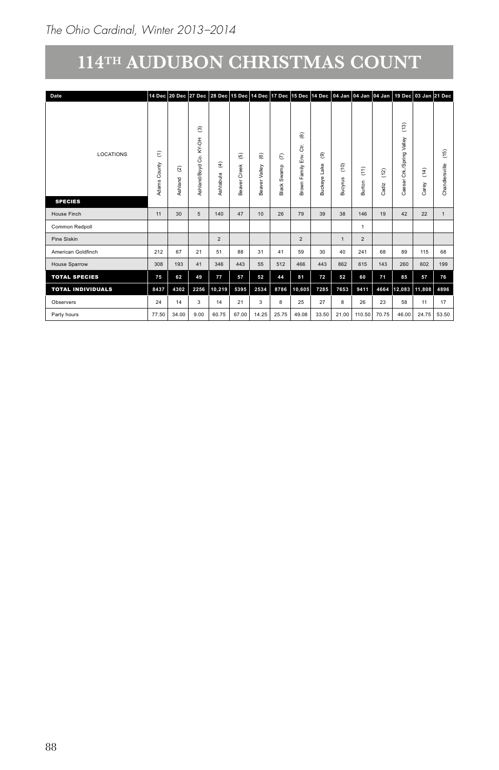| Date                     |                               |                                    |                                                                   |                               |                                                                               |                         |                                |                      |                                   |                        | 14 Dec 20 Dec 27 Dec 28 Dec 15 Dec 14 Dec 17 Dec 15 Dec 14 Dec 04 Jan 04 Jan 04 Jan |                    |                                 | 19 Dec 03 Jan 21 Dec    |                                             |
|--------------------------|-------------------------------|------------------------------------|-------------------------------------------------------------------|-------------------------------|-------------------------------------------------------------------------------|-------------------------|--------------------------------|----------------------|-----------------------------------|------------------------|-------------------------------------------------------------------------------------|--------------------|---------------------------------|-------------------------|---------------------------------------------|
| LOCATIONS                | ε<br>$\rightarrow$<br>$\circ$ | $\widehat{\alpha}$<br>$\mathbf{r}$ | $\widehat{\mathbb{C}}$<br>$\overline{5}$<br>≿<br>්<br><b>Boyd</b> | $\widehat{\mathfrak{T}}$<br>显 | $\widehat{\mathfrak{G}}$                                                      | $\widehat{\circ}$<br>≍  | $\varepsilon$<br>c<br>$\omega$ | ම<br>రె<br>Env.<br>≧ | $\widehat{\circledast}$<br>Φ<br>- | $\widehat{\mathbf{e}}$ | $\widehat{\Xi}$                                                                     | $\left( 12\right)$ | $\widetilde{c}$<br>$\mathbf{D}$ | $\widehat{\tilde{z}}$   | $\begin{array}{c} (15) \\ \end{array}$<br>≝ |
| <b>SPECIES</b>           |                               | ÷<br>◀                             |                                                                   |                               |                                                                               |                         | ≃                              | 菡                    | ⋒                                 | ぁ                      | õ                                                                                   | 칌<br>ී             |                                 | Ö                       | $\epsilon$<br><b>Cha</b>                    |
| <b>House Finch</b>       | 11                            | 30                                 | $5\overline{5}$                                                   | 140                           | 47                                                                            | 10                      | 26                             | 79                   | 39                                | 38                     | 146                                                                                 | 19                 | 42                              | 22                      |                                             |
| Common Redpoll           |                               |                                    |                                                                   |                               |                                                                               |                         |                                |                      |                                   |                        | $\overline{\phantom{a}}$                                                            |                    |                                 |                         |                                             |
| Pine Siskin              |                               |                                    |                                                                   | $\overline{2}$                |                                                                               |                         |                                | $\overline{2}$       |                                   |                        | $\overline{2}$                                                                      |                    |                                 |                         |                                             |
| American Goldfinch       | 212                           | 67                                 | 21                                                                | 51                            | 88                                                                            | 31                      | 41                             | 59                   | 30                                | 40                     | 241                                                                                 | 68                 | 89                              | 115                     | 68                                          |
| House Sparrow            | 308                           | 193                                | 41                                                                | 346                           | 443                                                                           | 55                      | 512                            | 466                  | 443                               | 862                    | 615                                                                                 | 143                | 260                             | 602                     | 199                                         |
| <b>TOTAL SPECIES</b>     | 75                            | 62                                 | 49                                                                | 77                            | 57                                                                            | 52                      | 44                             | 81                   | 72                                | 52                     | 60                                                                                  | 71                 | 85                              | 57                      | 76                                          |
| <b>TOTAL INDIVIDUALS</b> | 8437                          | 4302                               |                                                                   |                               | 2256 10,219 5395                                                              | 2534                    | 8786                           | $ 10,605 $ 7285      |                                   | 7653                   | 9411                                                                                |                    |                                 | 4664 12,083 11,808      | 4896                                        |
| Observers                | 24                            | 14                                 | $\mathbf{3}$                                                      | 14                            | 21                                                                            | $\overline{\mathbf{3}}$ | 8                              | 25                   | 27                                | 8                      | 26                                                                                  | 23                 | 58                              | 11                      | 17                                          |
| Party hours              | 77.50                         |                                    |                                                                   |                               | 34.00   9.00   60.75   67.00   14.25   25.75   49.08   33.50   21.00   110.50 |                         |                                |                      |                                   |                        |                                                                                     |                    |                                 | 70.75 46.00 24.75 53.50 |                                             |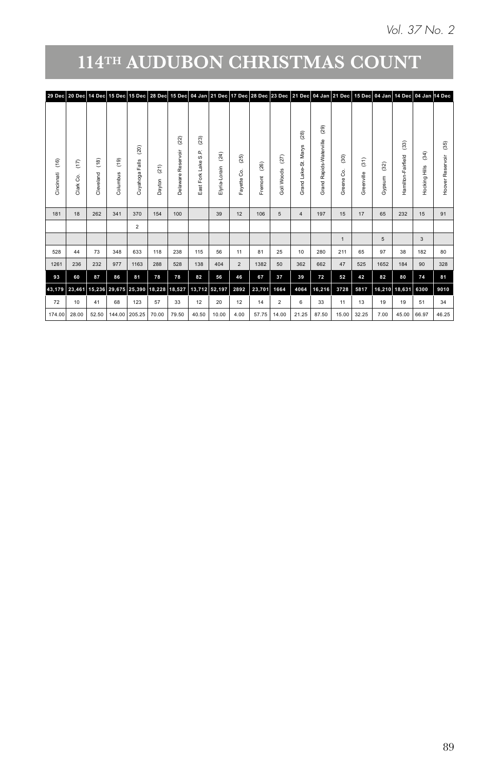| (29)<br>(28)<br>(23)<br>$\left( 22\right)$<br>$\overline{3}$<br>$\left( 35\right)$<br>S.<br>$\mathbf{a}$<br>hār<br>$\widehat{a}$<br>$^{(24)}$<br>$\left( 25\right)$<br>$\widehat{S}$<br>$\left( 27\right)$<br>S<br>$\Rightarrow$<br>5i<br>Lake<br>$^{(26)}$<br>$^{(32)}$<br>ಲ<br>ing Hills<br>in<br>ai<br>œ<br>8<br>ക<br>රි<br>ğ<br>š<br>$\theta$<br>ofk<br>$\overline{\phantom{a}}$<br>œ<br>š<br>٠<br>$\mathbf{\overline{5}}$<br>щ<br>$\mathbf{r}$<br>٠<br>$\overline{5}$<br>믕<br>£,<br>$\sigma$<br>ŏ<br>Ő<br>Ō<br>Ō<br>ó<br>$\mathbf{H}$<br>65<br>39<br>106<br>197<br>17<br>232<br>15<br>91<br>100<br>12<br>15<br>5<br>4<br>5<br>$\mathbf{3}$<br>56<br>280<br>97<br>182<br>80<br>238<br>81<br>25<br>65<br>115<br>10<br>211<br>38<br>11<br>1382<br>525<br>1652<br>90<br>328<br>528<br>138<br>404<br>50<br>362<br>662<br>47<br>$\overline{2}$<br>184<br>81<br>82<br>37<br>72<br>52<br>82<br>78<br>56<br>39<br>80<br>74<br>46<br>67<br>42<br>9010<br>43,179 23,461 15,236 29,675 25,390 18,228 18,527 13,712 52,197 2892 23,701 1664<br>4064   16,216   3728   5817<br>16,210 18,631 6300<br>34<br>20<br>33<br>19<br>19<br>51<br>33<br>12<br>12<br>14<br>$\overline{2}$<br>13<br>11<br>6 |
|-----------------------------------------------------------------------------------------------------------------------------------------------------------------------------------------------------------------------------------------------------------------------------------------------------------------------------------------------------------------------------------------------------------------------------------------------------------------------------------------------------------------------------------------------------------------------------------------------------------------------------------------------------------------------------------------------------------------------------------------------------------------------------------------------------------------------------------------------------------------------------------------------------------------------------------------------------------------------------------------------------------------------------------------------------------------------------------------------------------------------------------------------------------------------------------------|
|                                                                                                                                                                                                                                                                                                                                                                                                                                                                                                                                                                                                                                                                                                                                                                                                                                                                                                                                                                                                                                                                                                                                                                                         |
|                                                                                                                                                                                                                                                                                                                                                                                                                                                                                                                                                                                                                                                                                                                                                                                                                                                                                                                                                                                                                                                                                                                                                                                         |
|                                                                                                                                                                                                                                                                                                                                                                                                                                                                                                                                                                                                                                                                                                                                                                                                                                                                                                                                                                                                                                                                                                                                                                                         |
|                                                                                                                                                                                                                                                                                                                                                                                                                                                                                                                                                                                                                                                                                                                                                                                                                                                                                                                                                                                                                                                                                                                                                                                         |
|                                                                                                                                                                                                                                                                                                                                                                                                                                                                                                                                                                                                                                                                                                                                                                                                                                                                                                                                                                                                                                                                                                                                                                                         |
|                                                                                                                                                                                                                                                                                                                                                                                                                                                                                                                                                                                                                                                                                                                                                                                                                                                                                                                                                                                                                                                                                                                                                                                         |
|                                                                                                                                                                                                                                                                                                                                                                                                                                                                                                                                                                                                                                                                                                                                                                                                                                                                                                                                                                                                                                                                                                                                                                                         |
|                                                                                                                                                                                                                                                                                                                                                                                                                                                                                                                                                                                                                                                                                                                                                                                                                                                                                                                                                                                                                                                                                                                                                                                         |
|                                                                                                                                                                                                                                                                                                                                                                                                                                                                                                                                                                                                                                                                                                                                                                                                                                                                                                                                                                                                                                                                                                                                                                                         |
|                                                                                                                                                                                                                                                                                                                                                                                                                                                                                                                                                                                                                                                                                                                                                                                                                                                                                                                                                                                                                                                                                                                                                                                         |
|                                                                                                                                                                                                                                                                                                                                                                                                                                                                                                                                                                                                                                                                                                                                                                                                                                                                                                                                                                                                                                                                                                                                                                                         |
|                                                                                                                                                                                                                                                                                                                                                                                                                                                                                                                                                                                                                                                                                                                                                                                                                                                                                                                                                                                                                                                                                                                                                                                         |
|                                                                                                                                                                                                                                                                                                                                                                                                                                                                                                                                                                                                                                                                                                                                                                                                                                                                                                                                                                                                                                                                                                                                                                                         |
|                                                                                                                                                                                                                                                                                                                                                                                                                                                                                                                                                                                                                                                                                                                                                                                                                                                                                                                                                                                                                                                                                                                                                                                         |
|                                                                                                                                                                                                                                                                                                                                                                                                                                                                                                                                                                                                                                                                                                                                                                                                                                                                                                                                                                                                                                                                                                                                                                                         |
|                                                                                                                                                                                                                                                                                                                                                                                                                                                                                                                                                                                                                                                                                                                                                                                                                                                                                                                                                                                                                                                                                                                                                                                         |
|                                                                                                                                                                                                                                                                                                                                                                                                                                                                                                                                                                                                                                                                                                                                                                                                                                                                                                                                                                                                                                                                                                                                                                                         |
| 46.25<br>  4.00   57.75   14.00   21.25   87.50   15.00   32.25   7.00   45.00   66.97<br>174.00 28.00 52.50 144.00 205.25 70.00 79.50 40.50 10.00                                                                                                                                                                                                                                                                                                                                                                                                                                                                                                                                                                                                                                                                                                                                                                                                                                                                                                                                                                                                                                      |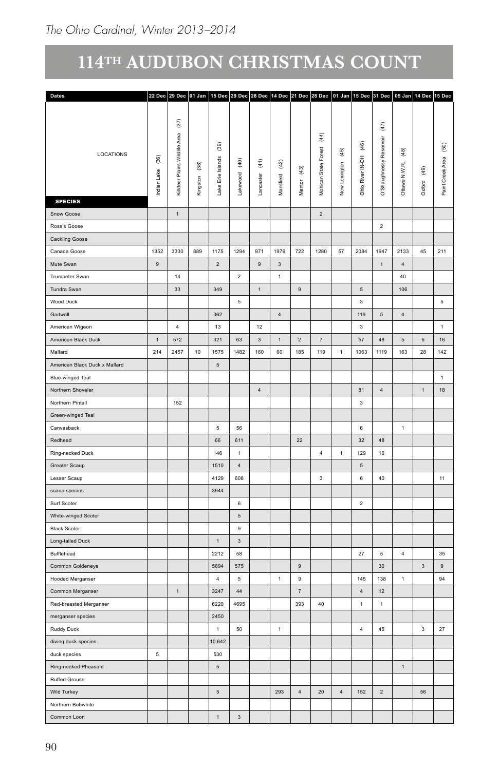| Dates                         |                    |                          |                        |                 |                |                          |                    |                    |                |                |                         | 22 Dec 29 Dec 01 Jan 15 Dec 29 Dec 28 Dec 14 Dec 21 Dec 28 Dec 01 Jan 15 Dec 31 Dec 05 Jan 14 Dec 15 Dec |                                             |                 |                  |
|-------------------------------|--------------------|--------------------------|------------------------|-----------------|----------------|--------------------------|--------------------|--------------------|----------------|----------------|-------------------------|----------------------------------------------------------------------------------------------------------|---------------------------------------------|-----------------|------------------|
|                               |                    |                          |                        |                 |                |                          |                    |                    |                |                |                         |                                                                                                          |                                             |                 |                  |
|                               |                    | $(37)$                   |                        |                 |                |                          |                    |                    |                |                |                         | $\left(47\right)$                                                                                        |                                             |                 |                  |
|                               |                    | Area                     |                        |                 |                |                          |                    |                    | $\overline{4}$ |                |                         |                                                                                                          |                                             |                 |                  |
| LOCATIONS                     |                    |                          |                        | $(39)$          |                |                          |                    |                    | Forest         | $(45)$         | (46)                    | Reservoir                                                                                                | $\begin{array}{c} (48) \\[-48] \end{array}$ |                 | $\overline{50}$  |
|                               | $\left( 36\right)$ | Killdeer Plains Wildlife | $\widehat{\mathbf{g}}$ | Islands         | $\widehat{q}$  | $\widehat{\mathfrak{t}}$ | $\left( 42\right)$ |                    |                |                | Ohio River IN-OH        |                                                                                                          |                                             |                 |                  |
|                               | Lake               |                          |                        |                 | ood            |                          |                    | $\left( 43\right)$ |                |                |                         |                                                                                                          |                                             | (49)            |                  |
|                               | Indian             |                          | Kingston               | Lake Erie       |                | caster                   | Mansfield          | Mentor             | Mohican State  | New Lexington  |                         | O'Shaughnessy                                                                                            | Ottawa N.W.R.                               | Oxford          | Paint Creek Area |
| <b>SPECIES</b>                |                    |                          |                        |                 | 혺              | $\frac{5}{2}$            |                    |                    |                |                |                         |                                                                                                          |                                             |                 |                  |
| Snow Goose                    |                    | $\,$ 1 $\,$              |                        |                 |                |                          |                    |                    | $\overline{2}$ |                |                         |                                                                                                          |                                             |                 |                  |
| Ross's Goose                  |                    |                          |                        |                 |                |                          |                    |                    |                |                |                         | $\overline{2}$                                                                                           |                                             |                 |                  |
| Cackling Goose                |                    |                          |                        |                 |                |                          |                    |                    |                |                |                         |                                                                                                          |                                             |                 |                  |
| Canada Goose                  | 1352               | 3330                     | 889                    | 1175            | 1294           | 971                      | 1976               | 722                | 1280           | $57\,$         | 2084                    | 1947                                                                                                     | 2133                                        |                 | 211              |
|                               |                    |                          |                        |                 |                |                          |                    |                    |                |                |                         |                                                                                                          |                                             | 45              |                  |
| Mute Swan                     | $\,9$              |                          |                        | $\overline{2}$  |                | $\boldsymbol{9}$         | $\mathbf{3}$       |                    |                |                |                         | $\mathbf{1}$                                                                                             | $\overline{4}$                              |                 |                  |
| Trumpeter Swan                |                    | 14                       |                        |                 | $\overline{2}$ |                          | $\overline{1}$     |                    |                |                |                         |                                                                                                          | 40                                          |                 |                  |
| Tundra Swan                   |                    | $33\,$                   |                        | 349             |                | $\mathbf{1}$             |                    | 9                  |                |                | $5\phantom{.0}$         |                                                                                                          | 106                                         |                 |                  |
| Wood Duck                     |                    |                          |                        |                 | 5              |                          |                    |                    |                |                | $\overline{\mathbf{3}}$ |                                                                                                          |                                             |                 | $5\overline{)}$  |
| Gadwall                       |                    |                          |                        | 362             |                |                          | $\overline{4}$     |                    |                |                | 119                     | $5\overline{5}$                                                                                          | $\overline{4}$                              |                 |                  |
| American Wigeon               |                    | $\overline{4}$           |                        | 13              |                | 12                       |                    |                    |                |                | $\overline{\mathbf{3}}$ |                                                                                                          |                                             |                 | $\mathbf{1}$     |
| American Black Duck           | $\overline{1}$     | 572                      |                        | 321             | 63             | $\overline{3}$           | $\overline{1}$     | $\overline{2}$     | $\overline{7}$ |                | 57                      | 48                                                                                                       | $5\phantom{.0}$                             | $6\phantom{.0}$ | 16               |
| Mallard                       | 214                | 2457                     | 10                     | 1575            | 1482           | 160                      | 60                 | 185                | 119            | $\mathbf{1}$   | 1063                    | 1119                                                                                                     | 163                                         | 28              | 142              |
| American Black Duck x Mallard |                    |                          |                        | $\,$ 5 $\,$     |                |                          |                    |                    |                |                |                         |                                                                                                          |                                             |                 |                  |
| Blue-winged Teal              |                    |                          |                        |                 |                |                          |                    |                    |                |                |                         |                                                                                                          |                                             |                 | 1                |
| Northern Shoveler             |                    |                          |                        |                 |                | $\overline{4}$           |                    |                    |                |                | 81                      | $\overline{4}$                                                                                           |                                             | $\overline{1}$  | 18               |
| Northern Pintail              |                    | 152                      |                        |                 |                |                          |                    |                    |                |                | $\sqrt{3}$              |                                                                                                          |                                             |                 |                  |
| Green-winged Teal             |                    |                          |                        |                 |                |                          |                    |                    |                |                |                         |                                                                                                          |                                             |                 |                  |
| Canvasback                    |                    |                          |                        | $5\phantom{.0}$ | ${\bf 56}$     |                          |                    |                    |                |                | $\,$ 6 $\,$             |                                                                                                          | $\overline{1}$                              |                 |                  |
| Redhead                       |                    |                          |                        | 66              | 611            |                          |                    | 22                 |                |                | 32                      | 48                                                                                                       |                                             |                 |                  |
| Ring-necked Duck              |                    |                          |                        | 146             | $\overline{1}$ |                          |                    |                    | 4              | 1              | 129                     | 16                                                                                                       |                                             |                 |                  |
| Greater Scaup                 |                    |                          |                        | 1510            | $\overline{4}$ |                          |                    |                    |                |                | $5\phantom{.0}$         |                                                                                                          |                                             |                 |                  |
| Lesser Scaup                  |                    |                          |                        | 4129            | 608            |                          |                    |                    | $\mathbf{3}$   |                | $\,$ 6 $\,$             | 40                                                                                                       |                                             |                 | $11 -$           |
|                               |                    |                          |                        | 3944            |                |                          |                    |                    |                |                |                         |                                                                                                          |                                             |                 |                  |
| scaup species                 |                    |                          |                        |                 |                |                          |                    |                    |                |                |                         |                                                                                                          |                                             |                 |                  |
| Surf Scoter                   |                    |                          |                        |                 | 6              |                          |                    |                    |                |                | $\overline{2}$          |                                                                                                          |                                             |                 |                  |
| White-winged Scoter           |                    |                          |                        |                 | $\sqrt{5}$     |                          |                    |                    |                |                |                         |                                                                                                          |                                             |                 |                  |
| <b>Black Scoter</b>           |                    |                          |                        |                 | $\,9$          |                          |                    |                    |                |                |                         |                                                                                                          |                                             |                 |                  |
| Long-tailed Duck              |                    |                          |                        | 1               | $_{3}$         |                          |                    |                    |                |                |                         |                                                                                                          |                                             |                 |                  |
| Bufflehead                    |                    |                          |                        | 2212            | 58             |                          |                    |                    |                |                | $27\,$                  | $\,$ 5 $\,$                                                                                              | $\overline{4}$                              |                 | 35               |
| Common Goldeneye              |                    |                          |                        | 5694            | 575            |                          |                    | $\overline{9}$     |                |                |                         | 30                                                                                                       |                                             | $\sqrt{3}$      | $\mathsf g$      |
| Hooded Merganser              |                    |                          |                        | $\overline{4}$  | $\sqrt{5}$     |                          | $\overline{1}$     | 9                  |                |                | 145                     | 138                                                                                                      | $\mathbf{1}$                                |                 | 94               |
| Common Merganser              |                    | $\,1\,$                  |                        | 3247            | $44\,$         |                          |                    | $\overline{7}$     |                |                | $\overline{4}$          | 12                                                                                                       |                                             |                 |                  |
| Red-breasted Merganser        |                    |                          |                        | 6220            | 4695           |                          |                    | 393                | 40             |                | $\mathbf{1}$            | $\mathbf{1}$                                                                                             |                                             |                 |                  |
| merganser species             |                    |                          |                        | 2450            |                |                          |                    |                    |                |                |                         |                                                                                                          |                                             |                 |                  |
| Ruddy Duck                    |                    |                          |                        | 1               | 50             |                          | $\overline{1}$     |                    |                |                | 4                       | 45                                                                                                       |                                             | $\mathbf{3}$    | 27               |
| diving duck species           |                    |                          |                        | 10,642          |                |                          |                    |                    |                |                |                         |                                                                                                          |                                             |                 |                  |
| duck species                  | $5\phantom{.0}$    |                          |                        | 530             |                |                          |                    |                    |                |                |                         |                                                                                                          |                                             |                 |                  |
| Ring-necked Pheasant          |                    |                          |                        | $\sqrt{5}$      |                |                          |                    |                    |                |                |                         |                                                                                                          | $\overline{1}$                              |                 |                  |
| Ruffed Grouse                 |                    |                          |                        |                 |                |                          |                    |                    |                |                |                         |                                                                                                          |                                             |                 |                  |
| Wild Turkey                   |                    |                          |                        | 5 <sup>5</sup>  |                |                          | 293                | $\overline{4}$     | $20\degree$    | $\overline{4}$ | 152                     | $\overline{2}$                                                                                           |                                             | 56              |                  |
| Northern Bobwhite             |                    |                          |                        |                 |                |                          |                    |                    |                |                |                         |                                                                                                          |                                             |                 |                  |
|                               |                    |                          |                        |                 |                |                          |                    |                    |                |                |                         |                                                                                                          |                                             |                 |                  |
| Common Loon                   |                    |                          |                        | $\mathbf{1}$    | $_{\rm 3}$     |                          |                    |                    |                |                |                         |                                                                                                          |                                             |                 |                  |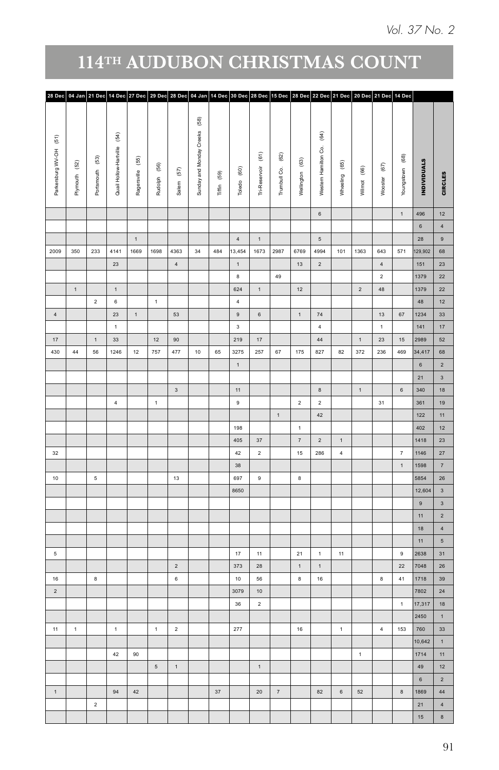| 28 Dec 04 Jan 21 Dec 14 Dec 27 Dec 29 Dec 28 Dec 04 Jan 14 Dec 30 Dec 28 Dec 15 Dec 28 Dec 22 Dec 21 Dec 20 Dec 21 Dec 14 Dec |                |                 |                          |              |              |                            |                                                                       |             |                         |                          |              |                                     |                          |                |                |                    |                   |                    |                |
|-------------------------------------------------------------------------------------------------------------------------------|----------------|-----------------|--------------------------|--------------|--------------|----------------------------|-----------------------------------------------------------------------|-------------|-------------------------|--------------------------|--------------|-------------------------------------|--------------------------|----------------|----------------|--------------------|-------------------|--------------------|----------------|
| $\widehat{\mathbb{E}}$                                                                                                        | $^{(52)}$      |                 | $\widehat{\mathfrak{F}}$ | $(55)$       |              |                            | $\begin{array}{c} \boxed{68} \end{array}$<br>Sunday and Monday Creeks |             |                         | $\widehat{\mathfrak{s}}$ | $^{(62)}$    |                                     | $\widehat{\mathfrak{F}}$ | $^{(65)}$      |                | $\left( 67\right)$ |                   |                    |                |
| Parkersburg WV-OH                                                                                                             | Plymouth       | Portsmouth (53) | Quail Hollow-Hartville   | Ragersville  | Rudolph (56) | $\left(57\right)$<br>Salem |                                                                       | Tiffin (59) | Toledo (60)             | Tri-Reservoir            | Trumbull Co. | Wellington (63)                     | Western Hamilton Co.     | Wheeling       | Wilmot (66)    | Wooster            | Youngstown (68)   | <b>INDIVIDUALS</b> | CIRCLES        |
|                                                                                                                               |                |                 |                          |              |              |                            |                                                                       |             |                         |                          |              |                                     | $\,$ 6 $\,$              |                |                |                    | $\mathbf{1}$      | 496                | 12             |
|                                                                                                                               |                |                 |                          |              |              |                            |                                                                       |             |                         |                          |              |                                     |                          |                |                |                    |                   | $6\overline{6}$    | $\overline{4}$ |
|                                                                                                                               |                |                 |                          | $\mathbf{1}$ |              |                            |                                                                       |             | 4                       | $\overline{1}$           |              |                                     | $5\phantom{.0}$          |                |                |                    |                   | 28                 | $\overline{9}$ |
| 2009                                                                                                                          | 350            |                 | 233 4141                 | 1669         | 1698         | 4363                       | 34                                                                    | 484         | 13,454                  | 1673                     | 2987         | 6769                                | 4994                     |                | 101 1363       | 643                | 571               | 129,902            | 68             |
|                                                                                                                               |                |                 | $23\,$                   |              |              | $\overline{4}$             |                                                                       |             | $\,$ 1 $\,$             |                          |              | 13                                  | $\sqrt{2}$               |                |                | $\sqrt{4}$         |                   | 151                | 23<br>22       |
|                                                                                                                               |                |                 |                          |              |              |                            |                                                                       |             | $\bf8$                  |                          | 49           |                                     |                          |                |                | $\overline{a}$     |                   | 1379               |                |
|                                                                                                                               | $\,$ 1 $\,$    |                 | $\mathbf{1}$             |              |              |                            |                                                                       |             | 624                     | $\mathbf 1$              |              | 12                                  |                          |                | $\overline{2}$ | 48                 |                   | 1379               |                |
|                                                                                                                               |                | $\mathbf{2}$    | $\,$ 6 $\,$              |              | $\,$ 1 $\,$  |                            |                                                                       |             | $\overline{4}$          |                          |              |                                     |                          |                |                |                    |                   | 48                 |                |
| $\,$ 4 $\,$                                                                                                                   |                |                 | $23\,$                   | $\,$ 1 $\,$  |              | 53                         |                                                                       |             | $\,$ 9 $\,$             | $_{\rm 6}$               |              | $\mathbf 1$                         | $74\,$                   |                |                | $13\,$             | 67                | 1234               |                |
|                                                                                                                               |                |                 | $-1$                     |              |              |                            |                                                                       |             | $\overline{\mathbf{3}}$ |                          |              |                                     | $\overline{4}$           |                |                | $\mathbf{1}$       |                   | 141                |                |
| $17\,$<br>430                                                                                                                 |                | $\mathbf{1}$    | 33                       |              | 12           | 90                         |                                                                       |             | 219                     | $17\,$                   |              |                                     | 44                       |                | 1              | $23\,$             | $15\,$            | 2989               |                |
|                                                                                                                               | $44\,$         | 56              | 1246                     | 12           | 757          | 477                        | 10 <sub>1</sub>                                                       | 65          | 3275                    | 257                      | 67           | 175                                 | 827                      | 82             | 372            | 236                | 469               | 34,417             |                |
|                                                                                                                               |                |                 |                          |              |              |                            |                                                                       |             | 1                       |                          |              |                                     |                          |                |                |                    |                   | $6\overline{6}$    |                |
|                                                                                                                               |                |                 |                          |              |              |                            |                                                                       |             |                         |                          |              |                                     |                          |                |                |                    |                   | 21                 |                |
|                                                                                                                               |                |                 |                          |              |              | $\overline{3}$             |                                                                       |             | 11                      |                          |              |                                     | $\mathbf{8}$             |                | 1              |                    | $6\overline{6}$   | 340                |                |
|                                                                                                                               |                |                 | 4                        |              | 1            |                            |                                                                       |             | 9                       |                          |              | $\overline{2}$                      | $\overline{2}$           |                |                | 31                 |                   | 361                |                |
|                                                                                                                               |                |                 |                          |              |              |                            |                                                                       |             |                         |                          | 1            |                                     | 42                       |                |                |                    |                   | 122                |                |
|                                                                                                                               |                |                 |                          |              |              |                            |                                                                       |             | 198<br>405              | 37                       |              | $\mathbf{1}$<br>$\scriptstyle\rm 7$ | $\sqrt{2}$               | $\mathbf 1$    |                |                    |                   | 402<br>1418        |                |
|                                                                                                                               |                |                 |                          |              |              |                            |                                                                       |             | 42                      | $\overline{2}$           |              | 15 <sub>15</sub>                    | 286                      | $\overline{4}$ |                |                    | $\scriptstyle{7}$ | 1146               |                |
| 32                                                                                                                            |                |                 |                          |              |              |                            |                                                                       |             | 38                      |                          |              |                                     |                          |                |                |                    | $\mathbf 1$       | 1598               |                |
| $10$                                                                                                                          |                | $\,$ 5 $\,$     |                          |              |              | 13                         |                                                                       |             | 697                     | $\,9$                    |              | $\bf 8$                             |                          |                |                |                    |                   | 5854               |                |
|                                                                                                                               |                |                 |                          |              |              |                            |                                                                       |             | 8650                    |                          |              |                                     |                          |                |                |                    |                   | 12,604             |                |
|                                                                                                                               |                |                 |                          |              |              |                            |                                                                       |             |                         |                          |              |                                     |                          |                |                |                    |                   | $\mathsf{9}^-$     |                |
|                                                                                                                               |                |                 |                          |              |              |                            |                                                                       |             |                         |                          |              |                                     |                          |                |                |                    |                   | $11 -$             |                |
|                                                                                                                               |                |                 |                          |              |              |                            |                                                                       |             |                         |                          |              |                                     |                          |                |                |                    |                   | 18                 |                |
|                                                                                                                               |                |                 |                          |              |              |                            |                                                                       |             |                         |                          |              |                                     |                          |                |                |                    |                   | 11 <sup>1</sup>    |                |
| $5\phantom{.0}$                                                                                                               |                |                 |                          |              |              |                            |                                                                       |             | 17                      | 11                       |              | 21                                  | $\overline{1}$           | $11$           |                |                    | $\,9$             | 2638               |                |
|                                                                                                                               |                |                 |                          |              |              | $\overline{2}$             |                                                                       |             | 373                     | $28\,$                   |              | $\mathbf{1}$                        | $\mathbf 1$              |                |                |                    | $22\,$            | 7048               |                |
| 16                                                                                                                            |                | $^{\rm 8}$      |                          |              |              | $6\,$                      |                                                                       |             | 10 <sub>1</sub>         | 56                       |              | $\bf{8}$                            | 16                       |                |                | $\bf 8$            | 41                | 1718               |                |
| $\overline{2}$                                                                                                                |                |                 |                          |              |              |                            |                                                                       |             | 3079                    | $10$                     |              |                                     |                          |                |                |                    |                   | 7802               |                |
|                                                                                                                               |                |                 |                          |              |              |                            |                                                                       |             | 36                      | $\overline{2}$           |              |                                     |                          |                |                |                    | $\mathbf 1$       | 17,317             |                |
|                                                                                                                               |                |                 |                          |              |              |                            |                                                                       |             |                         |                          |              |                                     |                          |                |                |                    |                   | 2450               |                |
| 11                                                                                                                            | $\overline{1}$ |                 | $\mathbf{1}$             |              | $\mathbf 1$  | $\overline{2}$             |                                                                       |             | 277                     |                          |              | $16\,$                              |                          | $\,$ 1 $\,$    |                | $\overline{4}$     | 153               | 760                |                |
|                                                                                                                               |                |                 |                          |              |              |                            |                                                                       |             |                         |                          |              |                                     |                          |                |                |                    |                   | 10,642             |                |
|                                                                                                                               |                |                 | 42                       | 90           |              |                            |                                                                       |             |                         |                          |              |                                     |                          |                | $\mathbf{1}$   |                    |                   | 1714               |                |
|                                                                                                                               |                |                 |                          |              | $\,$ 5 $\,$  | $\mathbf{1}$               |                                                                       |             |                         | $\mathbf 1$              |              |                                     |                          |                |                |                    |                   | 49                 |                |
|                                                                                                                               |                |                 |                          |              |              |                            |                                                                       |             |                         |                          |              |                                     |                          |                |                |                    |                   | $6\overline{6}$    |                |
| $\mathbf 1$                                                                                                                   |                |                 | 94                       | 42           |              |                            |                                                                       | $37\,$      |                         | $20\degree$              | $\bar{7}$    |                                     | 82                       | $\mathbf 6$    | $52\,$         |                    | $\bf8$            | 1869               |                |
|                                                                                                                               |                | $\overline{2}$  |                          |              |              |                            |                                                                       |             |                         |                          |              |                                     |                          |                |                |                    |                   | 21                 |                |
|                                                                                                                               |                |                 |                          |              |              |                            |                                                                       |             |                         |                          |              |                                     |                          |                |                |                    |                   | 15 <sup>15</sup>   |                |
|                                                                                                                               |                |                 |                          |              |              |                            |                                                                       |             |                         |                          |              |                                     |                          |                |                |                    |                   |                    |                |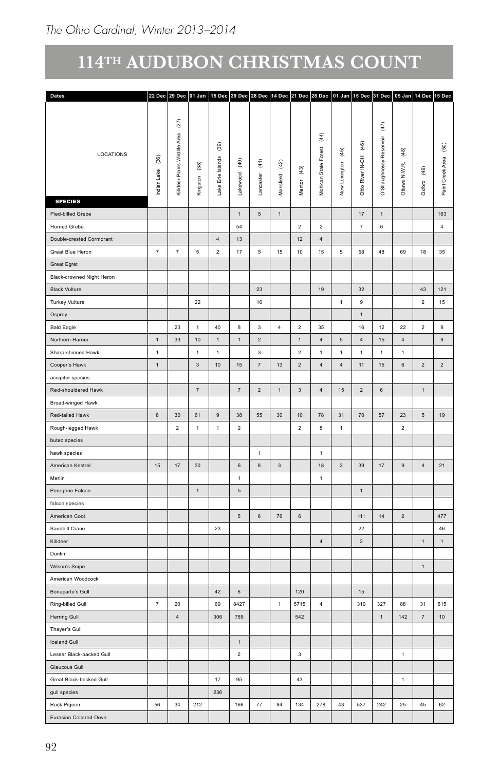| Dates                     |                |                               |                 |                                                      |                         |                          |                |                          |                  |               |                          | 22 Dec 29 Dec 01 Jan 15 Dec 29 Dec 28 Dec 14 Dec 21 Dec 28 Dec 01 Jan 15 Dec 31 Dec 05 Jan 14 Dec 15 Dec |                |                   |                   |
|---------------------------|----------------|-------------------------------|-----------------|------------------------------------------------------|-------------------------|--------------------------|----------------|--------------------------|------------------|---------------|--------------------------|----------------------------------------------------------------------------------------------------------|----------------|-------------------|-------------------|
|                           |                |                               |                 |                                                      |                         |                          |                |                          |                  |               |                          |                                                                                                          |                |                   |                   |
|                           |                | $(37)$                        |                 |                                                      |                         |                          |                |                          |                  |               |                          | $(47)$                                                                                                   |                |                   |                   |
|                           |                |                               |                 | $\begin{array}{c} (39) \\ \underline{0} \end{array}$ |                         |                          |                |                          | $\overline{4}$   |               | $\widehat{\mathfrak{g}}$ | Reservoir                                                                                                |                |                   | $\left(50\right)$ |
| LOCATIONS                 | $^{(36)}$      | Killdeer Plains Wildlife Area |                 |                                                      |                         |                          |                |                          | Forest           | $(45)$        |                          |                                                                                                          | $^{(48)}$      |                   |                   |
|                           |                |                               | $\overline{6}$  | Islands                                              | $\overline{9}$          | $\widehat{\mathfrak{t}}$ | $(42)$         | $\widehat{\mathfrak{g}}$ |                  |               |                          |                                                                                                          |                | (49)              |                   |
|                           | Lake           |                               |                 |                                                      | $\overline{\mathbf{g}}$ | aster                    |                |                          |                  |               |                          |                                                                                                          |                |                   |                   |
|                           | ndian          |                               | Kingston        | Lake Erie                                            | Lake                    | $\overline{a}$           | Mansfield      | Mentor                   | Mohican State    | New Lexington | Ohio River IN-OH         | O'Shaughnessy                                                                                            | Ottawa N.W.R.  | Oxford            | Paint Creek Area  |
| <b>SPECIES</b>            |                |                               |                 |                                                      |                         |                          |                |                          |                  |               |                          |                                                                                                          |                |                   |                   |
| Pied-billed Grebe         |                |                               |                 |                                                      | $\,1\,$                 | $\,$ 5 $\,$              | $\,$ 1 $\,$    |                          |                  |               | $17\,$                   | $\mathbf{1}$                                                                                             |                |                   | 163               |
| Horned Grebe              |                |                               |                 |                                                      | ${\bf 54}$              |                          |                | $\overline{2}$           | $\overline{2}$   |               | $\scriptstyle{7}$        | $\,$ 6 $\,$                                                                                              |                |                   | $\overline{4}$    |
| Double-crested Cormorant  |                |                               |                 | $\overline{4}$                                       | $13\,$                  |                          |                | $12\,$                   | $\overline{4}$   |               |                          |                                                                                                          |                |                   |                   |
| Great Blue Heron          | 7              | 7                             | $5\phantom{.0}$ | $\overline{2}$                                       | $17\,$                  | $\sqrt{5}$               | 15             | $10\,$                   | 15               | $\,$ 5 $\,$   | 58                       | 48                                                                                                       | 69             | 18                | 35                |
| Great Egret               |                |                               |                 |                                                      |                         |                          |                |                          |                  |               |                          |                                                                                                          |                |                   |                   |
| Black-crowned Night Heron |                |                               |                 |                                                      |                         |                          |                |                          |                  |               |                          |                                                                                                          |                |                   |                   |
|                           |                |                               |                 |                                                      |                         | 23                       |                |                          | 19               |               | 32                       |                                                                                                          |                | 43                | 121               |
| <b>Black Vulture</b>      |                |                               |                 |                                                      |                         |                          |                |                          |                  |               |                          |                                                                                                          |                |                   |                   |
| Turkey Vulture            |                |                               | $22\,$          |                                                      |                         | 16                       |                |                          |                  | $\mathbf{1}$  | $9$                      |                                                                                                          |                | $\overline{2}$    | 15                |
| Osprey                    |                |                               |                 |                                                      |                         |                          |                |                          |                  |               | $\mathbf{1}$             |                                                                                                          |                |                   |                   |
| <b>Bald Eagle</b>         |                | 23                            | $\blacksquare$  | 40                                                   | 8                       | $\overline{\mathbf{3}}$  | $\overline{4}$ | $\overline{2}$           | 35               |               | 16                       | 12                                                                                                       | 22             | $\overline{2}$    | $\overline{9}$    |
| Northern Harrier          | 1              | 33                            | $10$            | $\mathbf{1}$                                         | $\,$ 1 $\,$             | $\overline{2}$           |                | $\overline{1}$           | $\sqrt{4}$       | $\sqrt{5}$    | $\sqrt{4}$               | 15                                                                                                       | $\overline{4}$ |                   | 9                 |
| Sharp-shinned Hawk        | $\overline{1}$ |                               | $\mathbf{1}$    | $\mathbf{1}$                                         |                         | $_{\rm 3}$               |                | $\overline{2}$           | $\overline{1}$   | $\,$ 1 $\,$   | $\mathbf{1}$             | $\mathbf{1}$                                                                                             | $\overline{1}$ |                   |                   |
| Cooper's Hawk             | $\overline{1}$ |                               | $_{3}$          | $10$                                                 | $15\,$                  | $\scriptstyle{7}$        | 13             | $\overline{2}$           | $\overline{4}$   | $\sqrt{4}$    | 11                       | 15                                                                                                       | $\,6\,$        | $\overline{2}$    | $\overline{2}$    |
| accipiter species         |                |                               |                 |                                                      |                         |                          |                |                          |                  |               |                          |                                                                                                          |                |                   |                   |
| Red-shouldered Hawk       |                |                               | $7\phantom{.}$  |                                                      | $\scriptstyle{7}$       | $\sqrt{2}$               | $\,$ 1 $\,$    | $\mathbf{3}$             | $\sqrt{4}$       | $15\,$        | $\sqrt{2}$               | $\,$ 6 $\,$                                                                                              |                | $\mathbf{1}$      |                   |
| Broad-winged Hawk         |                |                               |                 |                                                      |                         |                          |                |                          |                  |               |                          |                                                                                                          |                |                   |                   |
| Red-tailed Hawk           | $\,$ 8 $\,$    | 30                            | $61\,$          | $9\,$                                                | $38\,$                  | 55                       | 30             | $10$                     | 78               | 31            | 70                       | $57\,$                                                                                                   | 23             | $\sqrt{5}$        | $19$              |
| Rough-legged Hawk         |                | $\overline{2}$                | $\mathbf{1}$    | $\mathbf{1}$                                         | $\overline{2}$          |                          |                | $\overline{2}$           | $\boldsymbol{8}$ | $\mathbf{1}$  |                          |                                                                                                          | $\overline{2}$ |                   |                   |
|                           |                |                               |                 |                                                      |                         |                          |                |                          |                  |               |                          |                                                                                                          |                |                   |                   |
| buteo species             |                |                               |                 |                                                      |                         |                          |                |                          |                  |               |                          |                                                                                                          |                |                   |                   |
| hawk species              |                |                               |                 |                                                      |                         | $\mathbf{1}$             |                |                          | $\overline{1}$   |               |                          |                                                                                                          |                |                   |                   |
| American Kestrel          | 15             | $17\,$                        | $30\,$          |                                                      | 6                       | $\bf8$                   | $\mathbf{3}$   |                          | 18               | $\mathbf{3}$  | 39                       | 17                                                                                                       | $\mathsf{9}$   | $\overline{4}$    | 21                |
| Merlin                    |                |                               |                 |                                                      | $\overline{1}$          |                          |                |                          | $\mathbf{1}$     |               |                          |                                                                                                          |                |                   |                   |
| Peregrine Falcon          |                |                               | $\overline{1}$  |                                                      | $\sqrt{5}$              |                          |                |                          |                  |               | 1                        |                                                                                                          |                |                   |                   |
| falcon species            |                |                               |                 |                                                      |                         |                          |                |                          |                  |               |                          |                                                                                                          |                |                   |                   |
| American Coot             |                |                               |                 |                                                      | $5\overline{5}$         | $\,$ 6 $\,$              | 76             | 6                        |                  |               | 111                      | 14                                                                                                       | $\overline{2}$ |                   | 477               |
| Sandhill Crane            |                |                               |                 | 23                                                   |                         |                          |                |                          |                  |               | $22\,$                   |                                                                                                          |                |                   | 46                |
| Killdeer                  |                |                               |                 |                                                      |                         |                          |                |                          | $\overline{4}$   |               | $_{3}$                   |                                                                                                          |                | $\,1\,$           | 1                 |
| Dunlin                    |                |                               |                 |                                                      |                         |                          |                |                          |                  |               |                          |                                                                                                          |                |                   |                   |
| Wilson's Snipe            |                |                               |                 |                                                      |                         |                          |                |                          |                  |               |                          |                                                                                                          |                | $\,$ 1 $\,$       |                   |
|                           |                |                               |                 |                                                      |                         |                          |                |                          |                  |               |                          |                                                                                                          |                |                   |                   |
| American Woodcock         |                |                               |                 |                                                      |                         |                          |                |                          |                  |               |                          |                                                                                                          |                |                   |                   |
| Bonaparte's Gull          |                |                               |                 | $42\,$                                               | $\,6\,$                 |                          |                | 120                      |                  |               | $15\,$                   |                                                                                                          |                |                   |                   |
| Ring-billed Gull          | 7              | $20\,$                        |                 | 69                                                   | 8427                    |                          | $\overline{1}$ | 5715                     | $\overline{4}$   |               | 319                      | $327\,$                                                                                                  | 88             | 31                | ${\bf 515}$       |
| Herring Gull              |                | $\overline{4}$                |                 | $306\,$                                              | 769                     |                          |                | 542                      |                  |               |                          | $\mathbf{1}$                                                                                             | 142            | $\scriptstyle{7}$ | $10\,$            |
| Thayer's Gull             |                |                               |                 |                                                      |                         |                          |                |                          |                  |               |                          |                                                                                                          |                |                   |                   |
| <b>Iceland Gull</b>       |                |                               |                 |                                                      | $\overline{1}$          |                          |                |                          |                  |               |                          |                                                                                                          |                |                   |                   |
| Lesser Black-backed Gull  |                |                               |                 |                                                      | $\sqrt{2}$              |                          |                | $\overline{\mathbf{3}}$  |                  |               |                          |                                                                                                          | $\overline{1}$ |                   |                   |
| Glaucous Gull             |                |                               |                 |                                                      |                         |                          |                |                          |                  |               |                          |                                                                                                          |                |                   |                   |
| Great Black-backed Gull   |                |                               |                 | 17                                                   | 95                      |                          |                | 43                       |                  |               |                          |                                                                                                          | $\overline{1}$ |                   |                   |
|                           |                |                               |                 | 236                                                  |                         |                          |                |                          |                  |               |                          |                                                                                                          |                |                   |                   |
| gull species              |                |                               |                 |                                                      |                         |                          |                |                          |                  |               |                          |                                                                                                          |                |                   |                   |
| Rock Pigeon               | 56             | 34                            | 212             |                                                      | 166                     | 77                       | 84             | 134                      | 278              | 43            | 537                      | 242                                                                                                      | 25             | 45                | 62                |
| Eurasian Collared-Dove    |                |                               |                 |                                                      |                         |                          |                |                          |                  |               |                          |                                                                                                          |                |                   |                   |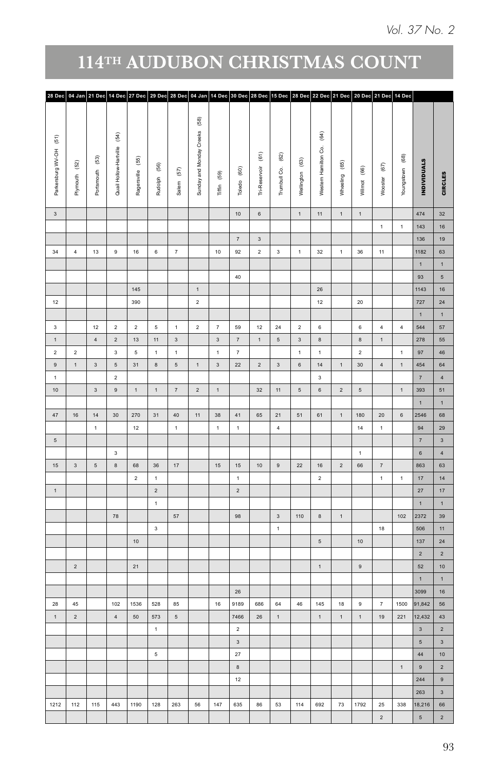| 28 Dec 04 Jan 21 Dec 14 Dec 27 Dec 29 Dec 28 Dec 04 Jan 14 Dec 30 Dec 28 Dec 15 Dec 28 Dec 22 Dec 21 Dec 20 Dec 21 Dec 14 Dec |                                |                 |                                                    |                       |                         |                   |                                                                       |                         |                         |                                           |                           |                 |                                                  |                       |                 |                    |                 |                                                                                                          |                         |
|-------------------------------------------------------------------------------------------------------------------------------|--------------------------------|-----------------|----------------------------------------------------|-----------------------|-------------------------|-------------------|-----------------------------------------------------------------------|-------------------------|-------------------------|-------------------------------------------|---------------------------|-----------------|--------------------------------------------------|-----------------------|-----------------|--------------------|-----------------|----------------------------------------------------------------------------------------------------------|-------------------------|
| $\widehat{\mathbb{E}}$<br>Parkersburg WV-OH                                                                                   | $\left( 52\right)$<br>Plymouth | Portsmouth (53) | $\widehat{\mathfrak{F}}$<br>Quail Hollow-Hartville | $(55)$<br>Ragersville | Rudolph (56)            | $\left(57\right)$ | $\begin{array}{c} \boxed{68} \end{array}$<br>Sunday and Monday Creeks | Tiffin (59)             | Toledo (60)             | $\widehat{\mathfrak{s}}$<br>Tri-Reservoir | $^{(62)}$<br>Trumbull Co. | Wellington (63) | $\widehat{\mathfrak{F}}$<br>Western Hamilton Co. | $^{(65)}$<br>Wheeling | Wilmot (66)     | $\left( 67\right)$ | Youngstown (68) | <b>INDIVIDUALS</b>                                                                                       | CIRCLES                 |
|                                                                                                                               |                                |                 |                                                    |                       |                         | Salem             |                                                                       |                         |                         |                                           |                           |                 |                                                  |                       |                 | Wooster            |                 |                                                                                                          |                         |
| $\overline{\mathbf{3}}$                                                                                                       |                                |                 |                                                    |                       |                         |                   |                                                                       |                         | 10 <sup>10</sup>        | $_{\rm 6}$                                |                           | $\mathbf{1}$    | 11                                               | $\mathbf{1}$          | $\mathbf{1}$    |                    |                 | 474                                                                                                      | 32                      |
|                                                                                                                               |                                |                 |                                                    |                       |                         |                   |                                                                       |                         |                         |                                           |                           |                 |                                                  |                       |                 | 1                  | $\mathbf 1$     | 143                                                                                                      | 16                      |
|                                                                                                                               |                                |                 |                                                    |                       |                         |                   |                                                                       |                         | 7                       | $\overline{\mathbf{3}}$                   |                           |                 |                                                  |                       |                 |                    |                 | 136                                                                                                      | 19 <sup>°</sup>         |
| 34                                                                                                                            | 4                              | 13              | 9                                                  | 16                    | $\,$ 6 $\,$             | $\scriptstyle{7}$ |                                                                       | $10$                    | 92                      | $\overline{2}$                            | $\overline{\mathbf{3}}$   | $\mathbf 1$     | 32                                               | $\mathbf 1$           | 36              | $11 -$             |                 | 1182                                                                                                     | 63                      |
|                                                                                                                               |                                |                 |                                                    |                       |                         |                   |                                                                       |                         |                         |                                           |                           |                 |                                                  |                       |                 |                    |                 | $\mathbf{1}$                                                                                             | $\mathbf{1}$            |
|                                                                                                                               |                                |                 |                                                    |                       |                         |                   |                                                                       |                         | $40\,$                  |                                           |                           |                 |                                                  |                       |                 |                    |                 | 93                                                                                                       | $5^{\circ}$             |
|                                                                                                                               |                                |                 |                                                    | $145$                 |                         |                   | $\mathbf 1$                                                           |                         |                         |                                           |                           |                 | $26\,$                                           |                       |                 |                    |                 | 1143                                                                                                     | 16                      |
| 12                                                                                                                            |                                |                 |                                                    | 390                   |                         |                   | $\mathbf{2}^-$                                                        |                         |                         |                                           |                           |                 | 12                                               |                       | 20              |                    |                 | 727                                                                                                      | 24                      |
|                                                                                                                               |                                |                 |                                                    |                       |                         |                   |                                                                       |                         |                         |                                           |                           |                 |                                                  |                       |                 |                    |                 | $\mathbf{1}$                                                                                             | $\mathbf 1$             |
| $_{\rm 3}$                                                                                                                    |                                | 12              | $\overline{2}$                                     | $\overline{2}$        | $\mathsf{s}\,$          | 1                 | $\overline{a}$                                                        | $\scriptstyle{7}$       | 59                      | 12                                        | 24                        | $\overline{2}$  | $\,$ 6 $\,$                                      |                       | $\mathbf{6}^-$  | $\overline{4}$     | $\sqrt{4}$      | 544                                                                                                      | $57\,$                  |
| $\,$ 1 $\,$                                                                                                                   |                                | $\sqrt{4}$      | $\overline{2}$                                     | $13$                  | 11                      | $_{\rm 3}$        |                                                                       | $\overline{\mathbf{3}}$ | $\scriptstyle\rm 7$     | $\,$ 1 $\,$                               | $\sqrt{5}$                | $_{3}$          | $\,$ 8 $\,$                                      |                       | $\bf{8}$        | $\,$ 1 $\,$        |                 | 278                                                                                                      | 55                      |
| $\overline{2}$                                                                                                                | $\overline{2}$                 |                 | $\overline{\mathbf{3}}$                            | $\sqrt{5}$            | $\mathbf{1}$            | $\mathbf{1}$      |                                                                       | $\mathbf{1}$            | $\overline{7}$          |                                           |                           | $\mathbf{1}$    | $\overline{1}$                                   |                       | $\overline{2}$  |                    | $\mathbf{1}$    | 97                                                                                                       | 46 <sup>°</sup>         |
| $\mathsf{9}$                                                                                                                  | $\,$ 1 $\,$                    | $\mathbf{3}$    | $\sqrt{5}$                                         | 31                    | $\bf8$                  | $\,$ 5 $\,$       | $\mathbf{1}$                                                          | $\overline{\mathbf{3}}$ | $22\,$                  | $\sqrt{2}$                                | $\overline{\mathbf{3}}$   | $\,$ 6 $\,$     | $14\,$                                           | $\,$ 1 $\,$           | $30\,$          | $\overline{4}$     | $\,$ 1 $\,$     | 454                                                                                                      | 64                      |
| $\mathbf{1}$                                                                                                                  |                                |                 | $\overline{2}$                                     |                       |                         |                   |                                                                       |                         |                         |                                           |                           |                 | $\overline{\mathbf{3}}$                          |                       |                 |                    |                 | $\overline{7}$                                                                                           | $\overline{4}$          |
| 10                                                                                                                            |                                | 3 <sup>1</sup>  | $\,$ 9 $\,$                                        | 1                     | 1                       | 7                 | $\overline{2}$                                                        | 1                       |                         | 32                                        | 11                        | $\sqrt{5}$      | $_{\rm 6}$                                       | $\overline{2}$        | $5\overline{5}$ |                    | 1               | 393                                                                                                      | 51                      |
|                                                                                                                               |                                |                 |                                                    |                       |                         |                   |                                                                       |                         |                         |                                           |                           |                 |                                                  |                       |                 |                    |                 | $\mathbf{1}$                                                                                             | 1                       |
| $47\,$                                                                                                                        | $16\,$                         | 14              | 30                                                 | 270                   | 31                      | 40                | 11                                                                    | 38                      | 41                      | 65                                        | 21                        | 51              | 61                                               | 1                     | 180             | $20\degree$        | $_{\rm 6}$      | 2546                                                                                                     | 68                      |
|                                                                                                                               |                                | $\mathbf{1}$    |                                                    | 12                    |                         | $\mathbf{1}$      |                                                                       | $\mathbf 1$             | $\mathbf{1}$            |                                           | $\overline{4}$            |                 |                                                  |                       | 14              | $\mathbf{1}$       |                 | 94                                                                                                       | 29                      |
| $\,$ 5 $\,$                                                                                                                   |                                |                 |                                                    |                       |                         |                   |                                                                       |                         |                         |                                           |                           |                 |                                                  |                       |                 |                    |                 | $\overline{7}$                                                                                           | $\overline{\mathbf{3}}$ |
|                                                                                                                               |                                |                 | $\overline{\mathbf{3}}$                            |                       |                         |                   |                                                                       |                         |                         |                                           |                           |                 |                                                  |                       | $\mathbf 1$     |                    |                 | $\,$ 6 $\,$                                                                                              | $\overline{4}$          |
| $15\,$                                                                                                                        | $_{\rm 3}$                     | $5^{\circ}$     | $\,$ 8 $\,$                                        | 68                    | $36\,$                  | 17                |                                                                       | 15 <sup>15</sup>        | 15                      | 10                                        | $\,9$                     | 22              | $16\,$                                           | $\overline{2}$        | 66              | $\scriptstyle{7}$  |                 | 863                                                                                                      | 63                      |
|                                                                                                                               |                                |                 |                                                    | $\overline{2}$        | $\mathbf{1}$            |                   |                                                                       |                         | $\mathbf 1$             |                                           |                           |                 | $\overline{2}$                                   |                       |                 | $\mathbf 1$        | $\,$ 1 $\,$     | 17 <sup>°</sup>                                                                                          | 14                      |
| $\mathbf 1$                                                                                                                   |                                |                 |                                                    |                       | $\overline{\mathbf{2}}$ |                   |                                                                       |                         | $\overline{2}$          |                                           |                           |                 |                                                  |                       |                 |                    |                 | 27                                                                                                       | 17 <sup>°</sup>         |
|                                                                                                                               |                                |                 |                                                    |                       | $\mathbf{1}$            |                   |                                                                       |                         |                         |                                           |                           |                 |                                                  |                       |                 |                    |                 | $\mathbf{1}$                                                                                             | $\mathbf 1$             |
|                                                                                                                               |                                |                 | 78                                                 |                       |                         | $57\,$            |                                                                       |                         | 98                      |                                           | $\overline{\mathbf{3}}$   | 110             | $\,$ 8 $\,$                                      | $\mathbf 1$           |                 |                    | $102$           | 2372                                                                                                     | 39                      |
|                                                                                                                               |                                |                 |                                                    |                       | $\overline{\mathbf{3}}$ |                   |                                                                       |                         |                         |                                           | $\mathbf{1}$              |                 |                                                  |                       |                 | $18\,$             |                 | 506                                                                                                      | $11 -$                  |
|                                                                                                                               |                                |                 |                                                    | 10                    |                         |                   |                                                                       |                         |                         |                                           |                           |                 | $5\overline{5}$                                  |                       | 10 <sub>1</sub> |                    |                 | 137                                                                                                      | 24                      |
|                                                                                                                               |                                |                 |                                                    |                       |                         |                   |                                                                       |                         |                         |                                           |                           |                 |                                                  |                       |                 |                    |                 | $\overline{2}$                                                                                           | $\overline{2}$          |
|                                                                                                                               | $\overline{2}$                 |                 |                                                    | 21                    |                         |                   |                                                                       |                         |                         |                                           |                           |                 | $\mathbf 1$                                      |                       | 9               |                    |                 | 52                                                                                                       | $10-10$                 |
|                                                                                                                               |                                |                 |                                                    |                       |                         |                   |                                                                       |                         |                         |                                           |                           |                 |                                                  |                       |                 |                    |                 | $\mathbf{1}$                                                                                             | 1                       |
|                                                                                                                               |                                |                 |                                                    |                       |                         |                   |                                                                       |                         | 26                      |                                           |                           |                 |                                                  |                       |                 |                    |                 | 3099                                                                                                     | 16                      |
| 28                                                                                                                            | 45                             |                 | 102                                                | 1536                  | 528                     | 85                |                                                                       | 16                      | 9189                    | 686                                       | 64                        | 46              | 145                                              | 18                    | $\mathsf g$     | 7                  | 1500            | 91,842                                                                                                   | 56                      |
| $\overline{1}$                                                                                                                | $\overline{2}$                 |                 | $\sqrt{4}$                                         | 50                    | 573                     | $\sqrt{5}$        |                                                                       |                         | 7466                    | $26\,$                                    | 1                         |                 | $\mathbf{1}$                                     | $\mathbf{1}$          | $\mathbf{1}$    | 19                 | 221             | 12,432                                                                                                   | 43                      |
|                                                                                                                               |                                |                 |                                                    |                       | $\mathbf 1$             |                   |                                                                       |                         | $\overline{2}$          |                                           |                           |                 |                                                  |                       |                 |                    |                 | $\overline{\mathbf{3}}$                                                                                  | $\overline{2}$          |
|                                                                                                                               |                                |                 |                                                    |                       |                         |                   |                                                                       |                         | $\overline{\mathbf{3}}$ |                                           |                           |                 |                                                  |                       |                 |                    |                 | 5 <sup>1</sup>                                                                                           | $\overline{\mathbf{3}}$ |
|                                                                                                                               |                                |                 |                                                    |                       | $\overline{5}$          |                   |                                                                       |                         | $27$                    |                                           |                           |                 |                                                  |                       |                 |                    |                 | 44 <sup>°</sup>                                                                                          | 10 <sub>1</sub>         |
|                                                                                                                               |                                |                 |                                                    |                       |                         |                   |                                                                       |                         | $\,$ 8 $\,$             |                                           |                           |                 |                                                  |                       |                 |                    | $\mathbf{1}$    | $\mathsf{g}% _{T}=\mathsf{g}_{T}\!\left( a,b\right) ,\mathsf{g}_{T}=\mathsf{g}_{T}\!\left( a,b\right) ,$ | $\overline{2}$          |
|                                                                                                                               |                                |                 |                                                    |                       |                         |                   |                                                                       |                         | 12                      |                                           |                           |                 |                                                  |                       |                 |                    |                 | 244                                                                                                      | 9                       |
|                                                                                                                               |                                |                 |                                                    |                       |                         |                   |                                                                       |                         |                         |                                           |                           |                 |                                                  |                       |                 |                    |                 | 263                                                                                                      | $\overline{\mathbf{3}}$ |
| 1212                                                                                                                          | 112                            | 115             | 443                                                | 1190                  | 128                     | 263               | $^{\rm 56}$                                                           | $147$                   | 635                     | 86                                        | 53                        | 114             | 692                                              | $73\,$                | 1792            | $\bf 25$           | 338             | 18,216                                                                                                   | 66                      |
|                                                                                                                               |                                |                 |                                                    |                       |                         |                   |                                                                       |                         |                         |                                           |                           |                 |                                                  |                       |                 | $\overline{2}$     |                 | $5^{\circ}$                                                                                              | $\overline{2}$          |
|                                                                                                                               |                                |                 |                                                    |                       |                         |                   |                                                                       |                         |                         |                                           |                           |                 |                                                  |                       |                 |                    |                 |                                                                                                          |                         |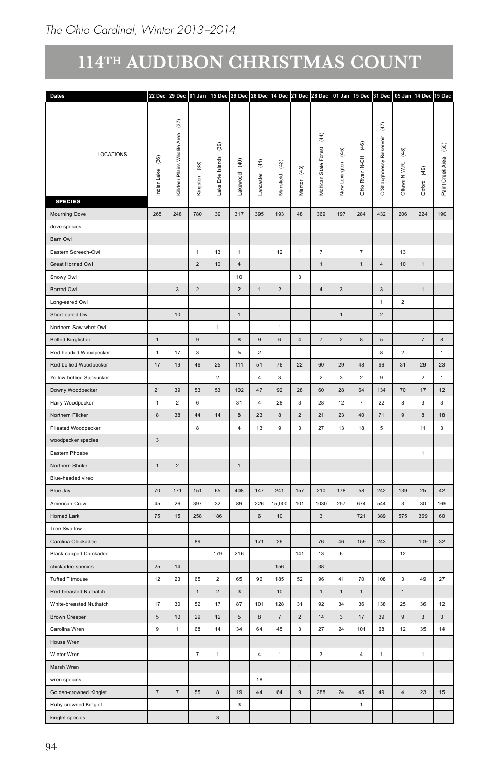| Dates                    |                                            |                                     |                                     |                                |                            |                                    |                   |                              |                                           |                         |                                             | 22 Dec 29 Dec 01 Jan 15 Dec 29 Dec 28 Dec 14 Dec 21 Dec 28 Dec 01 Jan 15 Dec 31 Dec 05 Jan 14 Dec 15 Dec |                                 |                         |                                               |
|--------------------------|--------------------------------------------|-------------------------------------|-------------------------------------|--------------------------------|----------------------------|------------------------------------|-------------------|------------------------------|-------------------------------------------|-------------------------|---------------------------------------------|----------------------------------------------------------------------------------------------------------|---------------------------------|-------------------------|-----------------------------------------------|
|                          |                                            | $(37)$                              |                                     |                                |                            |                                    |                   |                              |                                           |                         |                                             | (47)                                                                                                     |                                 |                         |                                               |
| LOCATIONS                | $\overline{6}$<br>$_{\text{Lake}}$<br>dian | Area<br>Wildlife<br>Killdeer Plains | $\widehat{\mathbf{36}}$<br>Kingston | (39)<br>Islands<br>Lake Erie I | $\overline{9}$<br>Lakewood | $\widehat{\mathfrak{t}}$<br>caster | $(42)$<br>isfield | $\left( 43\right)$<br>Mentor | $\overline{4}$<br>Forest<br>Mohican State | $(45)$<br>New Lexington | $\frac{6}{3}$<br>Ę<br>÷,<br>River<br>Ohio I | æ<br>ଜ                                                                                                   | $\widehat{48}$<br>Ottawa N.W.R. | (49)<br>Oxford          | $\widehat{\mathbb{S}}$<br>Area<br>Paint Creek |
| <b>SPECIES</b>           |                                            |                                     |                                     |                                |                            | ā                                  | ă                 |                              |                                           |                         |                                             | O'Sh                                                                                                     |                                 |                         |                                               |
| Mourning Dove            | 265                                        | ${\bf 248}$                         | 780                                 | 39                             | 317                        | 395                                | 193               | 48                           | 369                                       | 197                     | 284                                         | 432                                                                                                      | 206                             | 224                     | 190                                           |
| dove species             |                                            |                                     |                                     |                                |                            |                                    |                   |                              |                                           |                         |                                             |                                                                                                          |                                 |                         |                                               |
| Barn Owl                 |                                            |                                     |                                     |                                |                            |                                    |                   |                              |                                           |                         |                                             |                                                                                                          |                                 |                         |                                               |
| Eastern Screech-Owl      |                                            |                                     | $\overline{1}$                      | $13\,$                         | $\overline{1}$             |                                    | 12                | $\overline{1}$               | 7                                         |                         | $\overline{7}$                              |                                                                                                          | 13                              |                         |                                               |
| Great Horned Owl         |                                            |                                     | $\overline{2}$                      | 10                             | $\overline{4}$             |                                    |                   |                              | 1                                         |                         | 1                                           | $\overline{4}$                                                                                           | 10                              | $\overline{1}$          |                                               |
| Snowy Owl                |                                            |                                     |                                     |                                | 10                         |                                    |                   | $\overline{\mathbf{3}}$      |                                           |                         |                                             |                                                                                                          |                                 |                         |                                               |
| Barred Owl               |                                            | $\mathbf{3}$                        | $\overline{2}$                      |                                | $\overline{2}$             | 1                                  | $\overline{2}$    |                              | 4                                         | $\overline{\mathbf{3}}$ |                                             | $\overline{3}$                                                                                           |                                 | $\overline{1}$          |                                               |
| Long-eared Owl           |                                            |                                     |                                     |                                |                            |                                    |                   |                              |                                           |                         |                                             | $\mathbf{1}$                                                                                             | $\overline{2}$                  |                         |                                               |
| Short-eared Owl          |                                            | 10                                  |                                     |                                | $\mathbf{1}$               |                                    |                   |                              |                                           | $\,$ 1 $\,$             |                                             | $\overline{2}$                                                                                           |                                 |                         |                                               |
| Northern Saw-whet Owl    |                                            |                                     |                                     | $\mathbf{1}$                   |                            |                                    | $\mathbf{1}$      |                              |                                           |                         |                                             |                                                                                                          |                                 |                         |                                               |
| <b>Belted Kingfisher</b> | 1                                          |                                     | $9\,$                               |                                | $\boldsymbol{8}$           | $9\,$                              | $\,$ 6 $\,$       | $\overline{4}$               | 7                                         | $\overline{2}$          | 8                                           | $5\,$                                                                                                    |                                 | 7                       | $\bf{8}$                                      |
| Red-headed Woodpecker    | 1                                          | 17 <sub>2</sub>                     | $\mathbf{3}$                        |                                | $5\overline{5}$            | $\overline{2}$                     |                   |                              |                                           |                         |                                             | 8                                                                                                        | $\overline{\mathbf{2}}$         |                         | 1                                             |
| Red-bellied Woodpecker   | 17                                         | 19                                  | $\bf 46$                            | 25                             | $111$                      | 51                                 | 76                | $22\,$                       | 60                                        | $29\,$                  | 48                                          | 96                                                                                                       | 31                              | 29                      | 23                                            |
| Yellow-bellied Sapsucker |                                            |                                     |                                     | 2                              |                            | $\overline{4}$                     | $\mathbf{3}$      |                              | $\overline{2}$                            | $\mathbf{3}$            | $\overline{2}$                              | 9                                                                                                        |                                 | $\overline{2}$          | 1                                             |
| Downy Woodpecker         | 21                                         | 39                                  | 53                                  | 53                             | 102                        | 47                                 | 92                | $28\,$                       | 60                                        | ${\bf 28}$              | $64\,$                                      | $134\,$                                                                                                  | 70                              | $17\,$                  | 12                                            |
| Hairy Woodpecker         | $\mathbf{1}$                               | $\overline{2}$                      | 6                                   |                                | 31                         | $\overline{4}$                     | 28                | $\overline{\mathbf{3}}$      | 28                                        | $12\,$                  | 7                                           | 22                                                                                                       | $\overline{\mathbf{8}}$         | $\overline{\mathbf{3}}$ | $\overline{\mathbf{3}}$                       |
| Northern Flicker         | $\bf8$                                     | 38                                  | 44                                  | 14                             | 8                          | 23                                 | 8                 | $\overline{2}$               | 21                                        | $23\,$                  | $40\,$                                      | 71                                                                                                       | $\overline{9}$                  | $^{\rm 8}$              | 18                                            |
| Pileated Woodpecker      |                                            |                                     | 8                                   |                                | $\overline{4}$             | $13$                               | 9                 | $\overline{\mathbf{3}}$      | 27                                        | $13\,$                  | 18                                          | $5\overline{5}$                                                                                          |                                 | 11                      | $\overline{3}$                                |
| woodpecker species       | $\mathbf{3}$                               |                                     |                                     |                                |                            |                                    |                   |                              |                                           |                         |                                             |                                                                                                          |                                 |                         |                                               |
| Eastern Phoebe           |                                            |                                     |                                     |                                |                            |                                    |                   |                              |                                           |                         |                                             |                                                                                                          |                                 | $\overline{1}$          |                                               |
| Northern Shrike          | $\mathbf{1}$                               | $\sqrt{2}$                          |                                     |                                | $\mathbf{1}$               |                                    |                   |                              |                                           |                         |                                             |                                                                                                          |                                 |                         |                                               |
| Blue-headed vireo        |                                            |                                     |                                     |                                |                            |                                    |                   |                              |                                           |                         |                                             |                                                                                                          |                                 |                         |                                               |
| Blue Jay                 | 70                                         | 171                                 | 151                                 | $65\,$                         | 408                        | $147\,$                            | 241               | 157                          | 210                                       | 178                     | 58                                          | 242                                                                                                      | 139                             | $25\phantom{.0}$        | $42\,$                                        |
| American Crow            | $\bf 45$                                   | ${\bf 26}$                          | 397                                 | $32\,$                         | 89                         | 226                                | 15,000            | 101                          | 1030                                      | 257                     | 674                                         | 544                                                                                                      | $\mathbf{3}$                    | $30\,$                  | 169                                           |
| Horned Lark              | $75\,$                                     | 15                                  | 258                                 | 186                            |                            | $\,6\,$                            | 10                |                              | $\mathbf{3}$                              |                         | 721                                         | 389                                                                                                      | 575                             | 369                     | 60                                            |
| <b>Tree Swallow</b>      |                                            |                                     |                                     |                                |                            |                                    |                   |                              |                                           |                         |                                             |                                                                                                          |                                 |                         |                                               |
| Carolina Chickadee       |                                            |                                     | 89                                  |                                |                            | 171                                | $26\,$            |                              | 76                                        | $\bf 46$                | 159                                         | 243                                                                                                      |                                 | 109                     | 32                                            |
| Black-capped Chickadee   |                                            |                                     |                                     | 179                            | 216                        |                                    |                   | 141                          | 13                                        | 6                       |                                             |                                                                                                          | 12                              |                         |                                               |
| chickadee species        | 25                                         | 14                                  |                                     |                                |                            |                                    | 156               |                              | 38                                        |                         |                                             |                                                                                                          |                                 |                         |                                               |
| <b>Tufted Titmouse</b>   | 12                                         | 23                                  | 65                                  | $\overline{2}$                 | 65                         | 96                                 | 185               | 52                           | 96                                        | 41                      | 70                                          | 108                                                                                                      | $\overline{\mathbf{3}}$         | 49                      | 27                                            |
| Red-breasted Nuthatch    |                                            |                                     | $\overline{1}$                      | $\overline{2}$                 | $\overline{3}$             |                                    | 10                |                              | $\overline{1}$                            | $\overline{1}$          | $\mathbf{1}$                                |                                                                                                          | $\overline{1}$                  |                         |                                               |
| White-breasted Nuthatch  | 17                                         | 30                                  | 52                                  | $17\,$                         | 87                         | 101                                | 128               | 31                           | 92                                        | 34                      | 36                                          | 138                                                                                                      | 25                              | 36                      | 12                                            |
| <b>Brown Creeper</b>     | $\,$ 5 $\,$                                | 10                                  | 29                                  | $12\,$                         | $\sqrt{5}$                 | $\,$ 8 $\,$                        | $\overline{7}$    | $\sqrt{2}$                   | 14                                        | $\mathbf{3}$            | $17$                                        | 39                                                                                                       | $\,9$                           | $\mathbf{3}$            | $\mathbf{3}$                                  |
| Carolina Wren            | $\mathsf g$                                | $\mathbf{1}$                        | 68                                  | $14$                           | 34                         | 64                                 | 45                | $\mathbf{3}$                 | 27                                        | $\bf 24$                | 101                                         | 68                                                                                                       | 12                              | 35                      | 14                                            |
| House Wren               |                                            |                                     |                                     |                                |                            |                                    |                   |                              |                                           |                         |                                             |                                                                                                          |                                 |                         |                                               |
| Winter Wren              |                                            |                                     | $\overline{7}$                      | $\overline{1}$                 |                            | $\overline{4}$                     | $\,$ 1 $\,$       |                              | $\overline{\mathbf{3}}$                   |                         | $\overline{4}$                              | $\,$ 1 $\,$                                                                                              |                                 | $\mathbf{1}$            |                                               |
| Marsh Wren               |                                            |                                     |                                     |                                |                            |                                    |                   | $\,$ 1 $\,$                  |                                           |                         |                                             |                                                                                                          |                                 |                         |                                               |
| wren species             |                                            |                                     |                                     |                                |                            | 18                                 |                   |                              |                                           |                         |                                             |                                                                                                          |                                 |                         |                                               |
| Golden-crowned Kinglet   | 7                                          | 7                                   | $55\,$                              | $\bf8$                         | $19$                       | 44                                 | 64                | 9                            | 288                                       | 24                      | 45                                          | 49                                                                                                       | $\overline{4}$                  | 23                      | 15                                            |
| Ruby-crowned Kinglet     |                                            |                                     |                                     |                                | $\mathbf{3}$               |                                    |                   |                              |                                           |                         | 1                                           |                                                                                                          |                                 |                         |                                               |
| kinglet species          |                                            |                                     |                                     | $_{3}$                         |                            |                                    |                   |                              |                                           |                         |                                             |                                                                                                          |                                 |                         |                                               |
|                          |                                            |                                     |                                     |                                |                            |                                    |                   |                              |                                           |                         |                                             |                                                                                                          |                                 |                         |                                               |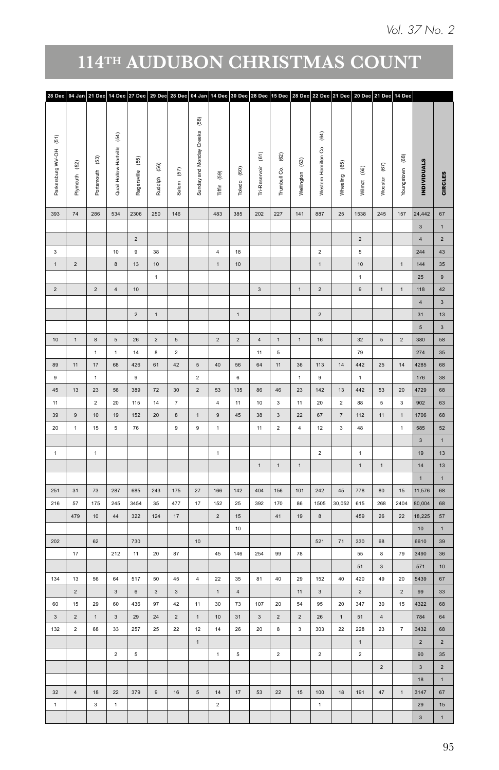| 28 Dec 04 Jan 21 Dec 14 Dec 27 Dec 29 Dec 28 Dec 04 Jan 14 Dec 30 Dec 28 Dec 15 Dec 28 Dec 22 Dec 21 Dec 20 Dec 21 Dec 14 Dec |                      |                         |                                                    |                          |                      |                   |                                             |                        |                      |                          |                      |                                       |                                                  |                     |                       |                           |                          |                         |                                   |
|-------------------------------------------------------------------------------------------------------------------------------|----------------------|-------------------------|----------------------------------------------------|--------------------------|----------------------|-------------------|---------------------------------------------|------------------------|----------------------|--------------------------|----------------------|---------------------------------------|--------------------------------------------------|---------------------|-----------------------|---------------------------|--------------------------|-------------------------|-----------------------------------|
| $(\mathbb{5})$<br>Parkersburg WV-OH                                                                                           | $\left( 52\right)$   | Portsmouth (53)         | $\widehat{\mathfrak{F}}$<br>Quail Hollow-Hartville | $\widehat{\mathbf{55}})$ |                      | $\left(57\right)$ | $_{\tiny (58)}$<br>Sunday and Monday Creeks | $(59)$                 | $^{(60)}$            | $\widehat{\mathfrak{S}}$ | $^{(62)}$            | $\widehat{\mathfrak{G}}$              | $\widehat{\mathfrak{F}}$<br>Western Hamilton Co. | $^{(65)}$           | $_{\tiny (66)}$       | $\mathfrak{S}$            | $_{\tiny (68)}$          | <b>INDIVIDUALS</b>      |                                   |
|                                                                                                                               | Plymouth             |                         |                                                    | Ragersville              | Rudolph (56)         | Salem             |                                             | Tiffin                 | Toledo               | Tri-Reservoir            | Trumbull Co.         | Wellington                            |                                                  | Wheeling            | Wilmot                | Wooster                   | Youngstown               |                         | <b>CIRCLES</b>                    |
| 393                                                                                                                           | $74\,$               | 286                     | 534                                                | 2306                     | 250                  | 146               |                                             | 483                    | 385                  | 202                      | 227                  | $141$                                 | 887                                              | $25\,$              | 1538                  | 245                       | 157                      | 24,442                  | $_{\rm 67}$                       |
|                                                                                                                               |                      |                         |                                                    |                          |                      |                   |                                             |                        |                      |                          |                      |                                       |                                                  |                     |                       |                           |                          | $\overline{3}$          | $\mathbf{1}$                      |
| $\overline{\mathbf{3}}$                                                                                                       |                      |                         |                                                    | $\sqrt{2}$               |                      |                   |                                             |                        |                      |                          |                      |                                       |                                                  |                     | $\overline{2}$        |                           |                          | $\overline{4}$          | $\overline{2}$                    |
|                                                                                                                               |                      |                         | 10                                                 | 9                        | 38                   |                   |                                             | $\overline{4}$         | 18                   |                          |                      |                                       | $\overline{2}$                                   |                     | $5^{\circ}$           |                           |                          | 244                     | 43<br>35 <sub>5</sub>             |
|                                                                                                                               | $\overline{2}$       |                         | $\,$ 8 $\,$                                        | $13\,$                   | $10$<br>$\mathbf{1}$ |                   |                                             | $\overline{1}$         | $10$                 |                          |                      |                                       | $\mathbf{1}$                                     |                     | 10<br>$\mathbf{1}$    |                           | $\mathbf{1}$             | $144$                   | $\overline{9}$                    |
|                                                                                                                               |                      | $\overline{2}$          | 4                                                  |                          |                      |                   |                                             |                        |                      | 3                        |                      | $\mathbf{1}$                          |                                                  |                     | 9                     |                           | $\overline{1}$           | 25                      | 42                                |
| $\sqrt{2}$                                                                                                                    |                      |                         |                                                    | $10\,$                   |                      |                   |                                             |                        |                      |                          |                      |                                       | $\overline{\mathbf{2}}$                          |                     |                       | $\,$ 1 $\,$               |                          | 118<br>$\overline{4}$   |                                   |
|                                                                                                                               |                      |                         |                                                    | $\overline{2}$           | $\,1\,$              |                   |                                             |                        | 1                    |                          |                      |                                       | $\overline{2}$                                   |                     |                       |                           |                          | 31                      | $\overline{\mathbf{3}}$<br>$13\,$ |
|                                                                                                                               |                      |                         |                                                    |                          |                      |                   |                                             |                        |                      |                          |                      |                                       |                                                  |                     |                       |                           |                          | $5\overline{)}$         | $\overline{\mathbf{3}}$           |
|                                                                                                                               | $\overline{1}$       | 8                       | $5\phantom{.0}$                                    | $26\,$                   | $\overline{2}$       | $\sqrt{5}$        |                                             | $\overline{2}$         | $\overline{2}$       | $\overline{4}$           | 1                    | 1                                     | $16\,$                                           |                     | 32                    | 5 <sub>5</sub>            | $\overline{\mathbf{2}}$  | 380                     | 58                                |
|                                                                                                                               |                      | 1                       | $\mathbf 1$                                        | 14                       | $\bf{8}$             | $\overline{2}$    |                                             |                        |                      | 11                       | $\sqrt{5}$           |                                       |                                                  |                     | 79                    |                           |                          | 274                     | 35 <sup>5</sup>                   |
|                                                                                                                               | 11                   | $17\,$                  | 68                                                 | 426                      | 61                   | 42                | $\sqrt{5}$                                  | $40\,$                 | 56                   | $64\,$                   | 11                   | 36                                    | 113                                              | 14                  | 442                   | $25\phantom{.0}$          | 14                       | 4285                    | 68                                |
| $\,9$                                                                                                                         |                      | $\mathbf{1}$            |                                                    | $\mathsf g$              |                      |                   | $\overline{2}$                              |                        | $\,$ 6 $\,$          |                          |                      | $\mathbf 1$                           | 9                                                |                     | 1                     |                           |                          | 176                     | 38                                |
| $45\,$                                                                                                                        | 13                   | 23                      | 56                                                 | 389                      | 72                   | 30                | $\overline{2}$                              | 53                     | 135                  | 86                       | $46\,$               | 23                                    | 142                                              | $13\,$              | 442                   | 53                        | $20\,$                   | 4729                    | 68                                |
| $11\,$                                                                                                                        |                      | $\overline{2}$          | $20\,$                                             | 115                      | 14                   | $\scriptstyle{7}$ |                                             | $\overline{4}$         | $11 -$               | $10$                     | $_{\rm 3}$           | 11 <sub>1</sub>                       | $20\,$                                           | $\overline{2}$      | 88                    | $\,$ 5 $\,$               | $\overline{\phantom{a}}$ | 902                     | 63                                |
| $39\,$                                                                                                                        | $\,$ 9               | $10\,$                  | $19$                                               | 152                      | $20\,$               | $\bf8$            | 1                                           | $\,9$                  | $45\,$               | $38\,$                   | $_{\rm 3}$           | $22\,$                                | $_{\rm 67}$                                      | $\scriptstyle\rm 7$ | $112$                 | 11                        | $\,$ 1 $\,$              | 1706                    |                                   |
|                                                                                                                               | $\overline{1}$       | 15 <sub>15</sub>        | $5\phantom{.0}$                                    | ${\bf 76}$               |                      | $\mathsf g$       | $\mathsf g$                                 | $\overline{1}$         |                      | 11                       | $\overline{2}$       | $\overline{4}$                        | 12                                               | $_{3}$              | $\bf 48$              |                           | $\,$ 1 $\,$              | 585                     | 52                                |
|                                                                                                                               |                      |                         |                                                    |                          |                      |                   |                                             |                        |                      |                          |                      |                                       |                                                  |                     |                       |                           |                          | $\overline{\mathbf{3}}$ |                                   |
|                                                                                                                               |                      | 1                       |                                                    |                          |                      |                   |                                             | $\mathbf{1}$           |                      |                          |                      |                                       | $\overline{2}$                                   |                     | 1                     |                           |                          | 19                      |                                   |
|                                                                                                                               |                      |                         |                                                    |                          |                      |                   |                                             |                        |                      | $\mathbf{1}$             | 1                    | $\mathbf 1$                           |                                                  |                     | $1$ .                 | $\,1\,$                   |                          | 14                      |                                   |
|                                                                                                                               |                      |                         |                                                    |                          |                      |                   |                                             |                        |                      |                          |                      |                                       |                                                  |                     |                       |                           |                          | $\mathbf{1}$            |                                   |
|                                                                                                                               | 31                   | 73                      | 287                                                | 685                      | 243                  | 175               | 27                                          | 166                    | 142                  | 404                      | 156                  | 101                                   | 242                                              | 45                  | 778                   | 80                        | 15                       | 11,576                  |                                   |
|                                                                                                                               | 57                   | 175                     | 245                                                | 3454                     | 35                   | 477               | 17                                          | 152                    | 25                   | 392                      | 170                  | 86                                    | 1505                                             | 30,052              | 615                   | 268                       | 2404                     | 80,004                  |                                   |
|                                                                                                                               | 479                  | 10                      | 44                                                 | 322                      | 124                  | 17                |                                             | $\overline{2}$         | 15                   |                          | 41                   | 19                                    | 8                                                |                     | 459                   | 26                        | 22                       | 18,225                  | 57                                |
|                                                                                                                               |                      |                         |                                                    |                          |                      |                   |                                             |                        | 10                   |                          |                      |                                       |                                                  |                     |                       |                           |                          | 10 <sub>1</sub>         | 1                                 |
|                                                                                                                               |                      | 62                      |                                                    | 730                      |                      |                   | 10                                          |                        |                      |                          |                      |                                       | 521                                              | 71                  | 330                   | 68                        |                          | 6610                    | 39                                |
|                                                                                                                               | 17 <sup>7</sup>      |                         | 212                                                | 11                       | $20\degree$          | 87                |                                             | 45                     | 146                  | 254                      | 99                   | 78                                    |                                                  |                     | 55                    | 8                         | 79                       | 3490                    | $36\,$                            |
|                                                                                                                               |                      |                         |                                                    |                          |                      |                   |                                             |                        |                      |                          |                      |                                       |                                                  |                     | $51\,$                | $\ensuremath{\mathsf{3}}$ |                          | 571                     | 10 <sub>1</sub><br>$67\,$         |
| 134                                                                                                                           | $13\,$               | 56                      | 64                                                 | 517                      | $50\,$               | $\bf 45$          | $\overline{4}$                              | $22\,$<br>$\mathbf{1}$ | $35\,$               | 81                       | $40\,$               | 29                                    | 152                                              | $40\,$              | 420                   | 49                        | 20                       | 5439                    | 33 <sup>°</sup>                   |
| 60                                                                                                                            | $\sqrt{2}$           |                         | $_{\rm 3}$                                         | $\,$ 6 $\,$              | $_{3}$<br>$97\,$     | $_{\rm 3}$        |                                             |                        | $\overline{4}$<br>73 | $107\,$                  |                      | 11                                    | $_{\rm 3}$                                       |                     | $\overline{2}$<br>347 |                           | $\mathbf{2}$<br>$15\,$   | 99<br>4322              | 68                                |
| $\,$ 3 $\,$                                                                                                                   | $15\,$<br>$\sqrt{2}$ | $\mathbf{^{29}}$        | 60<br>$_{3}$                                       | 436                      |                      | 42<br>$\sqrt{2}$  | 11                                          | $30\,$                 | 31                   |                          | $20\,$<br>$\sqrt{2}$ | ${\bf 54}$<br>$\overline{\mathbf{2}}$ | 95                                               | $20\,$              |                       | $30\,$<br>$\overline{4}$  |                          | 784                     |                                   |
|                                                                                                                               |                      | $\,1\,$                 |                                                    | ${\bf 29}$               | $\bf 24$             |                   | $\,$ 1 $\,$                                 | $10\,$                 |                      | $^{\rm 3}$               |                      |                                       | $26\,$                                           | $\,$ 1 $\,$         | $51\,$                |                           |                          |                         |                                   |
| 132                                                                                                                           | $\overline{2}$       | 68                      | 33                                                 | 257                      | $\bf 25$             | $22\,$            | $^{\rm 12}$<br>$\mathbf{1}$                 | 14                     | ${\bf 26}$           | $20\,$                   | $\bf8$               | $_{3}$                                | $303\,$                                          | 22                  | 228<br>$\mathbf{1}$   | 23                        | $\overline{7}$           | 3432<br>$\overline{2}$  |                                   |
|                                                                                                                               |                      |                         | $\overline{2}$                                     | $\sqrt{5}$               |                      |                   |                                             | 1                      | $5\overline{5}$      |                          | $\overline{2}$       |                                       | $\overline{2}$                                   |                     | $\overline{2}$        |                           |                          | 90                      |                                   |
|                                                                                                                               |                      |                         |                                                    |                          |                      |                   |                                             |                        |                      |                          |                      |                                       |                                                  |                     |                       | $\overline{2}$            |                          | $\overline{3}$          |                                   |
|                                                                                                                               |                      |                         |                                                    |                          |                      |                   |                                             |                        |                      |                          |                      |                                       |                                                  |                     |                       |                           |                          | 18                      | $\overline{2}$<br>1               |
| 32                                                                                                                            |                      |                         |                                                    |                          |                      |                   |                                             |                        |                      |                          |                      |                                       |                                                  |                     |                       |                           |                          |                         | 67                                |
|                                                                                                                               | $\overline{4}$       | $18\,$                  | $22\,$                                             | 379                      | $\,$ 9 $\,$          | 16                | $5\overline{)}$                             | 14                     | $17$                 | 53                       | 22                   | 15                                    | 100                                              | $18\,$              | 191                   | 47                        | $\mathbf{1}$             | 3147                    |                                   |
| $\overline{1}$                                                                                                                |                      | $\overline{\mathbf{3}}$ | $\overline{1}$                                     |                          |                      |                   |                                             | $\overline{2}$         |                      |                          |                      |                                       | 1                                                |                     |                       |                           |                          | 29<br>$_{3}$            | 15<br>$\mathbf{1}$                |
|                                                                                                                               |                      |                         |                                                    |                          |                      |                   |                                             |                        |                      |                          |                      |                                       |                                                  |                     |                       |                           |                          |                         |                                   |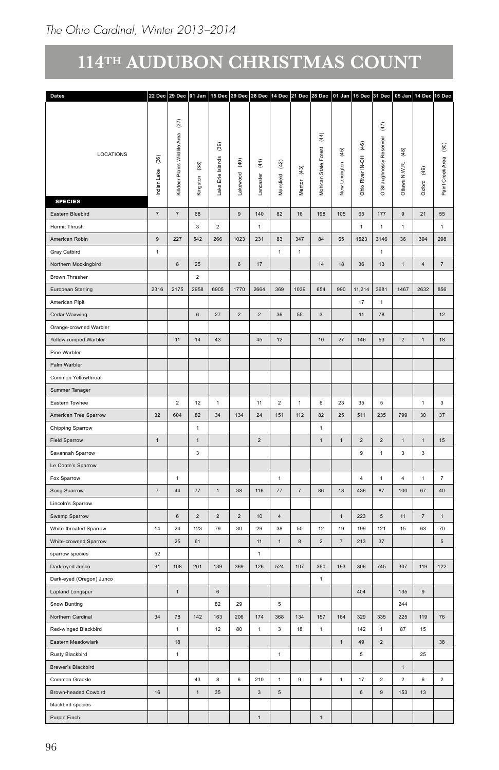| Dates                    |                                             |                                                          |                                    |                                              |                           |                                   |                         |                              |                                          |                         |                                                                        | 22 Dec 29 Dec 01 Jan 15 Dec 29 Dec 28 Dec 14 Dec 21 Dec 28 Dec 01 Jan 15 Dec 31 Dec 05 Jan 14 Dec 15 Dec |                                    |                          |                                            |
|--------------------------|---------------------------------------------|----------------------------------------------------------|------------------------------------|----------------------------------------------|---------------------------|-----------------------------------|-------------------------|------------------------------|------------------------------------------|-------------------------|------------------------------------------------------------------------|----------------------------------------------------------------------------------------------------------|------------------------------------|--------------------------|--------------------------------------------|
|                          |                                             |                                                          |                                    |                                              |                           |                                   |                         |                              |                                          |                         |                                                                        |                                                                                                          |                                    |                          |                                            |
| LOCATIONS                | $\begin{array}{c} (36) \end{array}$<br>Lake | $(\bar{37})$<br>Area<br>Wildlife<br>r Plains<br>Killdeer | $\widehat{\mathbf{g}}$<br>Kingston | $\left( 39\right)$<br>Islands<br>Lake Erie I | $\widehat{q}$<br>Lakewood | $\widehat{\mathfrak{t}}$<br>ister | $^{(42)}$<br>sfield     | $\left( 43\right)$<br>Mentor | $\frac{4}{3}$<br>Forest<br>Mohican State | $(45)$<br>New Lexington | $\widehat{\mathfrak{g}}$<br>$\overline{\varepsilon}$<br>Ohio River IN- | $(47)$<br>å<br>isy                                                                                       | $\left(48\right)$<br>Ottawa N.W.R. | $\overline{6}$<br>Oxford | $\widehat{\mathbb{S}}$<br>Paint Creek Area |
| <b>SPECIES</b>           |                                             |                                                          |                                    |                                              |                           |                                   | š                       |                              |                                          |                         |                                                                        | o'Sh                                                                                                     |                                    |                          |                                            |
| Eastern Bluebird         | $\scriptstyle\rm 7$                         | $\overline{7}$                                           | 68                                 |                                              | $\,9$                     | 140                               | 82                      | $16\,$                       | 198                                      | 105                     | 65                                                                     | $177\,$                                                                                                  | $\,9$                              | 21                       | 55                                         |
| Hermit Thrush            |                                             |                                                          | $\overline{\mathbf{3}}$            | $\overline{2}$                               |                           | $\overline{1}$                    |                         |                              |                                          |                         | $\mathbf{1}$                                                           | $\overline{1}$                                                                                           | $\overline{1}$                     |                          | $\mathbf{1}$                               |
| American Robin           | $9\,$                                       | 227                                                      | 542                                | 266                                          | 1023                      | 231                               | 83                      | 347                          | 84                                       | 65                      | 1523                                                                   | 3146                                                                                                     | 36                                 | 394                      | 298                                        |
| Gray Catbird             | $\mathbf{1}$                                |                                                          |                                    |                                              |                           |                                   | $\overline{1}$          | $\overline{1}$               |                                          |                         |                                                                        | $\overline{1}$                                                                                           |                                    |                          |                                            |
| Northern Mockingbird     |                                             | 8                                                        | $25\,$                             |                                              | $6\phantom{.}6$           | 17                                |                         |                              | 14                                       | $18\,$                  | 36                                                                     | 13                                                                                                       | $\overline{1}$                     | $\overline{4}$           | 7                                          |
| Brown Thrasher           |                                             |                                                          | $\overline{2}$                     |                                              |                           |                                   |                         |                              |                                          |                         |                                                                        |                                                                                                          |                                    |                          |                                            |
| European Starling        | 2316                                        | 2175                                                     | 2958                               | 6905                                         | 1770                      | 2664                              | 369                     | 1039                         | 654                                      | 990                     | 11,214                                                                 | 3681                                                                                                     | 1467                               | 2632                     | 856                                        |
| American Pipit           |                                             |                                                          |                                    |                                              |                           |                                   |                         |                              |                                          |                         | 17                                                                     | $\mathbf{1}$                                                                                             |                                    |                          |                                            |
| Cedar Waxwing            |                                             |                                                          | $6\phantom{.}6$                    | 27                                           | $\overline{2}$            | $\overline{2}$                    | 36                      | 55                           | $\overline{\mathbf{3}}$                  |                         | 11                                                                     | 78                                                                                                       |                                    |                          | 12                                         |
| Orange-crowned Warbler   |                                             |                                                          |                                    |                                              |                           |                                   |                         |                              |                                          |                         |                                                                        |                                                                                                          |                                    |                          |                                            |
| Yellow-rumped Warbler    |                                             | 11                                                       | 14                                 | $43\,$                                       |                           | $\bf 45$                          | 12                      |                              | 10                                       | $27\,$                  | 146                                                                    | 53                                                                                                       | $\overline{2}$                     | $\,$ 1 $\,$              | 18                                         |
| Pine Warbler             |                                             |                                                          |                                    |                                              |                           |                                   |                         |                              |                                          |                         |                                                                        |                                                                                                          |                                    |                          |                                            |
| Palm Warbler             |                                             |                                                          |                                    |                                              |                           |                                   |                         |                              |                                          |                         |                                                                        |                                                                                                          |                                    |                          |                                            |
| Common Yellowthroat      |                                             |                                                          |                                    |                                              |                           |                                   |                         |                              |                                          |                         |                                                                        |                                                                                                          |                                    |                          |                                            |
| Summer Tanager           |                                             |                                                          |                                    |                                              |                           |                                   |                         |                              |                                          |                         |                                                                        |                                                                                                          |                                    |                          |                                            |
| Eastern Towhee           |                                             | $\overline{a}$                                           | $12\,$                             | $\overline{1}$                               |                           | 11                                | $\overline{a}$          | $\overline{1}$               | $6\phantom{.0}$                          | 23                      | 35                                                                     | $5\phantom{.0}$                                                                                          |                                    | $\overline{1}$           | $\overline{\mathbf{3}}$                    |
| American Tree Sparrow    | 32                                          | 604                                                      | $\bf 82$                           | 34                                           | 134                       | 24                                | 151                     | 112                          | 82                                       | $25\,$                  | 511                                                                    | 235                                                                                                      | 799                                | 30                       | 37                                         |
| Chipping Sparrow         |                                             |                                                          | $\overline{1}$                     |                                              |                           |                                   |                         |                              | $\overline{1}$                           |                         |                                                                        |                                                                                                          |                                    |                          |                                            |
| Field Sparrow            | 1                                           |                                                          | $\overline{1}$                     |                                              |                           | $\overline{2}$                    |                         |                              | 1                                        | $\overline{1}$          | $\overline{2}$                                                         | $\overline{2}$                                                                                           | 1                                  | $\mathbf{1}$             | 15 <sup>15</sup>                           |
| Savannah Sparrow         |                                             |                                                          | $\overline{\mathbf{3}}$            |                                              |                           |                                   |                         |                              |                                          |                         | $\mathsf g$                                                            | $\mathbf{1}$                                                                                             | $\overline{\mathbf{3}}$            | $\overline{\mathbf{3}}$  |                                            |
| Le Conte's Sparrow       |                                             |                                                          |                                    |                                              |                           |                                   |                         |                              |                                          |                         |                                                                        |                                                                                                          |                                    |                          |                                            |
| Fox Sparrow              |                                             | $\mathbf{1}$                                             |                                    |                                              |                           |                                   | $\overline{1}$          |                              |                                          |                         | $\overline{4}$                                                         | $\overline{1}$                                                                                           | $\overline{4}$                     | $\mathbf{1}$             | $\overline{7}$                             |
| Song Sparrow             | $\scriptstyle\rm 7$                         | 44                                                       | $77\,$                             | $\mathbf{1}$                                 | $38\,$                    | 116                               | $77\,$                  | $\scriptstyle{7}$            | 86                                       | $18\,$                  | 436                                                                    | 87                                                                                                       | 100                                | 67                       | 40                                         |
| Lincoln's Sparrow        |                                             |                                                          |                                    |                                              |                           |                                   |                         |                              |                                          |                         |                                                                        |                                                                                                          |                                    |                          |                                            |
| Swamp Sparrow            |                                             | 6                                                        | $\overline{2}$                     | $\overline{2}$                               | $\sqrt{2}$                | $10$                              | $\overline{4}$          |                              |                                          | $\mathbf{1}$            | 223                                                                    | $\sqrt{5}$                                                                                               | 11                                 | $\scriptstyle{7}$        | 1                                          |
| White-throated Sparrow   | 14                                          | 24                                                       | 123                                | $\bf 79$                                     | $30\,$                    | 29                                | 38                      | 50                           | $12\,$                                   | $19$                    | 199                                                                    | $121\,$                                                                                                  | 15                                 | 63                       | $70\,$                                     |
| White-crowned Sparrow    |                                             | $25\phantom{.0}$                                         | $61\,$                             |                                              |                           | $11\,$                            | $\mathbf{1}$            | $\bf8$                       | $\sqrt{2}$                               | $\scriptstyle{7}$       | 213                                                                    | 37                                                                                                       |                                    |                          | $\,$ 5 $\,$                                |
| sparrow species          | 52                                          |                                                          |                                    |                                              |                           | $\overline{1}$                    |                         |                              |                                          |                         |                                                                        |                                                                                                          |                                    |                          |                                            |
| Dark-eyed Junco          | 91                                          | 108                                                      | 201                                | 139                                          | 369                       | 126                               | 524                     | 107                          | 360                                      | 193                     | 306                                                                    | 745                                                                                                      | 307                                | 119                      | 122                                        |
| Dark-eyed (Oregon) Junco |                                             |                                                          |                                    |                                              |                           |                                   |                         |                              | $\overline{1}$                           |                         |                                                                        |                                                                                                          |                                    |                          |                                            |
| Lapland Longspur         |                                             | $\blacksquare$                                           |                                    | 6 <sup>1</sup>                               |                           |                                   |                         |                              |                                          |                         | 404                                                                    |                                                                                                          | 135                                | 9                        |                                            |
| Snow Bunting             |                                             |                                                          |                                    | 82                                           | 29                        |                                   | 5                       |                              |                                          |                         |                                                                        |                                                                                                          | 244                                |                          |                                            |
| Northern Cardinal        | 34                                          | 78                                                       | 142                                | 163                                          | 206                       | 174                               | 368                     | 134                          | 157                                      | 164                     | 329                                                                    | 335                                                                                                      | 225                                | 119                      | 76                                         |
| Red-winged Blackbird     |                                             | $\mathbf{1}$                                             |                                    | 12                                           | 80                        | $\mathbf{1}$                      | $\overline{\mathbf{3}}$ | 18                           | $\overline{1}$                           |                         | 142                                                                    | $\mathbf{1}$                                                                                             | 87                                 | 15                       |                                            |
| Eastern Meadowlark       |                                             | 18                                                       |                                    |                                              |                           |                                   |                         |                              |                                          | $\,$ 1 $\,$             | 49                                                                     | $\sqrt{2}$                                                                                               |                                    |                          | $38\,$                                     |
| Rusty Blackbird          |                                             | $\mathbf{1}$                                             |                                    |                                              |                           |                                   | $\mathbf{1}$            |                              |                                          |                         | $\,$ 5 $\,$                                                            |                                                                                                          |                                    | $25\,$                   |                                            |
| Brewer's Blackbird       |                                             |                                                          |                                    |                                              |                           |                                   |                         |                              |                                          |                         |                                                                        |                                                                                                          | $\overline{1}$                     |                          |                                            |
| Common Grackle           |                                             |                                                          | 43                                 | 8                                            | 6                         | 210                               | $\mathbf{1}$            | 9                            | 8                                        | $\overline{1}$          | 17                                                                     | $\overline{2}$                                                                                           | $\overline{2}$                     | 6                        | $\overline{2}$                             |
| Brown-headed Cowbird     | 16                                          |                                                          | $\overline{1}$                     | $35\,$                                       |                           | $_{3}$                            | $\sqrt{5}$              |                              |                                          |                         | $\,$ 6 $\,$                                                            | 9                                                                                                        | 153                                | 13                       |                                            |
| blackbird species        |                                             |                                                          |                                    |                                              |                           |                                   |                         |                              |                                          |                         |                                                                        |                                                                                                          |                                    |                          |                                            |
| Purple Finch             |                                             |                                                          |                                    |                                              |                           | $\mathbf{1}$                      |                         |                              | $\overline{1}$                           |                         |                                                                        |                                                                                                          |                                    |                          |                                            |
|                          |                                             |                                                          |                                    |                                              |                           |                                   |                         |                              |                                          |                         |                                                                        |                                                                                                          |                                    |                          |                                            |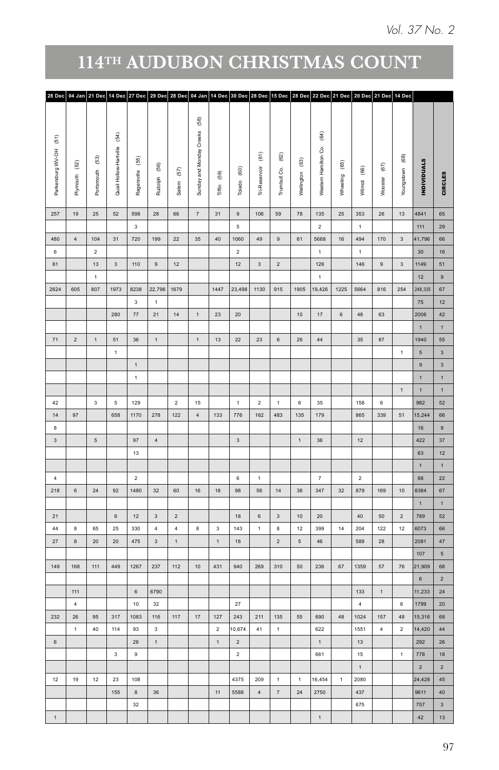|                                                               | 28 Dec 04 Jan 21 Dec 14 Dec 27 Dec 29 Dec 28 Dec 04 Jan 14 Dec 30 Dec 28 Dec 15 Dec 28 Dec 22 Dec 21 Dec 20 Dec 21 Dec 14 Dec |                                      |                                                    |                                |              |                   |                                                    |                         |                     |                                           |     |                           |                                      |                                                  |                       |                     |                               |                               |                    |                 |
|---------------------------------------------------------------|-------------------------------------------------------------------------------------------------------------------------------|--------------------------------------|----------------------------------------------------|--------------------------------|--------------|-------------------|----------------------------------------------------|-------------------------|---------------------|-------------------------------------------|-----|---------------------------|--------------------------------------|--------------------------------------------------|-----------------------|---------------------|-------------------------------|-------------------------------|--------------------|-----------------|
| $(\mathbf{51})$<br>Parkersburg WV-OH<br>$^{(52)}$<br>Plymouth |                                                                                                                               | $\widehat{\mathbb{S}}$<br>Portsmouth | $\widehat{\mathfrak{F}}$<br>Quail Hollow-Hartville | Ragersville (55)               | Rudolph (56) | $\left(57\right)$ | $\widehat{\mathbb{S}}$<br>Sunday and Monday Creeks | $(59)$                  | Toledo (60)         | $\widehat{\mathfrak{s}}$<br>Tri-Reservoir |     | $^{(62)}$<br>Trumbull Co. | $\widehat{\mathbb{S}}$<br>Wellington | $\widehat{\mathfrak{F}}$<br>Western Hamilton Co. | $^{(65)}$<br>Wheeling | $(66)$              | $\left( 67\right)$<br>Wooster | $_{\tiny (68)}$<br>Youngstown | <b>INDIVIDUALS</b> | <b>CIRCLES</b>  |
|                                                               |                                                                                                                               |                                      |                                                    |                                |              | Salem             |                                                    | Tiffin                  |                     |                                           |     |                           |                                      |                                                  |                       | Wilmot              |                               |                               |                    |                 |
| $19$<br>257                                                   |                                                                                                                               | $25\,$                               | 52                                                 | 598<br>$\overline{\mathbf{3}}$ | ${\bf 28}$   | $66\,$            | $\scriptstyle{7}$                                  | 31                      | $\,9$<br>$\sqrt{5}$ | $106\,$                                   |     | 59                        | 78                                   | 135<br>$\overline{2}$                            | $25\,$                | 353<br>$\mathbf{1}$ | $26\,$                        | $13\,$                        | 4841<br>$111$      | 65<br>29        |
| 480<br>$\overline{4}$                                         |                                                                                                                               | $104\,$                              | 31                                                 | 720                            | 199          | $22\,$            | $35\,$                                             | $40\,$                  | 1060                | 49                                        |     | $9\,$                     | 61                                   | 5668                                             | $16\,$                | 494                 | 170                           | $\mathbf{3}$                  | 41,796             | 66              |
| $_{\rm 6}$                                                    |                                                                                                                               | $\overline{2}$                       |                                                    |                                |              |                   |                                                    |                         | $\overline{2}$      |                                           |     |                           |                                      | $\overline{1}$                                   |                       | $\mathbf{1}$        |                               |                               | 30                 | 16              |
| 81                                                            |                                                                                                                               | 13                                   | $\mathbf{3}$                                       | 110                            | $\,$ 9 $\,$  | $12$              |                                                    |                         | 12                  | $\mathbf{3}$                              |     | $\overline{2}$            |                                      | 126                                              |                       | 146                 | $\,$ 9 $\,$                   | $_{3}$                        | 1149               | 51              |
|                                                               |                                                                                                                               | $\mathbf{1}$                         |                                                    |                                |              |                   |                                                    |                         |                     |                                           |     |                           |                                      | $\overline{1}$                                   |                       |                     |                               |                               | 12                 | $\overline{9}$  |
| 2624<br>605                                                   |                                                                                                                               | 807                                  | 1973                                               | 8238                           |              | 22,796 1679       |                                                    | 1447                    | 23,498              | 1130                                      | 915 |                           |                                      | 1905 19,426                                      |                       | 1225 5664           | 816                           | 254                           | 248,335            | 67              |
|                                                               |                                                                                                                               |                                      |                                                    | $\mathbf{3}$                   | $\mathbf{1}$ |                   |                                                    |                         |                     |                                           |     |                           |                                      |                                                  |                       |                     |                               |                               | 75                 | 12              |
|                                                               |                                                                                                                               |                                      | 280                                                | 77                             | 21           | 14                | $\,$ 1 $\,$                                        | 23                      | $20\degree$         |                                           |     |                           | 10                                   | $17$                                             | $_{\rm 6}$            | 48                  | 63                            |                               | 2006               | 42              |
|                                                               |                                                                                                                               |                                      |                                                    |                                |              |                   |                                                    |                         |                     |                                           |     |                           |                                      |                                                  |                       |                     |                               |                               | $\mathbf{1}$       | $\mathbf{1}$    |
| 71<br>$\overline{2}$                                          |                                                                                                                               | $\mathbf 1$                          | 51                                                 | 36                             | $\mathbf 1$  |                   | 1                                                  | $13$                    | 22                  | 23                                        |     | $\,$ 6 $\,$               | $26\,$                               | $44\,$                                           |                       | 35 <sub>o</sub>     | 87                            |                               | 1940               | 55              |
|                                                               |                                                                                                                               |                                      | $\mathbf{1}$                                       |                                |              |                   |                                                    |                         |                     |                                           |     |                           |                                      |                                                  |                       |                     |                               | $\mathbf{1}$                  | $\sqrt{5}$         | $_{3}$          |
|                                                               |                                                                                                                               |                                      |                                                    | 1                              |              |                   |                                                    |                         |                     |                                           |     |                           |                                      |                                                  |                       |                     |                               |                               | $9\,$              | 3               |
|                                                               |                                                                                                                               |                                      |                                                    | $\,$ 1 $\,$                    |              |                   |                                                    |                         |                     |                                           |     |                           |                                      |                                                  |                       |                     |                               |                               | $\mathbf{1}$       | $\overline{1}$  |
|                                                               |                                                                                                                               |                                      |                                                    |                                |              |                   |                                                    |                         |                     |                                           |     |                           |                                      |                                                  |                       |                     |                               | $\mathbf{1}$                  | $\mathbf{1}$       | 1               |
| $42\,$                                                        |                                                                                                                               | 3 <sup>1</sup>                       | $5\phantom{.0}$                                    | 129                            |              | $\overline{2}$    | 15                                                 |                         | 1                   | $\overline{2}$                            |     | 1                         | $6 -$                                | 35                                               |                       | 158                 | $_{\rm 6}$                    |                               | 982                | 52              |
| 14<br>97<br>$\,$ 8                                            |                                                                                                                               |                                      | 658                                                | 1170                           | 278          | 122               | $\overline{4}$                                     | 133                     | 776                 | 162                                       |     | 483                       | 135                                  | 179                                              |                       | 865                 | 339                           | 51                            | 15,244             | 66              |
|                                                               |                                                                                                                               |                                      |                                                    |                                |              |                   |                                                    |                         |                     |                                           |     |                           |                                      |                                                  |                       |                     |                               |                               | 16                 | 9               |
|                                                               |                                                                                                                               | $\sqrt{5}$                           |                                                    | 97                             | 4            |                   |                                                    |                         | 3 <sup>1</sup>      |                                           |     |                           | $1 -$                                | $36\,$                                           |                       | 12                  |                               |                               | 422                | 37              |
|                                                               |                                                                                                                               |                                      |                                                    | 13                             |              |                   |                                                    |                         |                     |                                           |     |                           |                                      |                                                  |                       |                     |                               |                               | 63<br>$\mathbf{1}$ | 12<br>1         |
|                                                               |                                                                                                                               |                                      |                                                    | $\overline{2}$                 |              |                   |                                                    |                         | $_{\rm 6}$          | $\overline{1}$                            |     |                           |                                      | $\overline{7}$                                   |                       | $\overline{2}$      |                               |                               | 88                 | 22              |
| $6\overline{6}$                                               |                                                                                                                               | 24                                   | 92                                                 | 1480                           | 32           | 60                | 16                                                 | 18                      | 98                  | 56                                        |     | 14                        | 36                                   | 347                                              | 32                    | 879                 | 169                           | $10$                          | 8384               | 67              |
| 218                                                           |                                                                                                                               |                                      |                                                    |                                |              |                   |                                                    |                         |                     |                                           |     |                           |                                      |                                                  |                       |                     |                               |                               | 1                  | 1               |
| 21                                                            |                                                                                                                               |                                      | $\,$ 6 $\,$                                        | 12                             | $3 -$        | $\overline{2}$    |                                                    |                         | 18                  | $6\phantom{.0}$                           |     | $\mathbf{3}$              | 10                                   | 20                                               |                       | 40                  | 50                            | $\overline{2}$                | 789                | 52              |
| 44<br>$\bf{8}$                                                |                                                                                                                               | 65                                   | 25                                                 | 330                            | 4            | $\overline{4}$    | $\bf 8$                                            | $\overline{\mathbf{3}}$ | 143                 | $\mathbf{1}$                              |     | $\bf 8$                   | 12                                   | 399                                              | 14                    | 204                 | 122                           | 12                            | 6073               | 66              |
| $27\,$<br>$^{\rm 8}$                                          |                                                                                                                               | 20 <sub>2</sub>                      | 20                                                 | 475                            | $\mathbf{3}$ | 1                 |                                                    | 1                       | 18                  |                                           |     | $\overline{2}$            | $5\overline{5}$                      | $46\,$                                           |                       | 589                 | 28                            |                               | 2081               | 47              |
|                                                               |                                                                                                                               |                                      |                                                    |                                |              |                   |                                                    |                         |                     |                                           |     |                           |                                      |                                                  |                       |                     |                               |                               | 107                | 5 <sub>5</sub>  |
| 168                                                           |                                                                                                                               | 111                                  | 449                                                | 1267                           | 237          | 112               | $10\,$                                             | 431                     | 940                 | 269                                       |     | 310                       | $50\,$                               | 236                                              | $_{\rm 67}$           | 1359                | $57\,$                        | $76\,$                        | 21,909             | 68              |
|                                                               |                                                                                                                               |                                      |                                                    |                                |              |                   |                                                    |                         |                     |                                           |     |                           |                                      |                                                  |                       |                     |                               |                               | $\mathbf 6$        | $\overline{2}$  |
| 111                                                           |                                                                                                                               |                                      |                                                    | $\,$ 6 $\,$                    | 6790         |                   |                                                    |                         |                     |                                           |     |                           |                                      |                                                  |                       | 133                 | $\mathbf{1}$                  |                               | 11,233             | 24              |
| $\overline{4}$                                                |                                                                                                                               |                                      |                                                    | $10\,$                         | $32\,$       |                   |                                                    |                         | $27\,$              |                                           |     |                           |                                      |                                                  |                       | $\overline{4}$      |                               | $\,$ 6 $\,$                   | 1799               | $20\,$          |
| 232<br>${\bf 26}$                                             |                                                                                                                               | $95\,$                               | 317                                                | 1083                           | 116          | 117               | $17\,$                                             | $127\,$                 | 243                 | $211$                                     |     | $135\,$                   | $^{\rm 55}$                          | 690                                              | 48                    | 1024                | $157\,$                       | $\bf 48$                      | 15,316             | 68              |
|                                                               | $\overline{1}$                                                                                                                | $40\,$                               | 114                                                | 93                             | $_{\rm 3}$   |                   |                                                    | $\overline{\mathbf{2}}$ | 10,674              | 41                                        |     | $\overline{1}$            |                                      | 622                                              |                       | 1551                | $\overline{4}$                | $\overline{2}$                | 14,420             | 44 <sup>1</sup> |
| $_{\rm 6}$                                                    |                                                                                                                               |                                      |                                                    | 26                             | $\mathbf{1}$ |                   |                                                    | $\mathbf{1}$            | $\sqrt{2}$          |                                           |     |                           |                                      | $\overline{1}$                                   |                       | 13                  |                               |                               | 292                | $26\,$          |
|                                                               |                                                                                                                               |                                      | $\overline{\mathbf{3}}$                            | $\overline{9}$                 |              |                   |                                                    |                         | $\overline{2}$      |                                           |     |                           |                                      | 661                                              |                       | 15                  |                               | $\mathbf{1}$                  | 778                | 18              |
|                                                               |                                                                                                                               |                                      |                                                    |                                |              |                   |                                                    |                         |                     |                                           |     |                           |                                      |                                                  |                       | 1                   |                               |                               | $\overline{2}$     | $\overline{2}$  |
| 19                                                            |                                                                                                                               | 12                                   | 23                                                 | 108                            |              |                   |                                                    |                         | 4375                | 209                                       |     | $\mathbf{1}$              | 1                                    | 16,454                                           | $\mathbf{1}$          | 2080                |                               |                               | 24,428             | 45 <sup>°</sup> |
|                                                               |                                                                                                                               |                                      | 155                                                | $^{\rm 8}$                     | 36           |                   |                                                    | 11                      | 5588                | $\sqrt{4}$                                |     | 7                         | 24                                   | 2750                                             |                       | 437                 |                               |                               | 9611               | 40              |
|                                                               |                                                                                                                               |                                      |                                                    | 32                             |              |                   |                                                    |                         |                     |                                           |     |                           |                                      |                                                  |                       | 675                 |                               |                               | 757                | 3 <sup>7</sup>  |
| $\overline{1}$                                                |                                                                                                                               |                                      |                                                    |                                |              |                   |                                                    |                         |                     |                                           |     |                           |                                      | $\overline{1}$                                   |                       |                     |                               |                               | 42                 | 13              |